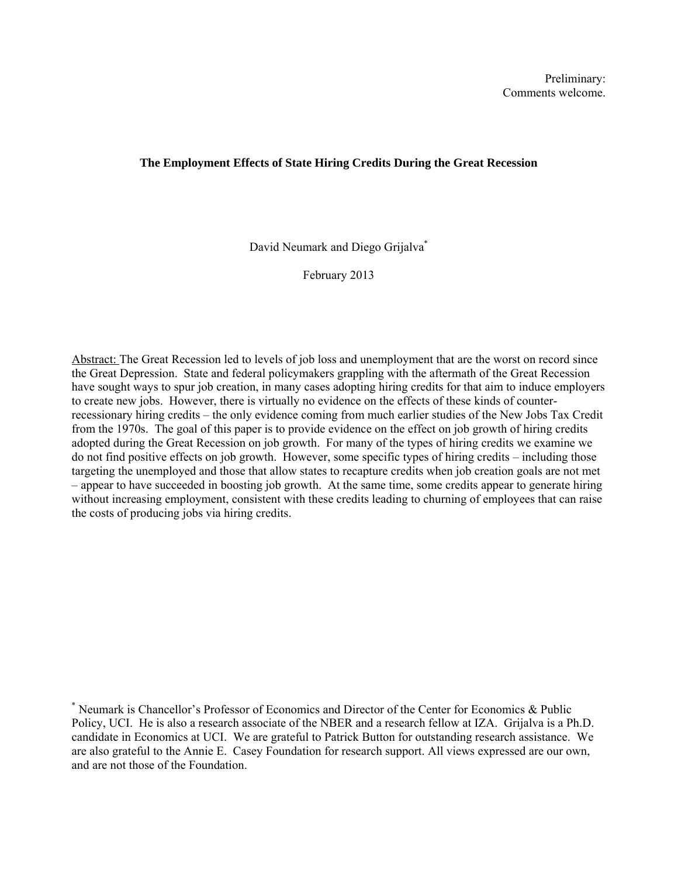# **The Employment Effects of State Hiring Credits During the Great Recession**

David Neumark and Diego Grijalva\*

February 2013

Abstract: The Great Recession led to levels of job loss and unemployment that are the worst on record since the Great Depression. State and federal policymakers grappling with the aftermath of the Great Recession have sought ways to spur job creation, in many cases adopting hiring credits for that aim to induce employers to create new jobs. However, there is virtually no evidence on the effects of these kinds of counterrecessionary hiring credits – the only evidence coming from much earlier studies of the New Jobs Tax Credit from the 1970s. The goal of this paper is to provide evidence on the effect on job growth of hiring credits adopted during the Great Recession on job growth. For many of the types of hiring credits we examine we do not find positive effects on job growth. However, some specific types of hiring credits – including those targeting the unemployed and those that allow states to recapture credits when job creation goals are not met – appear to have succeeded in boosting job growth. At the same time, some credits appear to generate hiring without increasing employment, consistent with these credits leading to churning of employees that can raise the costs of producing jobs via hiring credits.

<sup>\*</sup> Neumark is Chancellor's Professor of Economics and Director of the Center for Economics & Public Policy, UCI. He is also a research associate of the NBER and a research fellow at IZA. Grijalva is a Ph.D. candidate in Economics at UCI. We are grateful to Patrick Button for outstanding research assistance. We are also grateful to the Annie E. Casey Foundation for research support. All views expressed are our own, and are not those of the Foundation.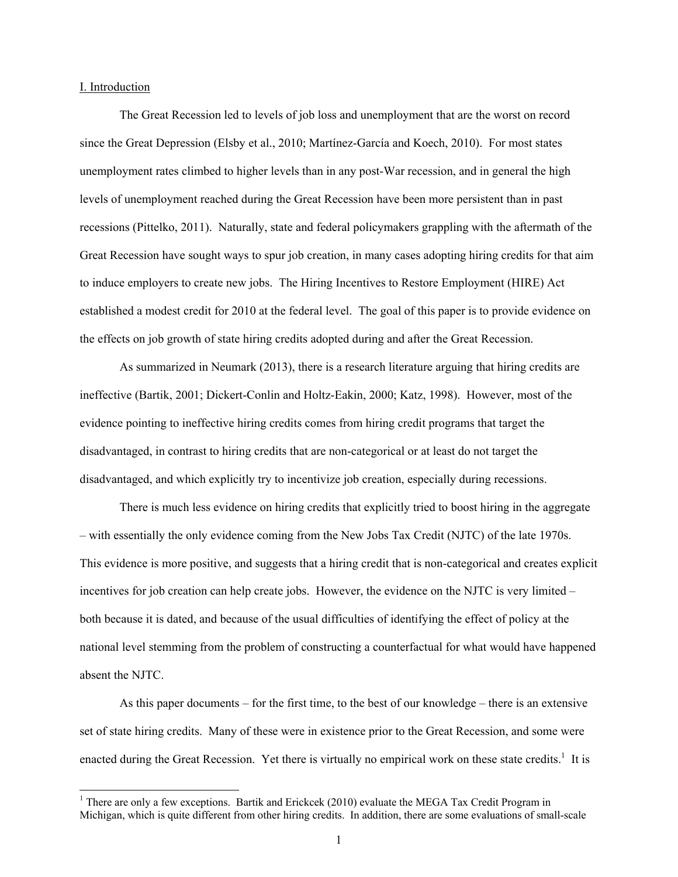### I. Introduction

The Great Recession led to levels of job loss and unemployment that are the worst on record since the Great Depression (Elsby et al., 2010; Martínez-García and Koech, 2010). For most states unemployment rates climbed to higher levels than in any post-War recession, and in general the high levels of unemployment reached during the Great Recession have been more persistent than in past recessions (Pittelko, 2011). Naturally, state and federal policymakers grappling with the aftermath of the Great Recession have sought ways to spur job creation, in many cases adopting hiring credits for that aim to induce employers to create new jobs. The Hiring Incentives to Restore Employment (HIRE) Act established a modest credit for 2010 at the federal level. The goal of this paper is to provide evidence on the effects on job growth of state hiring credits adopted during and after the Great Recession.

As summarized in Neumark (2013), there is a research literature arguing that hiring credits are ineffective (Bartik, 2001; Dickert-Conlin and Holtz-Eakin, 2000; Katz, 1998). However, most of the evidence pointing to ineffective hiring credits comes from hiring credit programs that target the disadvantaged, in contrast to hiring credits that are non-categorical or at least do not target the disadvantaged, and which explicitly try to incentivize job creation, especially during recessions.

There is much less evidence on hiring credits that explicitly tried to boost hiring in the aggregate – with essentially the only evidence coming from the New Jobs Tax Credit (NJTC) of the late 1970s. This evidence is more positive, and suggests that a hiring credit that is non-categorical and creates explicit incentives for job creation can help create jobs. However, the evidence on the NJTC is very limited – both because it is dated, and because of the usual difficulties of identifying the effect of policy at the national level stemming from the problem of constructing a counterfactual for what would have happened absent the NJTC.

As this paper documents – for the first time, to the best of our knowledge – there is an extensive set of state hiring credits. Many of these were in existence prior to the Great Recession, and some were enacted during the Great Recession. Yet there is virtually no empirical work on these state credits.<sup>1</sup> It is

<sup>&</sup>lt;sup>1</sup> There are only a few exceptions. Bartik and Erickcek (2010) evaluate the MEGA Tax Credit Program in Michigan, which is quite different from other hiring credits. In addition, there are some evaluations of small-scale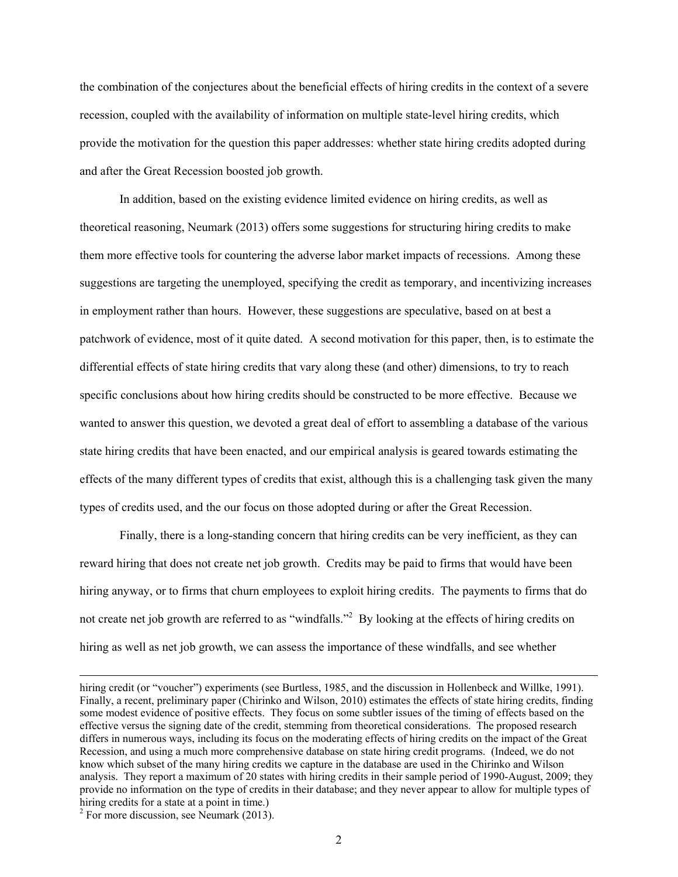the combination of the conjectures about the beneficial effects of hiring credits in the context of a severe recession, coupled with the availability of information on multiple state-level hiring credits, which provide the motivation for the question this paper addresses: whether state hiring credits adopted during and after the Great Recession boosted job growth.

In addition, based on the existing evidence limited evidence on hiring credits, as well as theoretical reasoning, Neumark (2013) offers some suggestions for structuring hiring credits to make them more effective tools for countering the adverse labor market impacts of recessions. Among these suggestions are targeting the unemployed, specifying the credit as temporary, and incentivizing increases in employment rather than hours. However, these suggestions are speculative, based on at best a patchwork of evidence, most of it quite dated. A second motivation for this paper, then, is to estimate the differential effects of state hiring credits that vary along these (and other) dimensions, to try to reach specific conclusions about how hiring credits should be constructed to be more effective. Because we wanted to answer this question, we devoted a great deal of effort to assembling a database of the various state hiring credits that have been enacted, and our empirical analysis is geared towards estimating the effects of the many different types of credits that exist, although this is a challenging task given the many types of credits used, and the our focus on those adopted during or after the Great Recession.

Finally, there is a long-standing concern that hiring credits can be very inefficient, as they can reward hiring that does not create net job growth. Credits may be paid to firms that would have been hiring anyway, or to firms that churn employees to exploit hiring credits. The payments to firms that do not create net job growth are referred to as "windfalls."<sup>2</sup> By looking at the effects of hiring credits on hiring as well as net job growth, we can assess the importance of these windfalls, and see whether

hiring credit (or "voucher") experiments (see Burtless, 1985, and the discussion in Hollenbeck and Willke, 1991). Finally, a recent, preliminary paper (Chirinko and Wilson, 2010) estimates the effects of state hiring credits, finding some modest evidence of positive effects. They focus on some subtler issues of the timing of effects based on the effective versus the signing date of the credit, stemming from theoretical considerations. The proposed research differs in numerous ways, including its focus on the moderating effects of hiring credits on the impact of the Great Recession, and using a much more comprehensive database on state hiring credit programs. (Indeed, we do not know which subset of the many hiring credits we capture in the database are used in the Chirinko and Wilson analysis. They report a maximum of 20 states with hiring credits in their sample period of 1990-August, 2009; they provide no information on the type of credits in their database; and they never appear to allow for multiple types of hiring credits for a state at a point in time.)

 $2$  For more discussion, see Neumark (2013).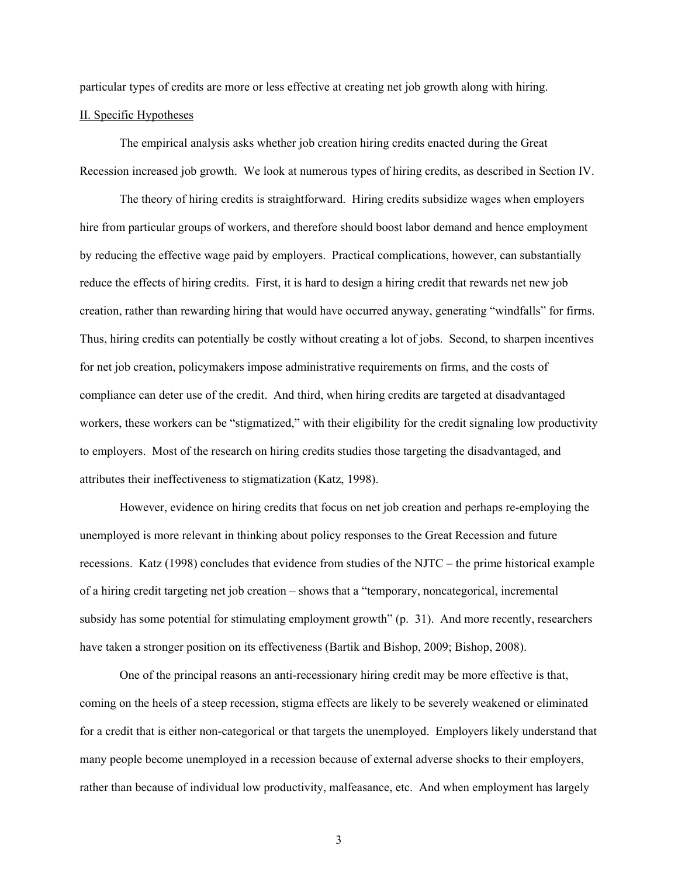particular types of credits are more or less effective at creating net job growth along with hiring.

# II. Specific Hypotheses

The empirical analysis asks whether job creation hiring credits enacted during the Great Recession increased job growth. We look at numerous types of hiring credits, as described in Section IV.

The theory of hiring credits is straightforward. Hiring credits subsidize wages when employers hire from particular groups of workers, and therefore should boost labor demand and hence employment by reducing the effective wage paid by employers. Practical complications, however, can substantially reduce the effects of hiring credits. First, it is hard to design a hiring credit that rewards net new job creation, rather than rewarding hiring that would have occurred anyway, generating "windfalls" for firms. Thus, hiring credits can potentially be costly without creating a lot of jobs. Second, to sharpen incentives for net job creation, policymakers impose administrative requirements on firms, and the costs of compliance can deter use of the credit. And third, when hiring credits are targeted at disadvantaged workers, these workers can be "stigmatized," with their eligibility for the credit signaling low productivity to employers. Most of the research on hiring credits studies those targeting the disadvantaged, and attributes their ineffectiveness to stigmatization (Katz, 1998).

However, evidence on hiring credits that focus on net job creation and perhaps re-employing the unemployed is more relevant in thinking about policy responses to the Great Recession and future recessions. Katz (1998) concludes that evidence from studies of the NJTC – the prime historical example of a hiring credit targeting net job creation – shows that a "temporary, noncategorical, incremental subsidy has some potential for stimulating employment growth" (p. 31). And more recently, researchers have taken a stronger position on its effectiveness (Bartik and Bishop, 2009; Bishop, 2008).

One of the principal reasons an anti-recessionary hiring credit may be more effective is that, coming on the heels of a steep recession, stigma effects are likely to be severely weakened or eliminated for a credit that is either non-categorical or that targets the unemployed. Employers likely understand that many people become unemployed in a recession because of external adverse shocks to their employers, rather than because of individual low productivity, malfeasance, etc. And when employment has largely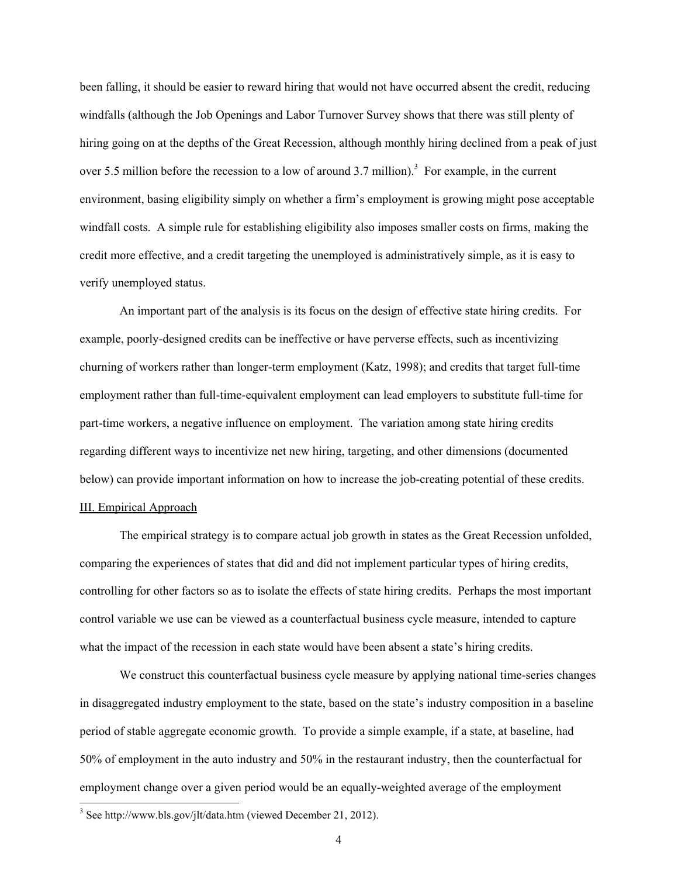been falling, it should be easier to reward hiring that would not have occurred absent the credit, reducing windfalls (although the Job Openings and Labor Turnover Survey shows that there was still plenty of hiring going on at the depths of the Great Recession, although monthly hiring declined from a peak of just over 5.5 million before the recession to a low of around 3.7 million).<sup>3</sup> For example, in the current environment, basing eligibility simply on whether a firm's employment is growing might pose acceptable windfall costs. A simple rule for establishing eligibility also imposes smaller costs on firms, making the credit more effective, and a credit targeting the unemployed is administratively simple, as it is easy to verify unemployed status.

An important part of the analysis is its focus on the design of effective state hiring credits. For example, poorly-designed credits can be ineffective or have perverse effects, such as incentivizing churning of workers rather than longer-term employment (Katz, 1998); and credits that target full-time employment rather than full-time-equivalent employment can lead employers to substitute full-time for part-time workers, a negative influence on employment. The variation among state hiring credits regarding different ways to incentivize net new hiring, targeting, and other dimensions (documented below) can provide important information on how to increase the job-creating potential of these credits. III. Empirical Approach

The empirical strategy is to compare actual job growth in states as the Great Recession unfolded, comparing the experiences of states that did and did not implement particular types of hiring credits, controlling for other factors so as to isolate the effects of state hiring credits. Perhaps the most important control variable we use can be viewed as a counterfactual business cycle measure, intended to capture what the impact of the recession in each state would have been absent a state's hiring credits.

We construct this counterfactual business cycle measure by applying national time-series changes in disaggregated industry employment to the state, based on the state's industry composition in a baseline period of stable aggregate economic growth. To provide a simple example, if a state, at baseline, had 50% of employment in the auto industry and 50% in the restaurant industry, then the counterfactual for employment change over a given period would be an equally-weighted average of the employment

-

<sup>&</sup>lt;sup>3</sup> See http://www.bls.gov/jlt/data.htm (viewed December 21, 2012).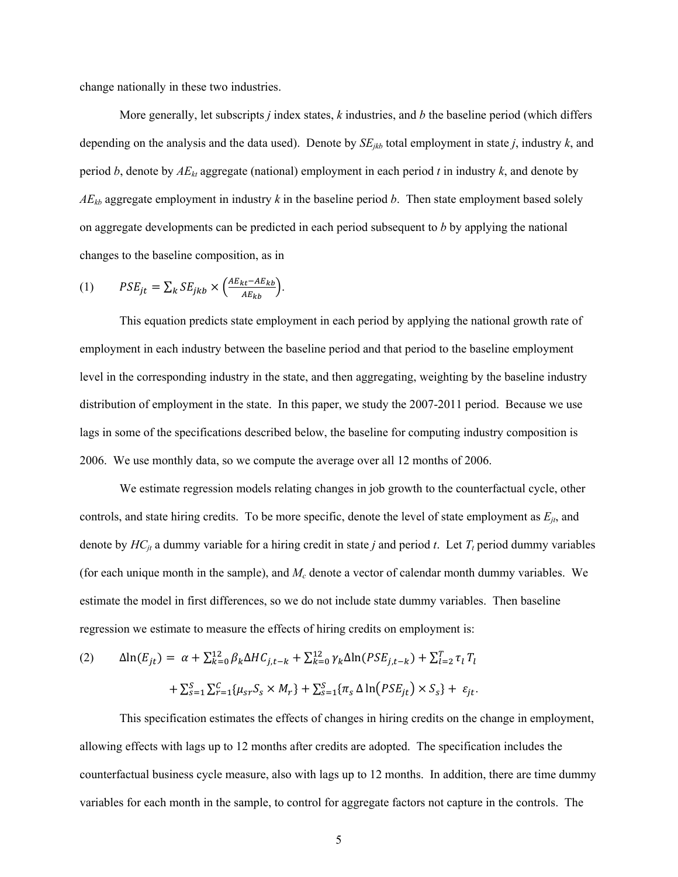change nationally in these two industries.

More generally, let subscripts *j* index states, *k* industries, and *b* the baseline period (which differs depending on the analysis and the data used). Denote by *SEjkb* total employment in state *j*, industry *k*, and period *b*, denote by *AEkt* aggregate (national) employment in each period *t* in industry *k*, and denote by  $AE_{kb}$  aggregate employment in industry k in the baseline period b. Then state employment based solely on aggregate developments can be predicted in each period subsequent to *b* by applying the national changes to the baseline composition, as in

(1) 
$$
PSE_{jt} = \sum_{k} SE_{jkb} \times \left(\frac{AE_{kt} - AE_{kb}}{AE_{kb}}\right).
$$

This equation predicts state employment in each period by applying the national growth rate of employment in each industry between the baseline period and that period to the baseline employment level in the corresponding industry in the state, and then aggregating, weighting by the baseline industry distribution of employment in the state. In this paper, we study the 2007-2011 period. Because we use lags in some of the specifications described below, the baseline for computing industry composition is 2006. We use monthly data, so we compute the average over all 12 months of 2006.

We estimate regression models relating changes in job growth to the counterfactual cycle, other controls, and state hiring credits. To be more specific, denote the level of state employment as  $E_{it}$ , and denote by  $HC_{jt}$  a dummy variable for a hiring credit in state *j* and period *t*. Let  $T_t$  period dummy variables (for each unique month in the sample), and *Mc* denote a vector of calendar month dummy variables. We estimate the model in first differences, so we do not include state dummy variables. Then baseline regression we estimate to measure the effects of hiring credits on employment is:

(2) 
$$
\Delta \ln(E_{jt}) = \alpha + \sum_{k=0}^{12} \beta_k \Delta H C_{j,t-k} + \sum_{k=0}^{12} \gamma_k \Delta \ln(PSE_{j,t-k}) + \sum_{l=2}^{T} \tau_l T_l + \sum_{s=1}^{S} \sum_{r=1}^{C} \{ \mu_{sr} S_s \times M_r \} + \sum_{s=1}^{S} \{ \pi_s \Delta \ln(PSE_{jt}) \times S_s \} + \varepsilon_{jt}.
$$

This specification estimates the effects of changes in hiring credits on the change in employment, allowing effects with lags up to 12 months after credits are adopted. The specification includes the counterfactual business cycle measure, also with lags up to 12 months. In addition, there are time dummy variables for each month in the sample, to control for aggregate factors not capture in the controls. The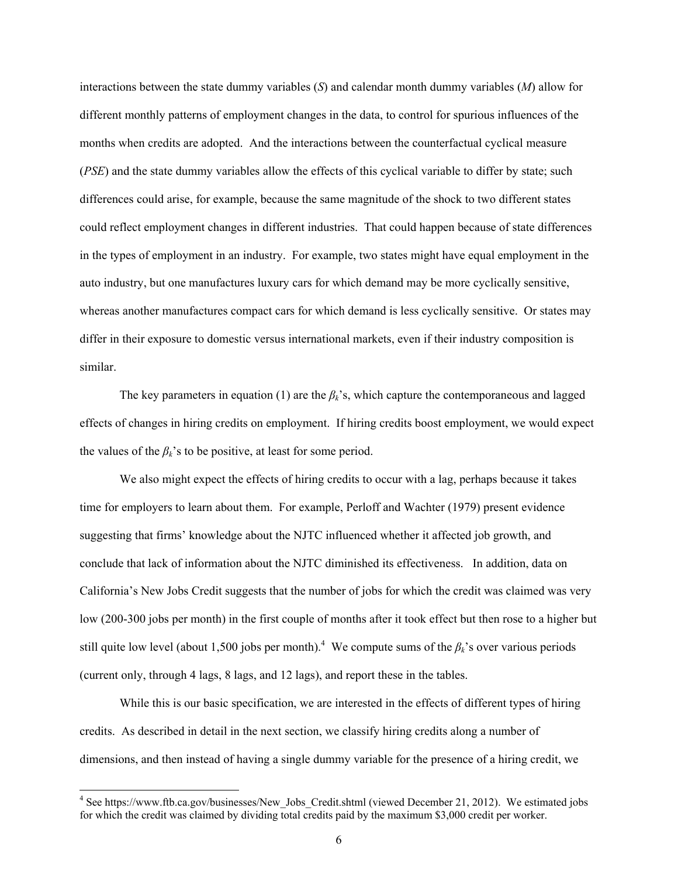interactions between the state dummy variables (*S*) and calendar month dummy variables (*M*) allow for different monthly patterns of employment changes in the data, to control for spurious influences of the months when credits are adopted. And the interactions between the counterfactual cyclical measure (*PSE*) and the state dummy variables allow the effects of this cyclical variable to differ by state; such differences could arise, for example, because the same magnitude of the shock to two different states could reflect employment changes in different industries. That could happen because of state differences in the types of employment in an industry. For example, two states might have equal employment in the auto industry, but one manufactures luxury cars for which demand may be more cyclically sensitive, whereas another manufactures compact cars for which demand is less cyclically sensitive. Or states may differ in their exposure to domestic versus international markets, even if their industry composition is similar.

The key parameters in equation (1) are the  $\beta_k$ 's, which capture the contemporaneous and lagged effects of changes in hiring credits on employment. If hiring credits boost employment, we would expect the values of the  $\beta_k$ 's to be positive, at least for some period.

We also might expect the effects of hiring credits to occur with a lag, perhaps because it takes time for employers to learn about them. For example, Perloff and Wachter (1979) present evidence suggesting that firms' knowledge about the NJTC influenced whether it affected job growth, and conclude that lack of information about the NJTC diminished its effectiveness. In addition, data on California's New Jobs Credit suggests that the number of jobs for which the credit was claimed was very low (200-300 jobs per month) in the first couple of months after it took effect but then rose to a higher but still quite low level (about 1,500 jobs per month).<sup>4</sup> We compute sums of the  $\beta_k$ 's over various periods (current only, through 4 lags, 8 lags, and 12 lags), and report these in the tables.

While this is our basic specification, we are interested in the effects of different types of hiring credits. As described in detail in the next section, we classify hiring credits along a number of dimensions, and then instead of having a single dummy variable for the presence of a hiring credit, we

<sup>4&</sup>lt;br>
<sup>4</sup> See https://www.ftb.ca.gov/businesses/New\_Jobs\_Credit.shtml (viewed December 21, 2012). We estimated jobs for which the credit was claimed by dividing total credits paid by the maximum \$3,000 credit per worker.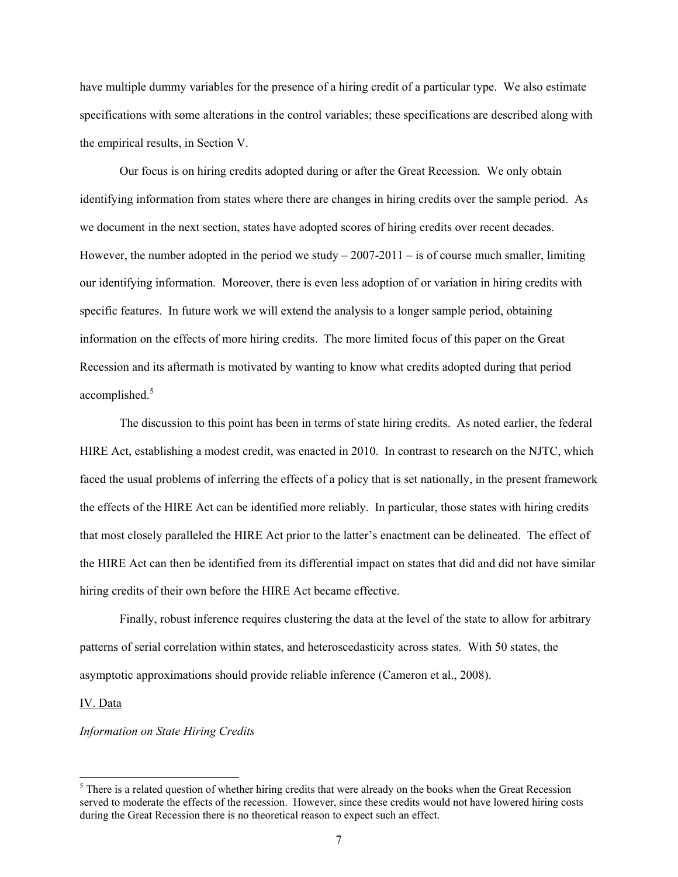have multiple dummy variables for the presence of a hiring credit of a particular type. We also estimate specifications with some alterations in the control variables; these specifications are described along with the empirical results, in Section V.

Our focus is on hiring credits adopted during or after the Great Recession. We only obtain identifying information from states where there are changes in hiring credits over the sample period. As we document in the next section, states have adopted scores of hiring credits over recent decades. However, the number adopted in the period we study  $-2007-2011 -$  is of course much smaller, limiting our identifying information. Moreover, there is even less adoption of or variation in hiring credits with specific features. In future work we will extend the analysis to a longer sample period, obtaining information on the effects of more hiring credits. The more limited focus of this paper on the Great Recession and its aftermath is motivated by wanting to know what credits adopted during that period accomplished.<sup>5</sup>

The discussion to this point has been in terms of state hiring credits. As noted earlier, the federal HIRE Act, establishing a modest credit, was enacted in 2010. In contrast to research on the NJTC, which faced the usual problems of inferring the effects of a policy that is set nationally, in the present framework the effects of the HIRE Act can be identified more reliably. In particular, those states with hiring credits that most closely paralleled the HIRE Act prior to the latter's enactment can be delineated. The effect of the HIRE Act can then be identified from its differential impact on states that did and did not have similar hiring credits of their own before the HIRE Act became effective.

Finally, robust inference requires clustering the data at the level of the state to allow for arbitrary patterns of serial correlation within states, and heteroscedasticity across states. With 50 states, the asymptotic approximations should provide reliable inference (Cameron et al., 2008).

#### IV. Data

l

## *Information on State Hiring Credits*

<sup>&</sup>lt;sup>5</sup> There is a related question of whether hiring credits that were already on the books when the Great Recession served to moderate the effects of the recession. However, since these credits would not have lowered hiring costs during the Great Recession there is no theoretical reason to expect such an effect.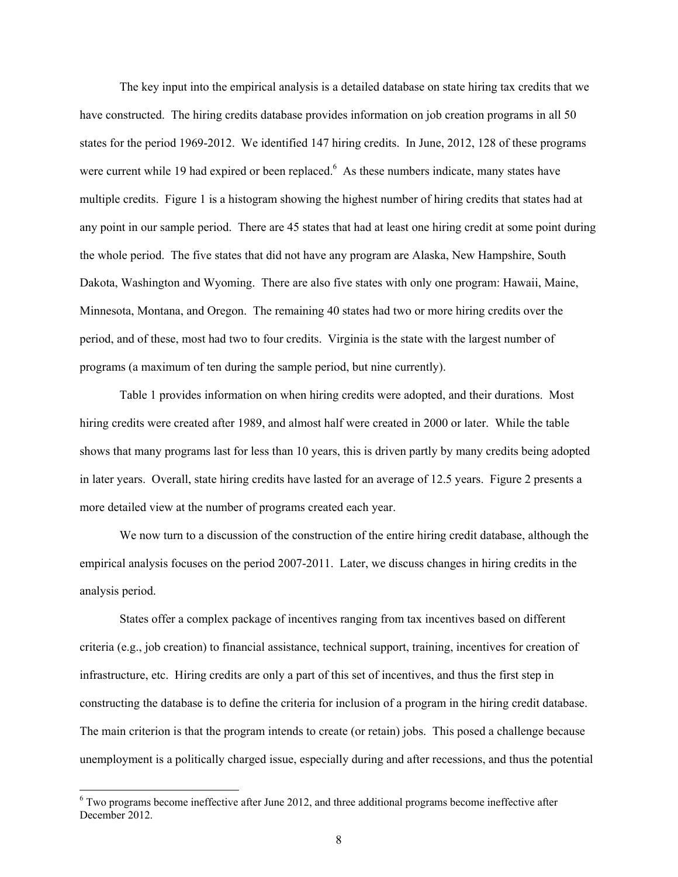The key input into the empirical analysis is a detailed database on state hiring tax credits that we have constructed. The hiring credits database provides information on job creation programs in all 50 states for the period 1969-2012. We identified 147 hiring credits. In June, 2012, 128 of these programs were current while 19 had expired or been replaced.<sup>6</sup> As these numbers indicate, many states have multiple credits. Figure 1 is a histogram showing the highest number of hiring credits that states had at any point in our sample period. There are 45 states that had at least one hiring credit at some point during the whole period. The five states that did not have any program are Alaska, New Hampshire, South Dakota, Washington and Wyoming. There are also five states with only one program: Hawaii, Maine, Minnesota, Montana, and Oregon. The remaining 40 states had two or more hiring credits over the period, and of these, most had two to four credits. Virginia is the state with the largest number of programs (a maximum of ten during the sample period, but nine currently).

Table 1 provides information on when hiring credits were adopted, and their durations. Most hiring credits were created after 1989, and almost half were created in 2000 or later. While the table shows that many programs last for less than 10 years, this is driven partly by many credits being adopted in later years. Overall, state hiring credits have lasted for an average of 12.5 years. Figure 2 presents a more detailed view at the number of programs created each year.

We now turn to a discussion of the construction of the entire hiring credit database, although the empirical analysis focuses on the period 2007-2011. Later, we discuss changes in hiring credits in the analysis period.

States offer a complex package of incentives ranging from tax incentives based on different criteria (e.g., job creation) to financial assistance, technical support, training, incentives for creation of infrastructure, etc. Hiring credits are only a part of this set of incentives, and thus the first step in constructing the database is to define the criteria for inclusion of a program in the hiring credit database. The main criterion is that the program intends to create (or retain) jobs. This posed a challenge because unemployment is a politically charged issue, especially during and after recessions, and thus the potential

<sup>&</sup>lt;sup>6</sup> Two programs become ineffective after June 2012, and three additional programs become ineffective after December 2012.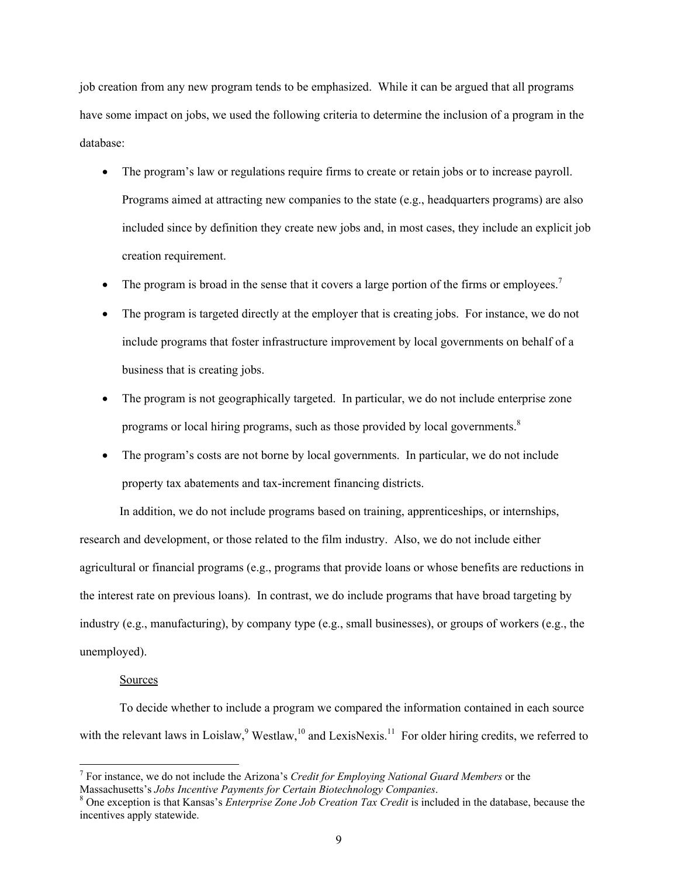job creation from any new program tends to be emphasized. While it can be argued that all programs have some impact on jobs, we used the following criteria to determine the inclusion of a program in the database:

- The program's law or regulations require firms to create or retain jobs or to increase payroll. Programs aimed at attracting new companies to the state (e.g., headquarters programs) are also included since by definition they create new jobs and, in most cases, they include an explicit job creation requirement.
- The program is broad in the sense that it covers a large portion of the firms or employees.<sup>7</sup>
- The program is targeted directly at the employer that is creating jobs. For instance, we do not include programs that foster infrastructure improvement by local governments on behalf of a business that is creating jobs.
- The program is not geographically targeted. In particular, we do not include enterprise zone programs or local hiring programs, such as those provided by local governments.<sup>8</sup>
- The program's costs are not borne by local governments. In particular, we do not include property tax abatements and tax-increment financing districts.

In addition, we do not include programs based on training, apprenticeships, or internships, research and development, or those related to the film industry. Also, we do not include either agricultural or financial programs (e.g., programs that provide loans or whose benefits are reductions in the interest rate on previous loans). In contrast, we do include programs that have broad targeting by industry (e.g., manufacturing), by company type (e.g., small businesses), or groups of workers (e.g., the unemployed).

#### Sources

-

To decide whether to include a program we compared the information contained in each source with the relevant laws in Loislaw, <sup>9</sup> Westlaw, <sup>10</sup> and LexisNexis.<sup>11</sup> For older hiring credits, we referred to

<sup>7</sup> For instance, we do not include the Arizona's *Credit for Employing National Guard Members* or the Massachusetts's *Jobs Incentive Payments for Certain Biotechnology Companies*. 8

One exception is that Kansas's *Enterprise Zone Job Creation Tax Credit* is included in the database, because the incentives apply statewide.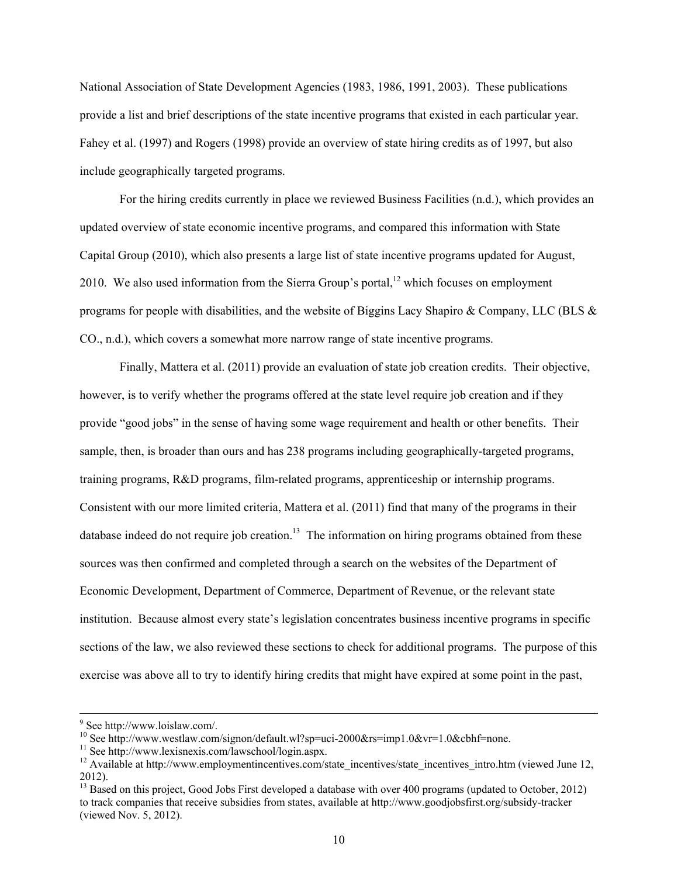National Association of State Development Agencies (1983, 1986, 1991, 2003). These publications provide a list and brief descriptions of the state incentive programs that existed in each particular year. Fahey et al. (1997) and Rogers (1998) provide an overview of state hiring credits as of 1997, but also include geographically targeted programs.

For the hiring credits currently in place we reviewed Business Facilities (n.d.), which provides an updated overview of state economic incentive programs, and compared this information with State Capital Group (2010), which also presents a large list of state incentive programs updated for August, 2010. We also used information from the Sierra Group's portal,  $12$  which focuses on employment programs for people with disabilities, and the website of Biggins Lacy Shapiro & Company, LLC (BLS & CO., n.d.), which covers a somewhat more narrow range of state incentive programs.

Finally, Mattera et al. (2011) provide an evaluation of state job creation credits. Their objective, however, is to verify whether the programs offered at the state level require job creation and if they provide "good jobs" in the sense of having some wage requirement and health or other benefits. Their sample, then, is broader than ours and has 238 programs including geographically-targeted programs, training programs, R&D programs, film-related programs, apprenticeship or internship programs. Consistent with our more limited criteria, Mattera et al. (2011) find that many of the programs in their database indeed do not require job creation.<sup>13</sup> The information on hiring programs obtained from these sources was then confirmed and completed through a search on the websites of the Department of Economic Development, Department of Commerce, Department of Revenue, or the relevant state institution. Because almost every state's legislation concentrates business incentive programs in specific sections of the law, we also reviewed these sections to check for additional programs. The purpose of this exercise was above all to try to identify hiring credits that might have expired at some point in the past,

<sup>-&</sup>lt;br>9  $9$  See http://www.loislaw.com/.

<sup>&</sup>lt;sup>10</sup> See http://www.westlaw.com/signon/default.wl?sp=uci-2000&rs=imp1.0&vr=1.0&cbhf=none.<br><sup>11</sup> See http://www.lexisnexis.com/lawschool/login.aspx.

<sup>&</sup>lt;sup>12</sup> Available at http://www.employmentincentives.com/state\_incentives/state\_incentives\_intro.htm (viewed June 12, 2012).

<sup>&</sup>lt;sup>13</sup> Based on this project, Good Jobs First developed a database with over 400 programs (updated to October, 2012) to track companies that receive subsidies from states, available at http://www.goodjobsfirst.org/subsidy-tracker (viewed Nov. 5, 2012).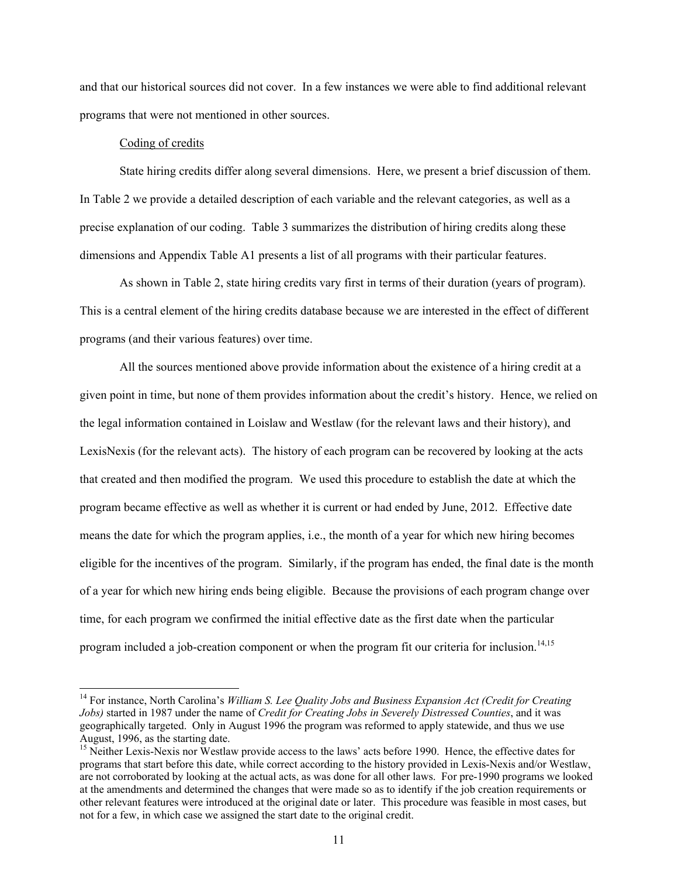and that our historical sources did not cover. In a few instances we were able to find additional relevant programs that were not mentioned in other sources.

## Coding of credits

-

State hiring credits differ along several dimensions. Here, we present a brief discussion of them. In Table 2 we provide a detailed description of each variable and the relevant categories, as well as a precise explanation of our coding. Table 3 summarizes the distribution of hiring credits along these dimensions and Appendix Table A1 presents a list of all programs with their particular features.

As shown in Table 2, state hiring credits vary first in terms of their duration (years of program). This is a central element of the hiring credits database because we are interested in the effect of different programs (and their various features) over time.

All the sources mentioned above provide information about the existence of a hiring credit at a given point in time, but none of them provides information about the credit's history. Hence, we relied on the legal information contained in Loislaw and Westlaw (for the relevant laws and their history), and LexisNexis (for the relevant acts). The history of each program can be recovered by looking at the acts that created and then modified the program. We used this procedure to establish the date at which the program became effective as well as whether it is current or had ended by June, 2012. Effective date means the date for which the program applies, i.e., the month of a year for which new hiring becomes eligible for the incentives of the program. Similarly, if the program has ended, the final date is the month of a year for which new hiring ends being eligible. Because the provisions of each program change over time, for each program we confirmed the initial effective date as the first date when the particular program included a job-creation component or when the program fit our criteria for inclusion.<sup>14,15</sup>

<sup>&</sup>lt;sup>14</sup> For instance, North Carolina's *William S. Lee Quality Jobs and Business Expansion Act (Credit for Creating Jobs)* started in 1987 under the name of *Credit for Creating Jobs in Severely Distressed Counties*, and it was geographically targeted. Only in August 1996 the program was reformed to apply statewide, and thus we use August, 1996, as the starting date.

<sup>&</sup>lt;sup>15</sup> Neither Lexis-Nexis nor Westlaw provide access to the laws' acts before 1990. Hence, the effective dates for programs that start before this date, while correct according to the history provided in Lexis-Nexis and/or Westlaw, are not corroborated by looking at the actual acts, as was done for all other laws. For pre-1990 programs we looked at the amendments and determined the changes that were made so as to identify if the job creation requirements or other relevant features were introduced at the original date or later. This procedure was feasible in most cases, but not for a few, in which case we assigned the start date to the original credit.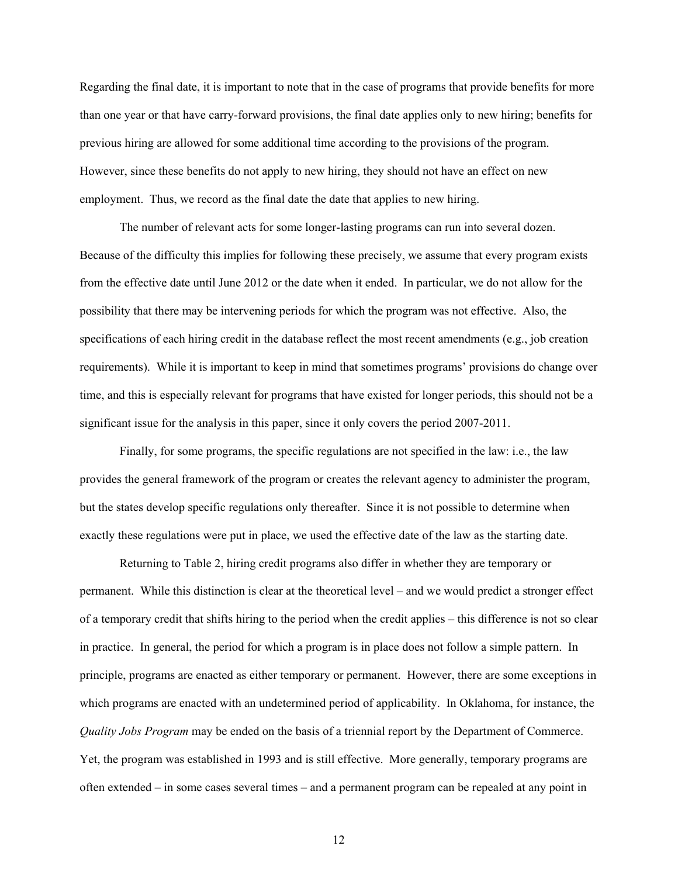Regarding the final date, it is important to note that in the case of programs that provide benefits for more than one year or that have carry-forward provisions, the final date applies only to new hiring; benefits for previous hiring are allowed for some additional time according to the provisions of the program. However, since these benefits do not apply to new hiring, they should not have an effect on new employment. Thus, we record as the final date the date that applies to new hiring.

The number of relevant acts for some longer-lasting programs can run into several dozen. Because of the difficulty this implies for following these precisely, we assume that every program exists from the effective date until June 2012 or the date when it ended. In particular, we do not allow for the possibility that there may be intervening periods for which the program was not effective. Also, the specifications of each hiring credit in the database reflect the most recent amendments (e.g., job creation requirements). While it is important to keep in mind that sometimes programs' provisions do change over time, and this is especially relevant for programs that have existed for longer periods, this should not be a significant issue for the analysis in this paper, since it only covers the period 2007-2011.

Finally, for some programs, the specific regulations are not specified in the law: i.e., the law provides the general framework of the program or creates the relevant agency to administer the program, but the states develop specific regulations only thereafter. Since it is not possible to determine when exactly these regulations were put in place, we used the effective date of the law as the starting date.

Returning to Table 2, hiring credit programs also differ in whether they are temporary or permanent. While this distinction is clear at the theoretical level – and we would predict a stronger effect of a temporary credit that shifts hiring to the period when the credit applies – this difference is not so clear in practice. In general, the period for which a program is in place does not follow a simple pattern. In principle, programs are enacted as either temporary or permanent. However, there are some exceptions in which programs are enacted with an undetermined period of applicability. In Oklahoma, for instance, the *Quality Jobs Program* may be ended on the basis of a triennial report by the Department of Commerce. Yet, the program was established in 1993 and is still effective. More generally, temporary programs are often extended – in some cases several times – and a permanent program can be repealed at any point in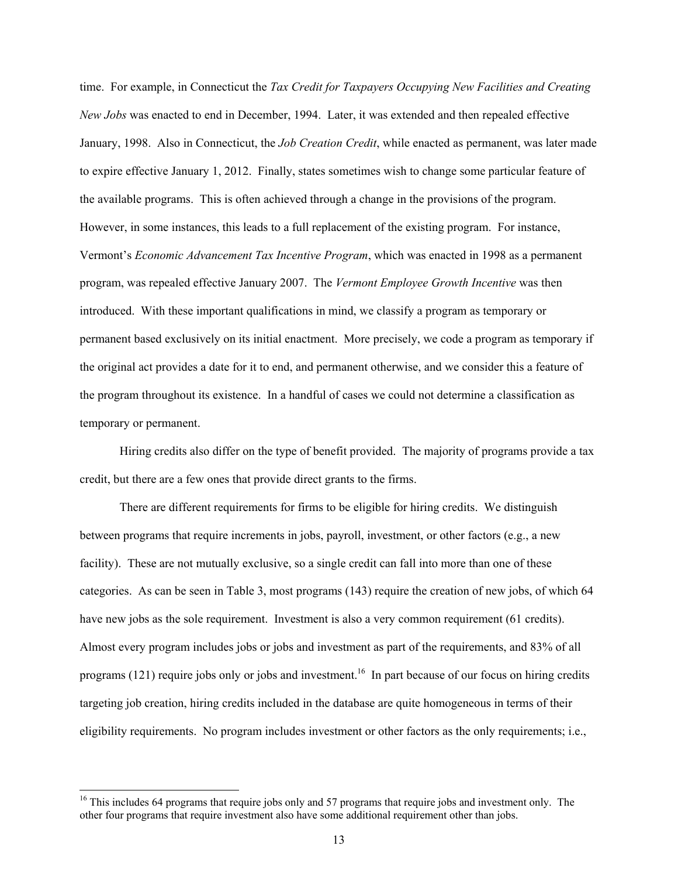time. For example, in Connecticut the *Tax Credit for Taxpayers Occupying New Facilities and Creating New Jobs* was enacted to end in December, 1994. Later, it was extended and then repealed effective January, 1998. Also in Connecticut, the *Job Creation Credit*, while enacted as permanent, was later made to expire effective January 1, 2012. Finally, states sometimes wish to change some particular feature of the available programs. This is often achieved through a change in the provisions of the program. However, in some instances, this leads to a full replacement of the existing program. For instance, Vermont's *Economic Advancement Tax Incentive Program*, which was enacted in 1998 as a permanent program, was repealed effective January 2007. The *Vermont Employee Growth Incentive* was then introduced. With these important qualifications in mind, we classify a program as temporary or permanent based exclusively on its initial enactment. More precisely, we code a program as temporary if the original act provides a date for it to end, and permanent otherwise, and we consider this a feature of the program throughout its existence. In a handful of cases we could not determine a classification as temporary or permanent.

Hiring credits also differ on the type of benefit provided. The majority of programs provide a tax credit, but there are a few ones that provide direct grants to the firms.

There are different requirements for firms to be eligible for hiring credits. We distinguish between programs that require increments in jobs, payroll, investment, or other factors (e.g., a new facility). These are not mutually exclusive, so a single credit can fall into more than one of these categories. As can be seen in Table 3, most programs (143) require the creation of new jobs, of which 64 have new jobs as the sole requirement. Investment is also a very common requirement (61 credits). Almost every program includes jobs or jobs and investment as part of the requirements, and 83% of all programs (121) require jobs only or jobs and investment.<sup>16</sup> In part because of our focus on hiring credits targeting job creation, hiring credits included in the database are quite homogeneous in terms of their eligibility requirements. No program includes investment or other factors as the only requirements; i.e.,

l

<sup>&</sup>lt;sup>16</sup> This includes 64 programs that require jobs only and 57 programs that require jobs and investment only. The other four programs that require investment also have some additional requirement other than jobs.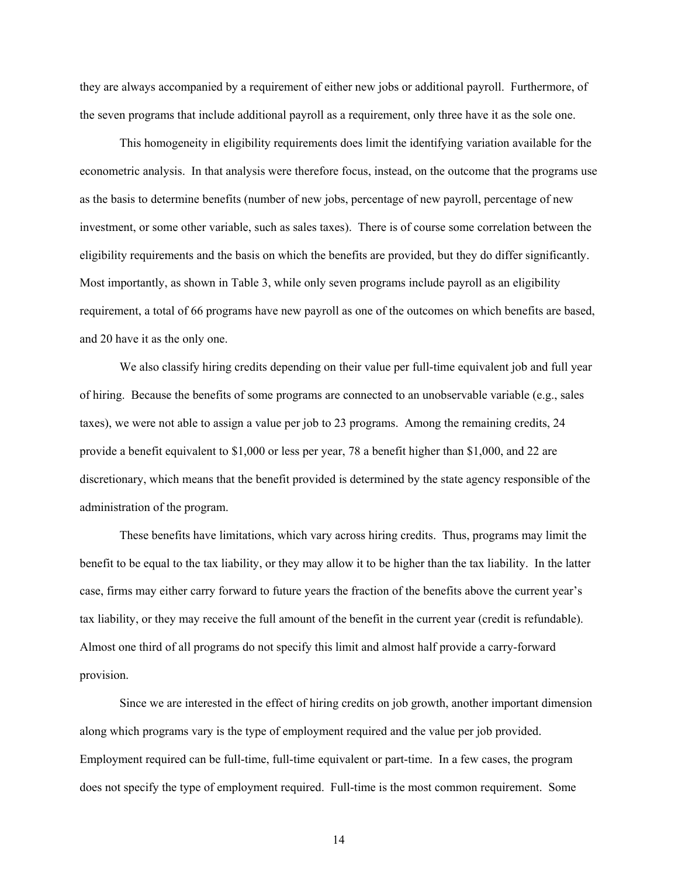they are always accompanied by a requirement of either new jobs or additional payroll. Furthermore, of the seven programs that include additional payroll as a requirement, only three have it as the sole one.

This homogeneity in eligibility requirements does limit the identifying variation available for the econometric analysis. In that analysis were therefore focus, instead, on the outcome that the programs use as the basis to determine benefits (number of new jobs, percentage of new payroll, percentage of new investment, or some other variable, such as sales taxes). There is of course some correlation between the eligibility requirements and the basis on which the benefits are provided, but they do differ significantly. Most importantly, as shown in Table 3, while only seven programs include payroll as an eligibility requirement, a total of 66 programs have new payroll as one of the outcomes on which benefits are based, and 20 have it as the only one.

We also classify hiring credits depending on their value per full-time equivalent job and full year of hiring. Because the benefits of some programs are connected to an unobservable variable (e.g., sales taxes), we were not able to assign a value per job to 23 programs. Among the remaining credits, 24 provide a benefit equivalent to \$1,000 or less per year, 78 a benefit higher than \$1,000, and 22 are discretionary, which means that the benefit provided is determined by the state agency responsible of the administration of the program.

These benefits have limitations, which vary across hiring credits. Thus, programs may limit the benefit to be equal to the tax liability, or they may allow it to be higher than the tax liability. In the latter case, firms may either carry forward to future years the fraction of the benefits above the current year's tax liability, or they may receive the full amount of the benefit in the current year (credit is refundable). Almost one third of all programs do not specify this limit and almost half provide a carry-forward provision.

Since we are interested in the effect of hiring credits on job growth, another important dimension along which programs vary is the type of employment required and the value per job provided. Employment required can be full-time, full-time equivalent or part-time. In a few cases, the program does not specify the type of employment required. Full-time is the most common requirement. Some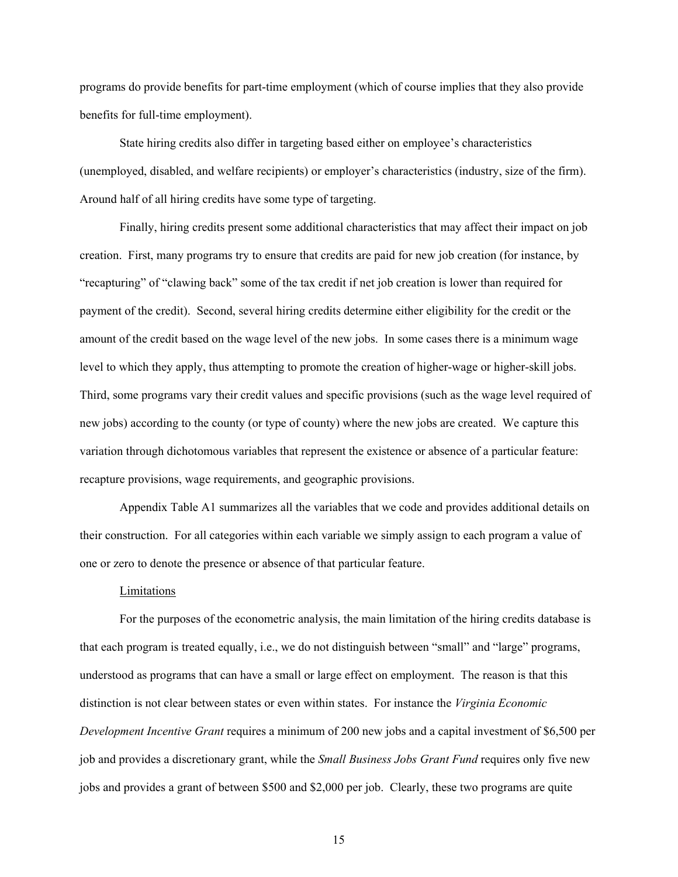programs do provide benefits for part-time employment (which of course implies that they also provide benefits for full-time employment).

State hiring credits also differ in targeting based either on employee's characteristics (unemployed, disabled, and welfare recipients) or employer's characteristics (industry, size of the firm). Around half of all hiring credits have some type of targeting.

Finally, hiring credits present some additional characteristics that may affect their impact on job creation. First, many programs try to ensure that credits are paid for new job creation (for instance, by "recapturing" of "clawing back" some of the tax credit if net job creation is lower than required for payment of the credit). Second, several hiring credits determine either eligibility for the credit or the amount of the credit based on the wage level of the new jobs. In some cases there is a minimum wage level to which they apply, thus attempting to promote the creation of higher-wage or higher-skill jobs. Third, some programs vary their credit values and specific provisions (such as the wage level required of new jobs) according to the county (or type of county) where the new jobs are created. We capture this variation through dichotomous variables that represent the existence or absence of a particular feature: recapture provisions, wage requirements, and geographic provisions.

Appendix Table A1 summarizes all the variables that we code and provides additional details on their construction. For all categories within each variable we simply assign to each program a value of one or zero to denote the presence or absence of that particular feature.

# Limitations

For the purposes of the econometric analysis, the main limitation of the hiring credits database is that each program is treated equally, i.e., we do not distinguish between "small" and "large" programs, understood as programs that can have a small or large effect on employment. The reason is that this distinction is not clear between states or even within states. For instance the *Virginia Economic Development Incentive Grant* requires a minimum of 200 new jobs and a capital investment of \$6,500 per job and provides a discretionary grant, while the *Small Business Jobs Grant Fund* requires only five new jobs and provides a grant of between \$500 and \$2,000 per job. Clearly, these two programs are quite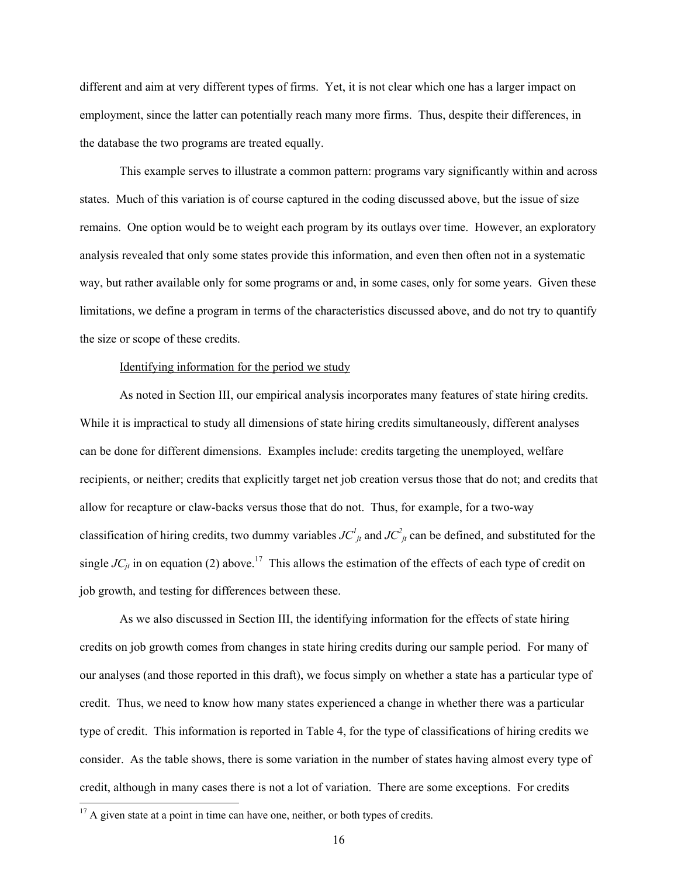different and aim at very different types of firms. Yet, it is not clear which one has a larger impact on employment, since the latter can potentially reach many more firms. Thus, despite their differences, in the database the two programs are treated equally.

This example serves to illustrate a common pattern: programs vary significantly within and across states. Much of this variation is of course captured in the coding discussed above, but the issue of size remains. One option would be to weight each program by its outlays over time. However, an exploratory analysis revealed that only some states provide this information, and even then often not in a systematic way, but rather available only for some programs or and, in some cases, only for some years. Given these limitations, we define a program in terms of the characteristics discussed above, and do not try to quantify the size or scope of these credits.

#### Identifying information for the period we study

As noted in Section III, our empirical analysis incorporates many features of state hiring credits. While it is impractical to study all dimensions of state hiring credits simultaneously, different analyses can be done for different dimensions. Examples include: credits targeting the unemployed, welfare recipients, or neither; credits that explicitly target net job creation versus those that do not; and credits that allow for recapture or claw-backs versus those that do not. Thus, for example, for a two-way classification of hiring credits, two dummy variables  $JC^l_{jt}$  and  $JC^2_{jt}$  can be defined, and substituted for the single  $JC_{ii}$  in on equation (2) above.<sup>17</sup> This allows the estimation of the effects of each type of credit on job growth, and testing for differences between these.

As we also discussed in Section III, the identifying information for the effects of state hiring credits on job growth comes from changes in state hiring credits during our sample period. For many of our analyses (and those reported in this draft), we focus simply on whether a state has a particular type of credit. Thus, we need to know how many states experienced a change in whether there was a particular type of credit. This information is reported in Table 4, for the type of classifications of hiring credits we consider. As the table shows, there is some variation in the number of states having almost every type of credit, although in many cases there is not a lot of variation. There are some exceptions. For credits

 $\overline{\phantom{a}}$ 

 $17$  A given state at a point in time can have one, neither, or both types of credits.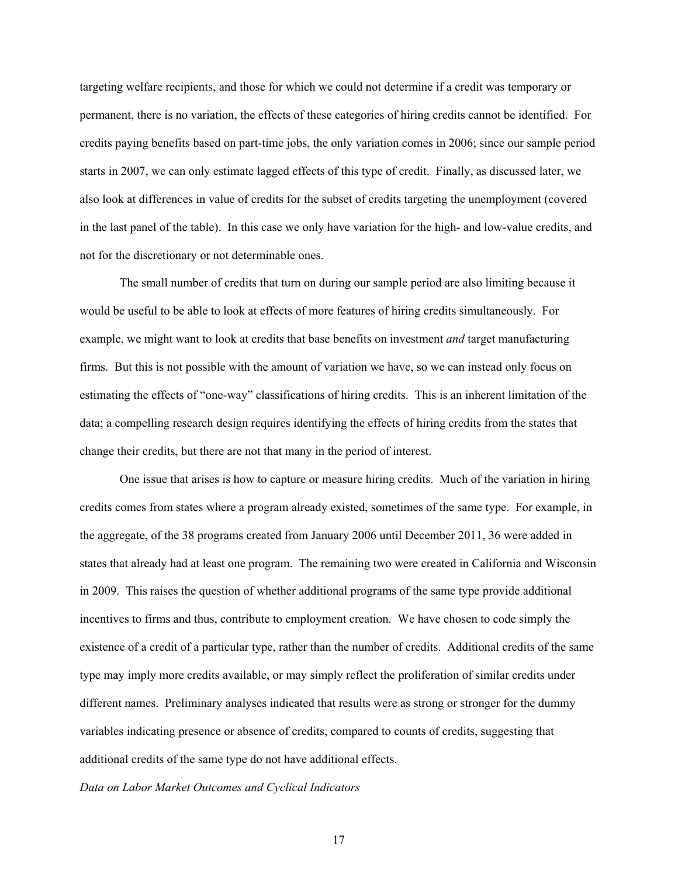targeting welfare recipients, and those for which we could not determine if a credit was temporary or permanent, there is no variation, the effects of these categories of hiring credits cannot be identified. For credits paying benefits based on part-time jobs, the only variation comes in 2006; since our sample period starts in 2007, we can only estimate lagged effects of this type of credit. Finally, as discussed later, we also look at differences in value of credits for the subset of credits targeting the unemployment (covered in the last panel of the table). In this case we only have variation for the high- and low-value credits, and not for the discretionary or not determinable ones.

The small number of credits that turn on during our sample period are also limiting because it would be useful to be able to look at effects of more features of hiring credits simultaneously. For example, we might want to look at credits that base benefits on investment *and* target manufacturing firms. But this is not possible with the amount of variation we have, so we can instead only focus on estimating the effects of "one-way" classifications of hiring credits. This is an inherent limitation of the data; a compelling research design requires identifying the effects of hiring credits from the states that change their credits, but there are not that many in the period of interest.

One issue that arises is how to capture or measure hiring credits. Much of the variation in hiring credits comes from states where a program already existed, sometimes of the same type. For example, in the aggregate, of the 38 programs created from January 2006 until December 2011, 36 were added in states that already had at least one program. The remaining two were created in California and Wisconsin in 2009. This raises the question of whether additional programs of the same type provide additional incentives to firms and thus, contribute to employment creation. We have chosen to code simply the existence of a credit of a particular type, rather than the number of credits. Additional credits of the same type may imply more credits available, or may simply reflect the proliferation of similar credits under different names. Preliminary analyses indicated that results were as strong or stronger for the dummy variables indicating presence or absence of credits, compared to counts of credits, suggesting that additional credits of the same type do not have additional effects.

*Data on Labor Market Outcomes and Cyclical Indicators*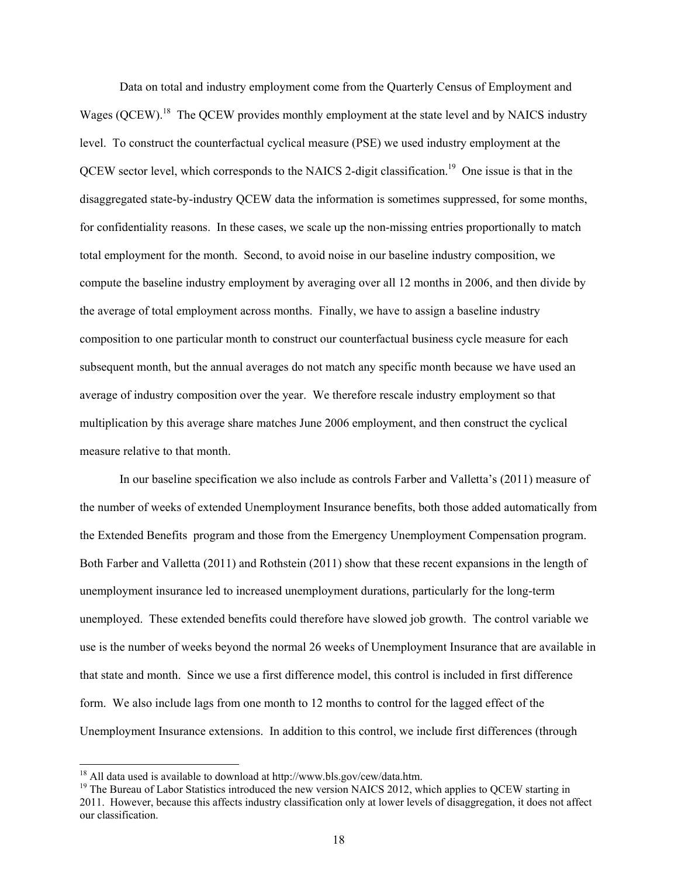Data on total and industry employment come from the Quarterly Census of Employment and Wages (QCEW).<sup>18</sup> The QCEW provides monthly employment at the state level and by NAICS industry level. To construct the counterfactual cyclical measure (PSE) we used industry employment at the QCEW sector level, which corresponds to the NAICS 2-digit classification.19 One issue is that in the disaggregated state-by-industry QCEW data the information is sometimes suppressed, for some months, for confidentiality reasons. In these cases, we scale up the non-missing entries proportionally to match total employment for the month. Second, to avoid noise in our baseline industry composition, we compute the baseline industry employment by averaging over all 12 months in 2006, and then divide by the average of total employment across months. Finally, we have to assign a baseline industry composition to one particular month to construct our counterfactual business cycle measure for each subsequent month, but the annual averages do not match any specific month because we have used an average of industry composition over the year. We therefore rescale industry employment so that multiplication by this average share matches June 2006 employment, and then construct the cyclical measure relative to that month.

In our baseline specification we also include as controls Farber and Valletta's (2011) measure of the number of weeks of extended Unemployment Insurance benefits, both those added automatically from the Extended Benefits program and those from the Emergency Unemployment Compensation program. Both Farber and Valletta (2011) and Rothstein (2011) show that these recent expansions in the length of unemployment insurance led to increased unemployment durations, particularly for the long-term unemployed. These extended benefits could therefore have slowed job growth. The control variable we use is the number of weeks beyond the normal 26 weeks of Unemployment Insurance that are available in that state and month. Since we use a first difference model, this control is included in first difference form. We also include lags from one month to 12 months to control for the lagged effect of the Unemployment Insurance extensions. In addition to this control, we include first differences (through

-

<sup>&</sup>lt;sup>18</sup> All data used is available to download at http://www.bls.gov/cew/data.htm.<br><sup>19</sup> The Bureau of Labor Statistics introduced the new version NAICS 2012, which applies to QCEW starting in 2011. However, because this affects industry classification only at lower levels of disaggregation, it does not affect our classification.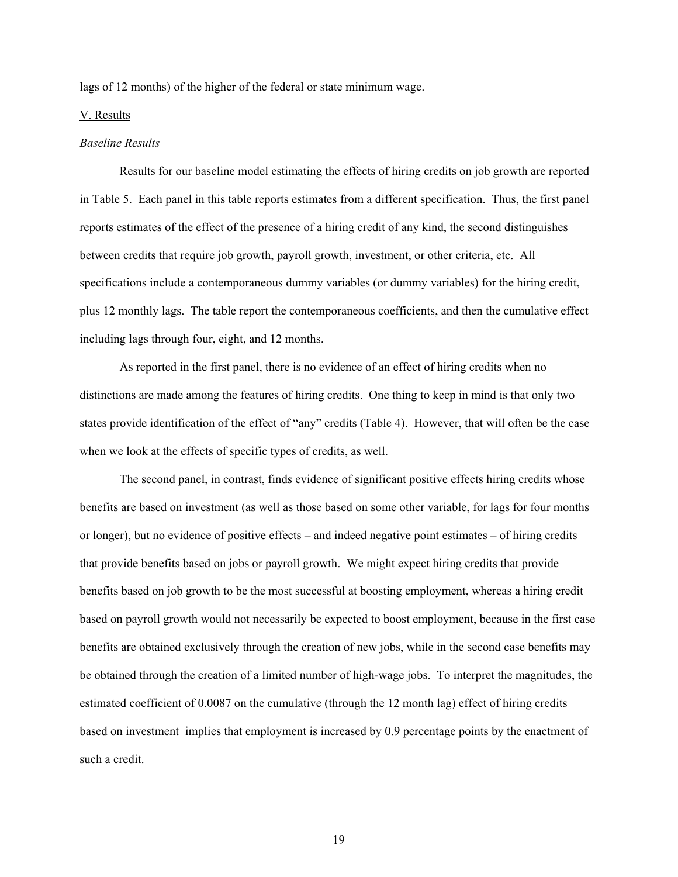lags of 12 months) of the higher of the federal or state minimum wage.

#### V. Results

#### *Baseline Results*

Results for our baseline model estimating the effects of hiring credits on job growth are reported in Table 5. Each panel in this table reports estimates from a different specification. Thus, the first panel reports estimates of the effect of the presence of a hiring credit of any kind, the second distinguishes between credits that require job growth, payroll growth, investment, or other criteria, etc. All specifications include a contemporaneous dummy variables (or dummy variables) for the hiring credit, plus 12 monthly lags. The table report the contemporaneous coefficients, and then the cumulative effect including lags through four, eight, and 12 months.

 As reported in the first panel, there is no evidence of an effect of hiring credits when no distinctions are made among the features of hiring credits. One thing to keep in mind is that only two states provide identification of the effect of "any" credits (Table 4). However, that will often be the case when we look at the effects of specific types of credits, as well.

The second panel, in contrast, finds evidence of significant positive effects hiring credits whose benefits are based on investment (as well as those based on some other variable, for lags for four months or longer), but no evidence of positive effects – and indeed negative point estimates – of hiring credits that provide benefits based on jobs or payroll growth. We might expect hiring credits that provide benefits based on job growth to be the most successful at boosting employment, whereas a hiring credit based on payroll growth would not necessarily be expected to boost employment, because in the first case benefits are obtained exclusively through the creation of new jobs, while in the second case benefits may be obtained through the creation of a limited number of high-wage jobs. To interpret the magnitudes, the estimated coefficient of 0.0087 on the cumulative (through the 12 month lag) effect of hiring credits based on investment implies that employment is increased by 0.9 percentage points by the enactment of such a credit.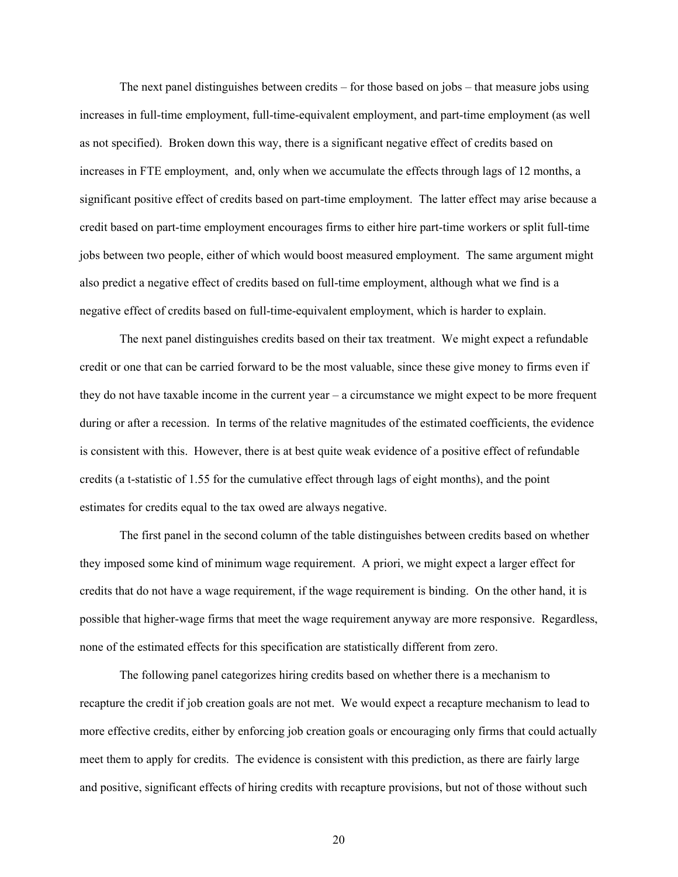The next panel distinguishes between credits – for those based on jobs – that measure jobs using increases in full-time employment, full-time-equivalent employment, and part-time employment (as well as not specified). Broken down this way, there is a significant negative effect of credits based on increases in FTE employment, and, only when we accumulate the effects through lags of 12 months, a significant positive effect of credits based on part-time employment. The latter effect may arise because a credit based on part-time employment encourages firms to either hire part-time workers or split full-time jobs between two people, either of which would boost measured employment. The same argument might also predict a negative effect of credits based on full-time employment, although what we find is a negative effect of credits based on full-time-equivalent employment, which is harder to explain.

The next panel distinguishes credits based on their tax treatment. We might expect a refundable credit or one that can be carried forward to be the most valuable, since these give money to firms even if they do not have taxable income in the current year – a circumstance we might expect to be more frequent during or after a recession. In terms of the relative magnitudes of the estimated coefficients, the evidence is consistent with this. However, there is at best quite weak evidence of a positive effect of refundable credits (a t-statistic of 1.55 for the cumulative effect through lags of eight months), and the point estimates for credits equal to the tax owed are always negative.

The first panel in the second column of the table distinguishes between credits based on whether they imposed some kind of minimum wage requirement. A priori, we might expect a larger effect for credits that do not have a wage requirement, if the wage requirement is binding. On the other hand, it is possible that higher-wage firms that meet the wage requirement anyway are more responsive. Regardless, none of the estimated effects for this specification are statistically different from zero.

The following panel categorizes hiring credits based on whether there is a mechanism to recapture the credit if job creation goals are not met. We would expect a recapture mechanism to lead to more effective credits, either by enforcing job creation goals or encouraging only firms that could actually meet them to apply for credits. The evidence is consistent with this prediction, as there are fairly large and positive, significant effects of hiring credits with recapture provisions, but not of those without such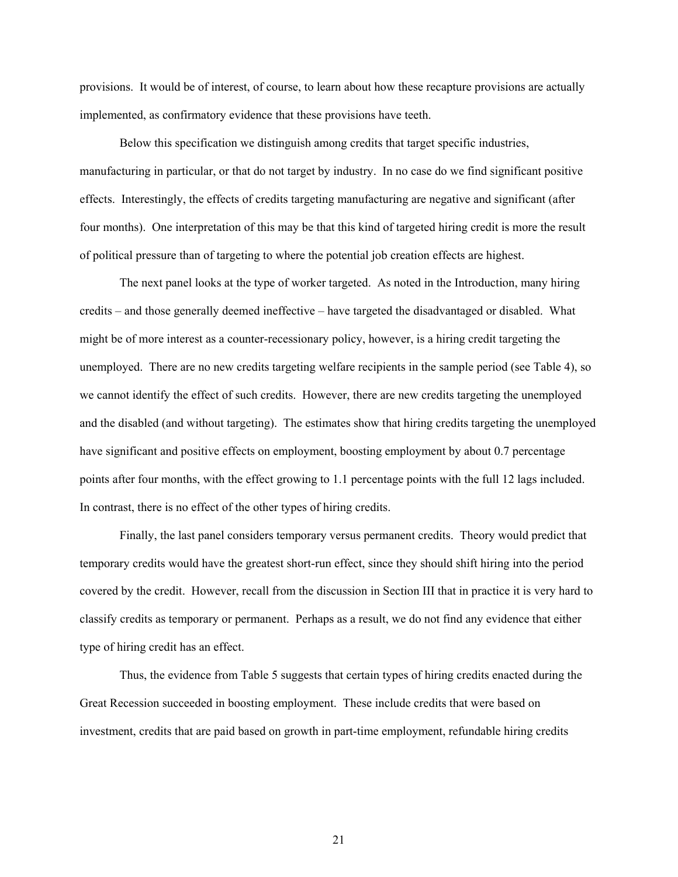provisions. It would be of interest, of course, to learn about how these recapture provisions are actually implemented, as confirmatory evidence that these provisions have teeth.

Below this specification we distinguish among credits that target specific industries, manufacturing in particular, or that do not target by industry. In no case do we find significant positive effects. Interestingly, the effects of credits targeting manufacturing are negative and significant (after four months). One interpretation of this may be that this kind of targeted hiring credit is more the result of political pressure than of targeting to where the potential job creation effects are highest.

The next panel looks at the type of worker targeted. As noted in the Introduction, many hiring credits – and those generally deemed ineffective – have targeted the disadvantaged or disabled. What might be of more interest as a counter-recessionary policy, however, is a hiring credit targeting the unemployed. There are no new credits targeting welfare recipients in the sample period (see Table 4), so we cannot identify the effect of such credits. However, there are new credits targeting the unemployed and the disabled (and without targeting). The estimates show that hiring credits targeting the unemployed have significant and positive effects on employment, boosting employment by about 0.7 percentage points after four months, with the effect growing to 1.1 percentage points with the full 12 lags included. In contrast, there is no effect of the other types of hiring credits.

Finally, the last panel considers temporary versus permanent credits. Theory would predict that temporary credits would have the greatest short-run effect, since they should shift hiring into the period covered by the credit. However, recall from the discussion in Section III that in practice it is very hard to classify credits as temporary or permanent. Perhaps as a result, we do not find any evidence that either type of hiring credit has an effect.

Thus, the evidence from Table 5 suggests that certain types of hiring credits enacted during the Great Recession succeeded in boosting employment. These include credits that were based on investment, credits that are paid based on growth in part-time employment, refundable hiring credits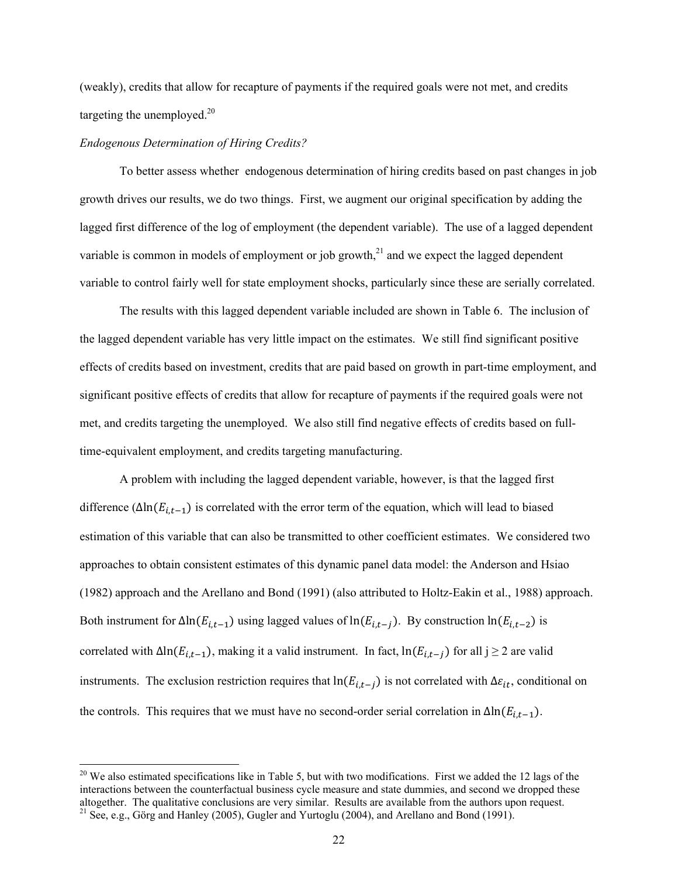(weakly), credits that allow for recapture of payments if the required goals were not met, and credits targeting the unemployed. $^{20}$ 

#### *Endogenous Determination of Hiring Credits?*

 $\overline{\phantom{a}}$ 

To better assess whether endogenous determination of hiring credits based on past changes in job growth drives our results, we do two things. First, we augment our original specification by adding the lagged first difference of the log of employment (the dependent variable). The use of a lagged dependent variable is common in models of employment or job growth, $^{21}$  and we expect the lagged dependent variable to control fairly well for state employment shocks, particularly since these are serially correlated.

 The results with this lagged dependent variable included are shown in Table 6. The inclusion of the lagged dependent variable has very little impact on the estimates. We still find significant positive effects of credits based on investment, credits that are paid based on growth in part-time employment, and significant positive effects of credits that allow for recapture of payments if the required goals were not met, and credits targeting the unemployed. We also still find negative effects of credits based on fulltime-equivalent employment, and credits targeting manufacturing.

A problem with including the lagged dependent variable, however, is that the lagged first difference ( $\Delta \ln(E_{i,t-1})$  is correlated with the error term of the equation, which will lead to biased estimation of this variable that can also be transmitted to other coefficient estimates. We considered two approaches to obtain consistent estimates of this dynamic panel data model: the Anderson and Hsiao (1982) approach and the Arellano and Bond (1991) (also attributed to Holtz-Eakin et al., 1988) approach. Both instrument for  $\Delta \ln(E_{i,t-1})$  using lagged values of  $\ln(E_{i,t-j})$ . By construction  $\ln(E_{i,t-2})$  is correlated with  $\Delta \ln(E_{i,t-1})$ , making it a valid instrument. In fact,  $\ln(E_{i,t-1})$  for all j ≥ 2 are valid instruments. The exclusion restriction requires that ln( $E_{i,t-j}$ ) is not correlated with  $\Delta \varepsilon_{it}$ , conditional on the controls. This requires that we must have no second-order serial correlation in  $\Delta \ln(E_{i,t-1})$ .

 $20$  We also estimated specifications like in Table 5, but with two modifications. First we added the 12 lags of the interactions between the counterfactual business cycle measure and state dummies, and second we dropped these altogether. The qualitative conclusions are very similar. Results are available from the authors upon request. <sup>21</sup> See, e.g., Görg and Hanley (2005), Gugler and Yurtoglu (2004), and Arellano and Bond (1991).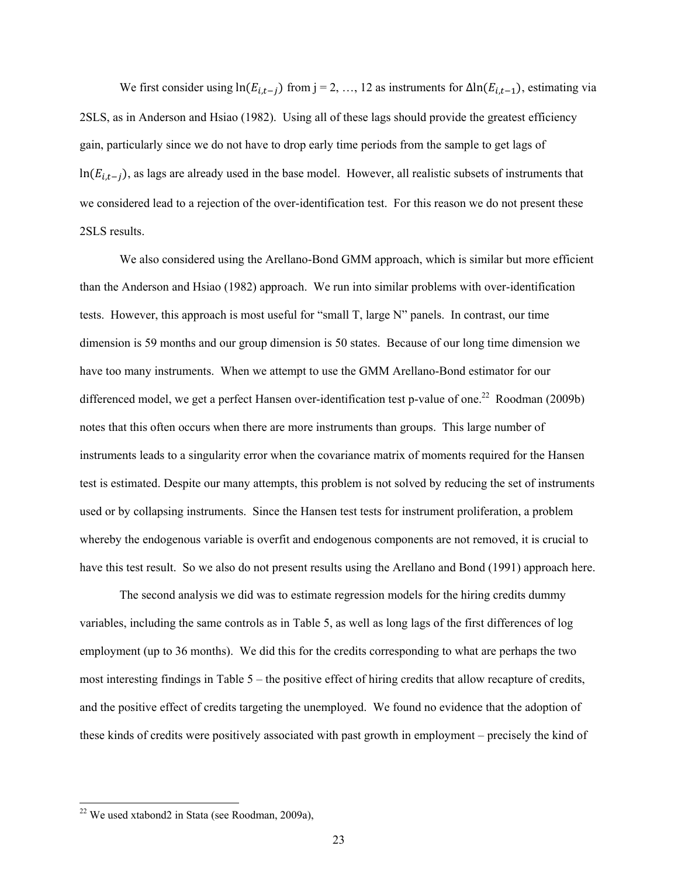We first consider using  $ln(E_{i,t-j})$  from j = 2, …, 12 as instruments for  $\Delta ln(E_{i,t-1})$ , estimating via 2SLS, as in Anderson and Hsiao (1982). Using all of these lags should provide the greatest efficiency gain, particularly since we do not have to drop early time periods from the sample to get lags of  $ln(E_{i,t-j})$ , as lags are already used in the base model. However, all realistic subsets of instruments that we considered lead to a rejection of the over-identification test. For this reason we do not present these 2SLS results.

We also considered using the Arellano-Bond GMM approach, which is similar but more efficient than the Anderson and Hsiao (1982) approach. We run into similar problems with over-identification tests. However, this approach is most useful for "small T, large N" panels. In contrast, our time dimension is 59 months and our group dimension is 50 states. Because of our long time dimension we have too many instruments. When we attempt to use the GMM Arellano-Bond estimator for our differenced model, we get a perfect Hansen over-identification test p-value of one.<sup>22</sup> Roodman (2009b) notes that this often occurs when there are more instruments than groups. This large number of instruments leads to a singularity error when the covariance matrix of moments required for the Hansen test is estimated. Despite our many attempts, this problem is not solved by reducing the set of instruments used or by collapsing instruments. Since the Hansen test tests for instrument proliferation, a problem whereby the endogenous variable is overfit and endogenous components are not removed, it is crucial to have this test result. So we also do not present results using the Arellano and Bond (1991) approach here.

The second analysis we did was to estimate regression models for the hiring credits dummy variables, including the same controls as in Table 5, as well as long lags of the first differences of log employment (up to 36 months). We did this for the credits corresponding to what are perhaps the two most interesting findings in Table 5 – the positive effect of hiring credits that allow recapture of credits, and the positive effect of credits targeting the unemployed. We found no evidence that the adoption of these kinds of credits were positively associated with past growth in employment – precisely the kind of

 $\overline{\phantom{a}}$ 

 $22$  We used xtabond2 in Stata (see Roodman, 2009a),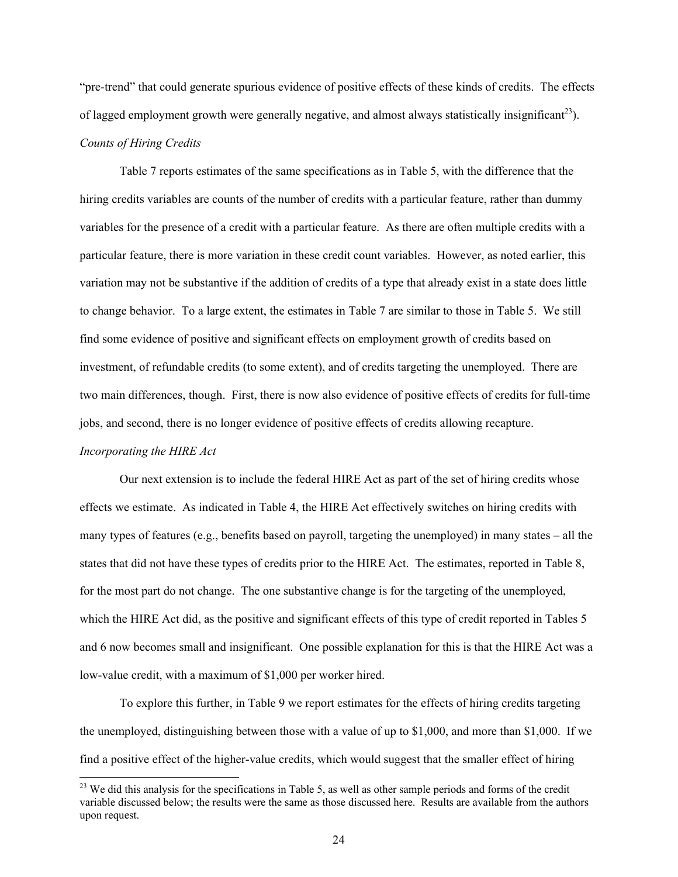"pre-trend" that could generate spurious evidence of positive effects of these kinds of credits. The effects of lagged employment growth were generally negative, and almost always statistically insignificant<sup>23</sup>). *Counts of Hiring Credits* 

Table 7 reports estimates of the same specifications as in Table 5, with the difference that the hiring credits variables are counts of the number of credits with a particular feature, rather than dummy variables for the presence of a credit with a particular feature. As there are often multiple credits with a particular feature, there is more variation in these credit count variables. However, as noted earlier, this variation may not be substantive if the addition of credits of a type that already exist in a state does little to change behavior. To a large extent, the estimates in Table 7 are similar to those in Table 5. We still find some evidence of positive and significant effects on employment growth of credits based on investment, of refundable credits (to some extent), and of credits targeting the unemployed. There are two main differences, though. First, there is now also evidence of positive effects of credits for full-time jobs, and second, there is no longer evidence of positive effects of credits allowing recapture.

# *Incorporating the HIRE Act*

1

Our next extension is to include the federal HIRE Act as part of the set of hiring credits whose effects we estimate. As indicated in Table 4, the HIRE Act effectively switches on hiring credits with many types of features (e.g., benefits based on payroll, targeting the unemployed) in many states – all the states that did not have these types of credits prior to the HIRE Act. The estimates, reported in Table 8, for the most part do not change. The one substantive change is for the targeting of the unemployed, which the HIRE Act did, as the positive and significant effects of this type of credit reported in Tables 5 and 6 now becomes small and insignificant. One possible explanation for this is that the HIRE Act was a low-value credit, with a maximum of \$1,000 per worker hired.

To explore this further, in Table 9 we report estimates for the effects of hiring credits targeting the unemployed, distinguishing between those with a value of up to \$1,000, and more than \$1,000. If we find a positive effect of the higher-value credits, which would suggest that the smaller effect of hiring

 $23$  We did this analysis for the specifications in Table 5, as well as other sample periods and forms of the credit variable discussed below; the results were the same as those discussed here. Results are available from the authors upon request.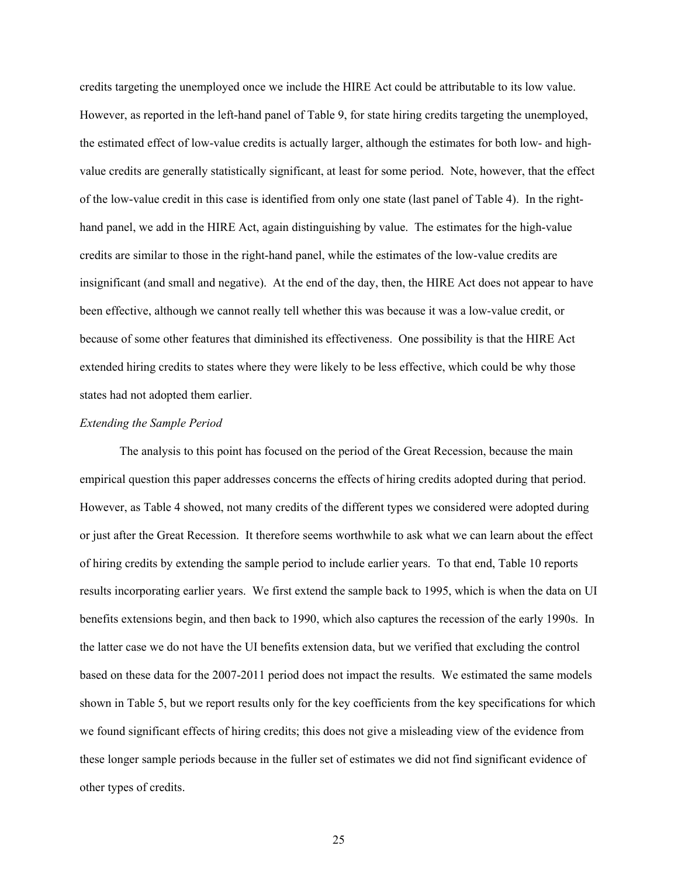credits targeting the unemployed once we include the HIRE Act could be attributable to its low value. However, as reported in the left-hand panel of Table 9, for state hiring credits targeting the unemployed, the estimated effect of low-value credits is actually larger, although the estimates for both low- and highvalue credits are generally statistically significant, at least for some period. Note, however, that the effect of the low-value credit in this case is identified from only one state (last panel of Table 4). In the righthand panel, we add in the HIRE Act, again distinguishing by value. The estimates for the high-value credits are similar to those in the right-hand panel, while the estimates of the low-value credits are insignificant (and small and negative). At the end of the day, then, the HIRE Act does not appear to have been effective, although we cannot really tell whether this was because it was a low-value credit, or because of some other features that diminished its effectiveness. One possibility is that the HIRE Act extended hiring credits to states where they were likely to be less effective, which could be why those states had not adopted them earlier.

## *Extending the Sample Period*

The analysis to this point has focused on the period of the Great Recession, because the main empirical question this paper addresses concerns the effects of hiring credits adopted during that period. However, as Table 4 showed, not many credits of the different types we considered were adopted during or just after the Great Recession. It therefore seems worthwhile to ask what we can learn about the effect of hiring credits by extending the sample period to include earlier years. To that end, Table 10 reports results incorporating earlier years. We first extend the sample back to 1995, which is when the data on UI benefits extensions begin, and then back to 1990, which also captures the recession of the early 1990s. In the latter case we do not have the UI benefits extension data, but we verified that excluding the control based on these data for the 2007-2011 period does not impact the results. We estimated the same models shown in Table 5, but we report results only for the key coefficients from the key specifications for which we found significant effects of hiring credits; this does not give a misleading view of the evidence from these longer sample periods because in the fuller set of estimates we did not find significant evidence of other types of credits.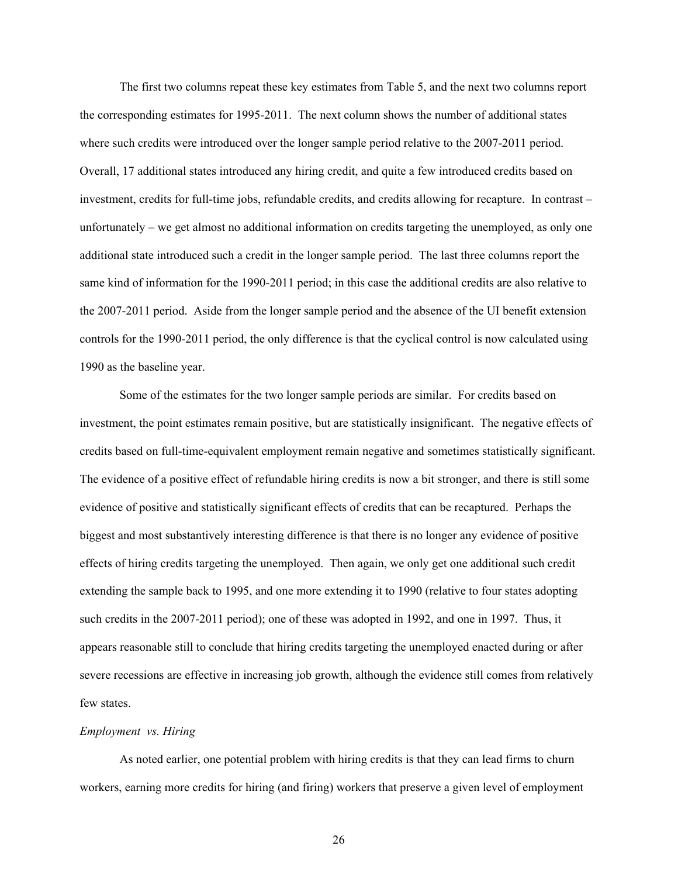The first two columns repeat these key estimates from Table 5, and the next two columns report the corresponding estimates for 1995-2011. The next column shows the number of additional states where such credits were introduced over the longer sample period relative to the 2007-2011 period. Overall, 17 additional states introduced any hiring credit, and quite a few introduced credits based on investment, credits for full-time jobs, refundable credits, and credits allowing for recapture. In contrast – unfortunately – we get almost no additional information on credits targeting the unemployed, as only one additional state introduced such a credit in the longer sample period. The last three columns report the same kind of information for the 1990-2011 period; in this case the additional credits are also relative to the 2007-2011 period. Aside from the longer sample period and the absence of the UI benefit extension controls for the 1990-2011 period, the only difference is that the cyclical control is now calculated using 1990 as the baseline year.

Some of the estimates for the two longer sample periods are similar. For credits based on investment, the point estimates remain positive, but are statistically insignificant. The negative effects of credits based on full-time-equivalent employment remain negative and sometimes statistically significant. The evidence of a positive effect of refundable hiring credits is now a bit stronger, and there is still some evidence of positive and statistically significant effects of credits that can be recaptured. Perhaps the biggest and most substantively interesting difference is that there is no longer any evidence of positive effects of hiring credits targeting the unemployed. Then again, we only get one additional such credit extending the sample back to 1995, and one more extending it to 1990 (relative to four states adopting such credits in the 2007-2011 period); one of these was adopted in 1992, and one in 1997. Thus, it appears reasonable still to conclude that hiring credits targeting the unemployed enacted during or after severe recessions are effective in increasing job growth, although the evidence still comes from relatively few states.

#### *Employment vs. Hiring*

As noted earlier, one potential problem with hiring credits is that they can lead firms to churn workers, earning more credits for hiring (and firing) workers that preserve a given level of employment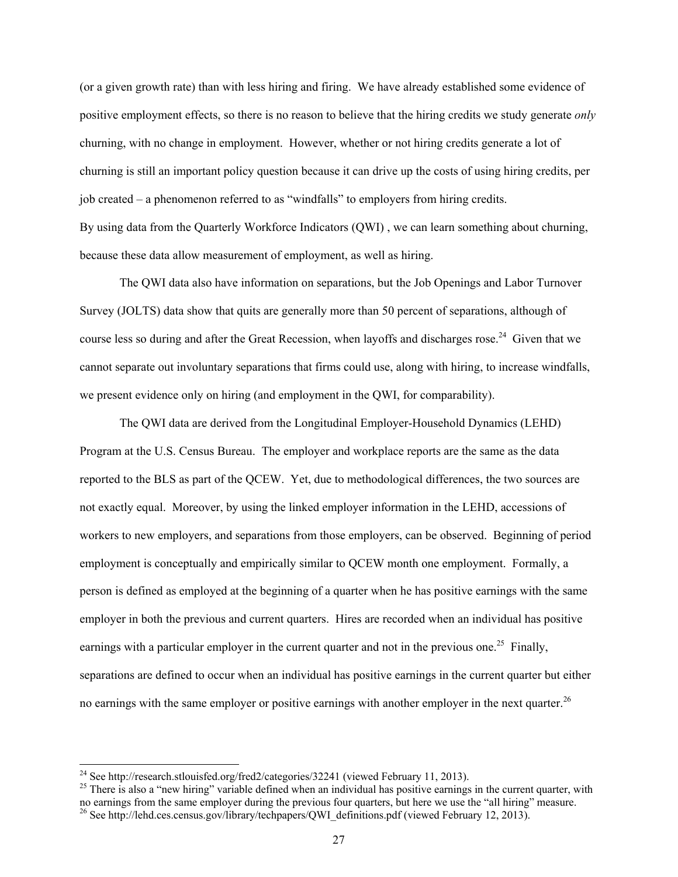(or a given growth rate) than with less hiring and firing. We have already established some evidence of positive employment effects, so there is no reason to believe that the hiring credits we study generate *only*  churning, with no change in employment. However, whether or not hiring credits generate a lot of churning is still an important policy question because it can drive up the costs of using hiring credits, per job created – a phenomenon referred to as "windfalls" to employers from hiring credits. By using data from the Quarterly Workforce Indicators (QWI) , we can learn something about churning, because these data allow measurement of employment, as well as hiring.

The QWI data also have information on separations, but the Job Openings and Labor Turnover Survey (JOLTS) data show that quits are generally more than 50 percent of separations, although of course less so during and after the Great Recession, when layoffs and discharges rose.<sup>24</sup> Given that we cannot separate out involuntary separations that firms could use, along with hiring, to increase windfalls, we present evidence only on hiring (and employment in the QWI, for comparability).

The QWI data are derived from the Longitudinal Employer-Household Dynamics (LEHD) Program at the U.S. Census Bureau. The employer and workplace reports are the same as the data reported to the BLS as part of the QCEW. Yet, due to methodological differences, the two sources are not exactly equal. Moreover, by using the linked employer information in the LEHD, accessions of workers to new employers, and separations from those employers, can be observed. Beginning of period employment is conceptually and empirically similar to QCEW month one employment. Formally, a person is defined as employed at the beginning of a quarter when he has positive earnings with the same employer in both the previous and current quarters. Hires are recorded when an individual has positive earnings with a particular employer in the current quarter and not in the previous one.<sup>25</sup> Finally, separations are defined to occur when an individual has positive earnings in the current quarter but either no earnings with the same employer or positive earnings with another employer in the next quarter.<sup>26</sup>

-

<sup>&</sup>lt;sup>24</sup> See http://research.stlouisfed.org/fred2/categories/32241 (viewed February 11, 2013).<br><sup>25</sup> There is also a "new hiring" variable defined when an individual has positive earnings in the current quarter, with no earnings from the same employer during the previous four quarters, but here we use the "all hiring" measure. <sup>26</sup> See http://lehd.ces.census.gov/library/techpapers/QWI\_definitions.pdf (viewed February 12, 2013).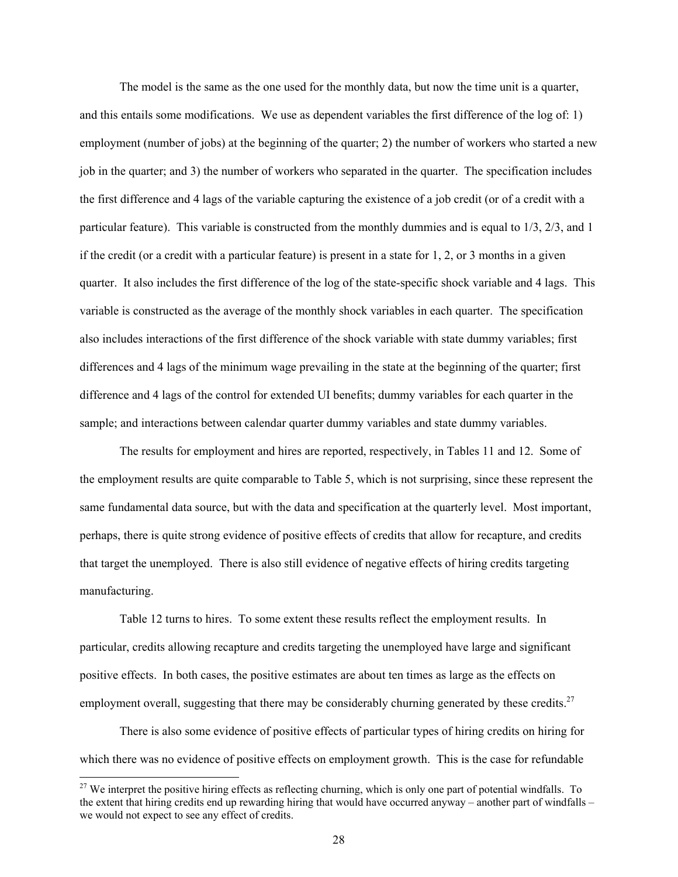The model is the same as the one used for the monthly data, but now the time unit is a quarter, and this entails some modifications. We use as dependent variables the first difference of the log of: 1) employment (number of jobs) at the beginning of the quarter; 2) the number of workers who started a new job in the quarter; and 3) the number of workers who separated in the quarter. The specification includes the first difference and 4 lags of the variable capturing the existence of a job credit (or of a credit with a particular feature). This variable is constructed from the monthly dummies and is equal to 1/3, 2/3, and 1 if the credit (or a credit with a particular feature) is present in a state for  $1, 2$ , or 3 months in a given quarter. It also includes the first difference of the log of the state-specific shock variable and 4 lags. This variable is constructed as the average of the monthly shock variables in each quarter. The specification also includes interactions of the first difference of the shock variable with state dummy variables; first differences and 4 lags of the minimum wage prevailing in the state at the beginning of the quarter; first difference and 4 lags of the control for extended UI benefits; dummy variables for each quarter in the sample; and interactions between calendar quarter dummy variables and state dummy variables.

The results for employment and hires are reported, respectively, in Tables 11 and 12. Some of the employment results are quite comparable to Table 5, which is not surprising, since these represent the same fundamental data source, but with the data and specification at the quarterly level. Most important, perhaps, there is quite strong evidence of positive effects of credits that allow for recapture, and credits that target the unemployed. There is also still evidence of negative effects of hiring credits targeting manufacturing.

Table 12 turns to hires. To some extent these results reflect the employment results. In particular, credits allowing recapture and credits targeting the unemployed have large and significant positive effects. In both cases, the positive estimates are about ten times as large as the effects on employment overall, suggesting that there may be considerably churning generated by these credits.<sup>27</sup>

There is also some evidence of positive effects of particular types of hiring credits on hiring for which there was no evidence of positive effects on employment growth. This is the case for refundable

l

 $27$  We interpret the positive hiring effects as reflecting churning, which is only one part of potential windfalls. To the extent that hiring credits end up rewarding hiring that would have occurred anyway – another part of windfalls – we would not expect to see any effect of credits.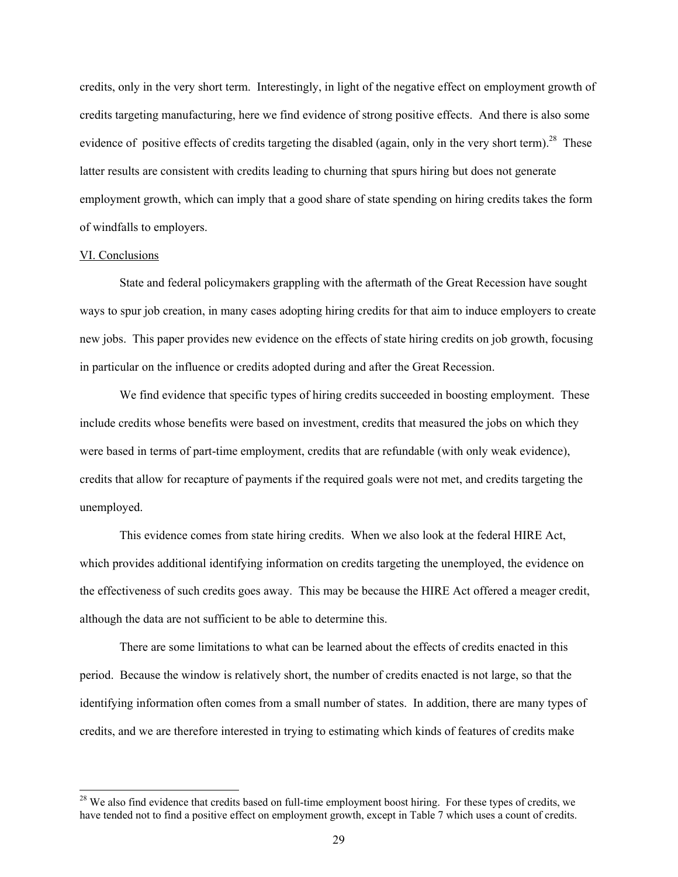credits, only in the very short term. Interestingly, in light of the negative effect on employment growth of credits targeting manufacturing, here we find evidence of strong positive effects. And there is also some evidence of positive effects of credits targeting the disabled (again, only in the very short term).<sup>28</sup> These latter results are consistent with credits leading to churning that spurs hiring but does not generate employment growth, which can imply that a good share of state spending on hiring credits takes the form of windfalls to employers.

# VI. Conclusions

1

State and federal policymakers grappling with the aftermath of the Great Recession have sought ways to spur job creation, in many cases adopting hiring credits for that aim to induce employers to create new jobs. This paper provides new evidence on the effects of state hiring credits on job growth, focusing in particular on the influence or credits adopted during and after the Great Recession.

We find evidence that specific types of hiring credits succeeded in boosting employment. These include credits whose benefits were based on investment, credits that measured the jobs on which they were based in terms of part-time employment, credits that are refundable (with only weak evidence), credits that allow for recapture of payments if the required goals were not met, and credits targeting the unemployed.

This evidence comes from state hiring credits. When we also look at the federal HIRE Act, which provides additional identifying information on credits targeting the unemployed, the evidence on the effectiveness of such credits goes away. This may be because the HIRE Act offered a meager credit, although the data are not sufficient to be able to determine this.

There are some limitations to what can be learned about the effects of credits enacted in this period. Because the window is relatively short, the number of credits enacted is not large, so that the identifying information often comes from a small number of states. In addition, there are many types of credits, and we are therefore interested in trying to estimating which kinds of features of credits make

 $28$  We also find evidence that credits based on full-time employment boost hiring. For these types of credits, we have tended not to find a positive effect on employment growth, except in Table 7 which uses a count of credits.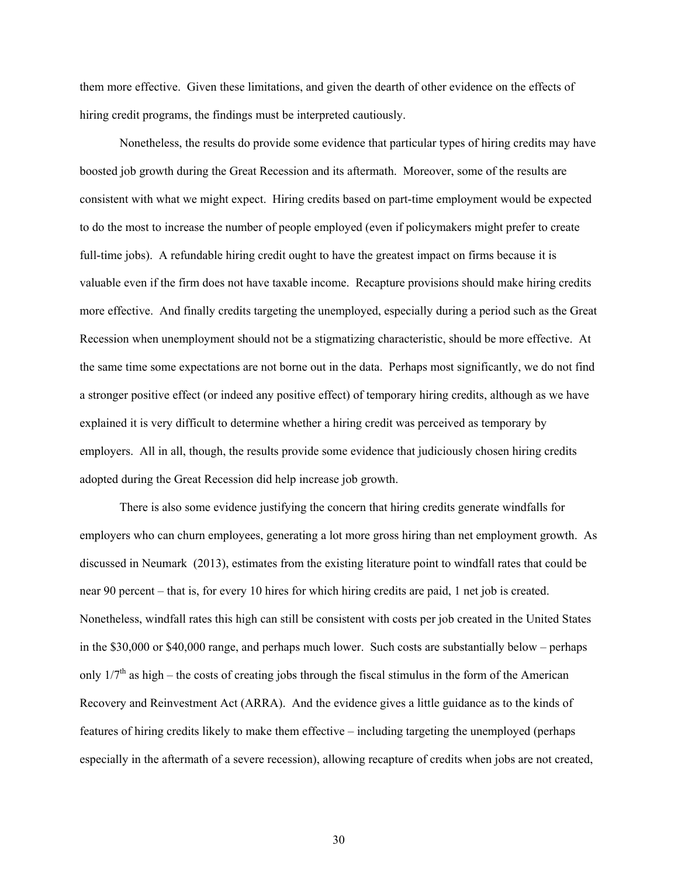them more effective. Given these limitations, and given the dearth of other evidence on the effects of hiring credit programs, the findings must be interpreted cautiously.

Nonetheless, the results do provide some evidence that particular types of hiring credits may have boosted job growth during the Great Recession and its aftermath. Moreover, some of the results are consistent with what we might expect. Hiring credits based on part-time employment would be expected to do the most to increase the number of people employed (even if policymakers might prefer to create full-time jobs). A refundable hiring credit ought to have the greatest impact on firms because it is valuable even if the firm does not have taxable income. Recapture provisions should make hiring credits more effective. And finally credits targeting the unemployed, especially during a period such as the Great Recession when unemployment should not be a stigmatizing characteristic, should be more effective. At the same time some expectations are not borne out in the data. Perhaps most significantly, we do not find a stronger positive effect (or indeed any positive effect) of temporary hiring credits, although as we have explained it is very difficult to determine whether a hiring credit was perceived as temporary by employers. All in all, though, the results provide some evidence that judiciously chosen hiring credits adopted during the Great Recession did help increase job growth.

There is also some evidence justifying the concern that hiring credits generate windfalls for employers who can churn employees, generating a lot more gross hiring than net employment growth. As discussed in Neumark (2013), estimates from the existing literature point to windfall rates that could be near 90 percent – that is, for every 10 hires for which hiring credits are paid, 1 net job is created. Nonetheless, windfall rates this high can still be consistent with costs per job created in the United States in the \$30,000 or \$40,000 range, and perhaps much lower. Such costs are substantially below – perhaps only  $1/7<sup>th</sup>$  as high – the costs of creating jobs through the fiscal stimulus in the form of the American Recovery and Reinvestment Act (ARRA). And the evidence gives a little guidance as to the kinds of features of hiring credits likely to make them effective – including targeting the unemployed (perhaps especially in the aftermath of a severe recession), allowing recapture of credits when jobs are not created,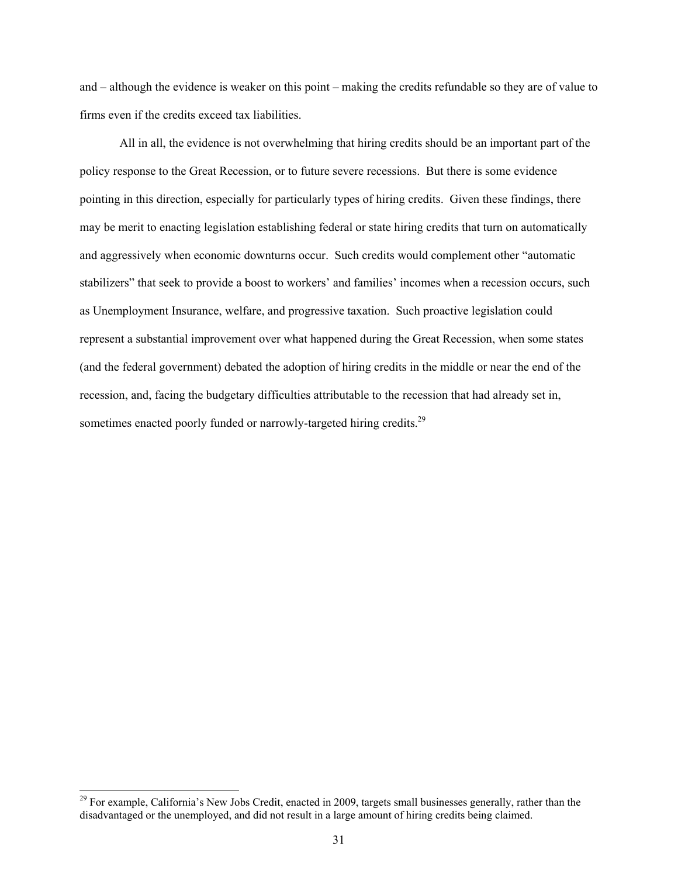and – although the evidence is weaker on this point – making the credits refundable so they are of value to firms even if the credits exceed tax liabilities.

All in all, the evidence is not overwhelming that hiring credits should be an important part of the policy response to the Great Recession, or to future severe recessions. But there is some evidence pointing in this direction, especially for particularly types of hiring credits. Given these findings, there may be merit to enacting legislation establishing federal or state hiring credits that turn on automatically and aggressively when economic downturns occur. Such credits would complement other "automatic stabilizers" that seek to provide a boost to workers' and families' incomes when a recession occurs, such as Unemployment Insurance, welfare, and progressive taxation. Such proactive legislation could represent a substantial improvement over what happened during the Great Recession, when some states (and the federal government) debated the adoption of hiring credits in the middle or near the end of the recession, and, facing the budgetary difficulties attributable to the recession that had already set in, sometimes enacted poorly funded or narrowly-targeted hiring credits.<sup>29</sup>

 $29$  For example, California's New Jobs Credit, enacted in 2009, targets small businesses generally, rather than the disadvantaged or the unemployed, and did not result in a large amount of hiring credits being claimed.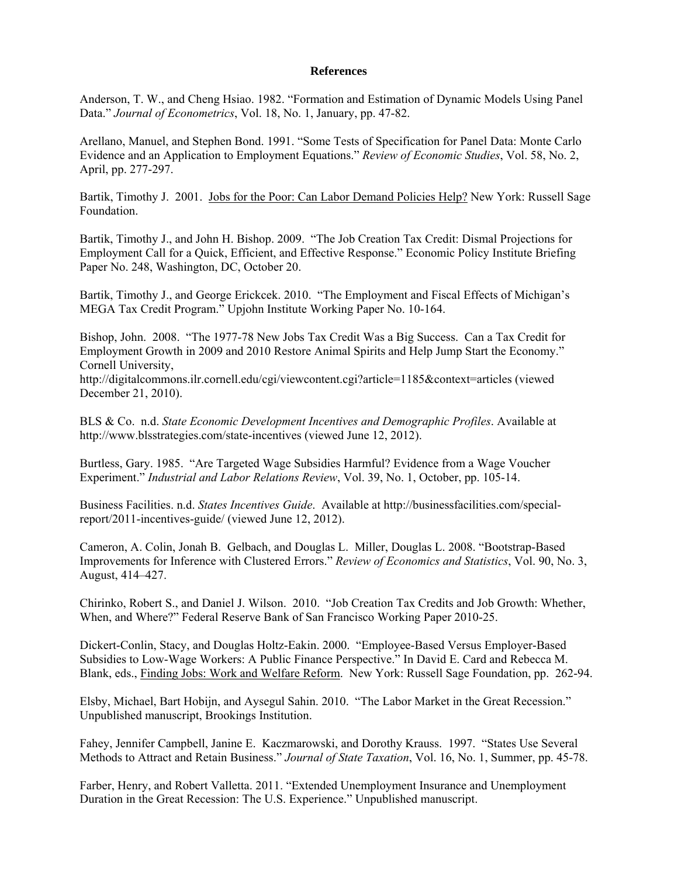## **References**

Anderson, T. W., and Cheng Hsiao. 1982. "Formation and Estimation of Dynamic Models Using Panel Data." *Journal of Econometrics*, Vol. 18, No. 1, January, pp. 47-82.

Arellano, Manuel, and Stephen Bond. 1991. "Some Tests of Specification for Panel Data: Monte Carlo Evidence and an Application to Employment Equations." *Review of Economic Studies*, Vol. 58, No. 2, April, pp. 277-297.

Bartik, Timothy J. 2001. Jobs for the Poor: Can Labor Demand Policies Help? New York: Russell Sage Foundation.

Bartik, Timothy J., and John H. Bishop. 2009. "The Job Creation Tax Credit: Dismal Projections for Employment Call for a Quick, Efficient, and Effective Response." Economic Policy Institute Briefing Paper No. 248, Washington, DC, October 20.

Bartik, Timothy J., and George Erickcek. 2010. "The Employment and Fiscal Effects of Michigan's MEGA Tax Credit Program." Upjohn Institute Working Paper No. 10-164.

Bishop, John. 2008. "The 1977-78 New Jobs Tax Credit Was a Big Success. Can a Tax Credit for Employment Growth in 2009 and 2010 Restore Animal Spirits and Help Jump Start the Economy." Cornell University,

http://digitalcommons.ilr.cornell.edu/cgi/viewcontent.cgi?article=1185&context=articles (viewed December 21, 2010).

BLS & Co. n.d. *State Economic Development Incentives and Demographic Profiles*. Available at http://www.blsstrategies.com/state-incentives (viewed June 12, 2012).

Burtless, Gary. 1985. "Are Targeted Wage Subsidies Harmful? Evidence from a Wage Voucher Experiment." *Industrial and Labor Relations Review*, Vol. 39, No. 1, October, pp. 105-14.

Business Facilities. n.d. *States Incentives Guide*. Available at http://businessfacilities.com/specialreport/2011-incentives-guide/ (viewed June 12, 2012).

Cameron, A. Colin, Jonah B. Gelbach, and Douglas L. Miller, Douglas L. 2008. "Bootstrap-Based Improvements for Inference with Clustered Errors." *Review of Economics and Statistics*, Vol. 90, No. 3, August, 414–427.

Chirinko, Robert S., and Daniel J. Wilson. 2010. "Job Creation Tax Credits and Job Growth: Whether, When, and Where?" Federal Reserve Bank of San Francisco Working Paper 2010-25.

Dickert-Conlin, Stacy, and Douglas Holtz-Eakin. 2000. "Employee-Based Versus Employer-Based Subsidies to Low-Wage Workers: A Public Finance Perspective." In David E. Card and Rebecca M. Blank, eds., Finding Jobs: Work and Welfare Reform. New York: Russell Sage Foundation, pp. 262-94.

Elsby, Michael, Bart Hobijn, and Aysegul Sahin. 2010. "The Labor Market in the Great Recession." Unpublished manuscript, Brookings Institution.

Fahey, Jennifer Campbell, Janine E. Kaczmarowski, and Dorothy Krauss. 1997. "States Use Several Methods to Attract and Retain Business." *Journal of State Taxation*, Vol. 16, No. 1, Summer, pp. 45-78.

Farber, Henry, and Robert Valletta. 2011. "Extended Unemployment Insurance and Unemployment Duration in the Great Recession: The U.S. Experience." Unpublished manuscript.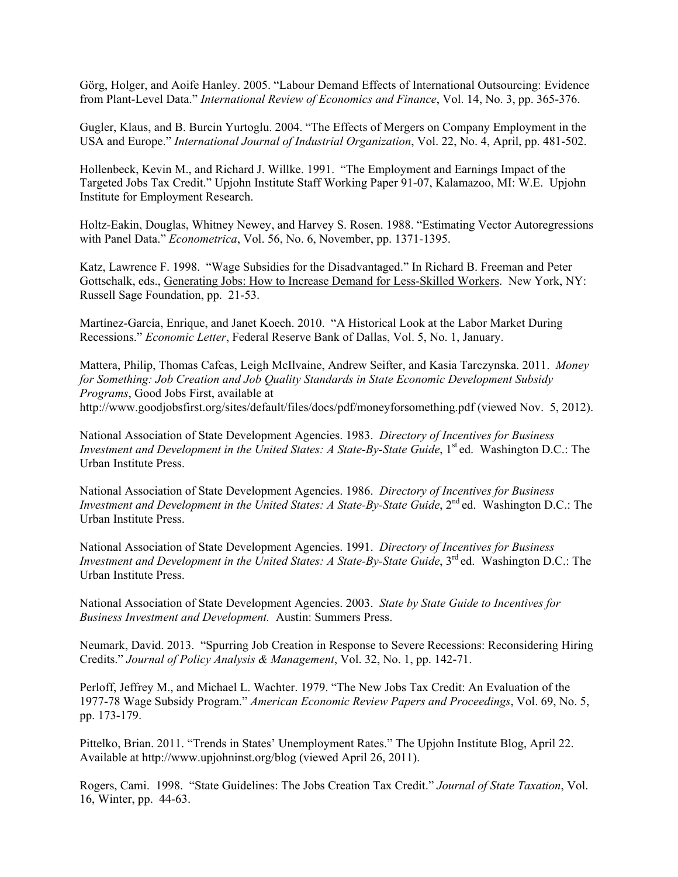Görg, Holger, and Aoife Hanley. 2005. "Labour Demand Effects of International Outsourcing: Evidence from Plant-Level Data." *International Review of Economics and Finance*, Vol. 14, No. 3, pp. 365-376.

Gugler, Klaus, and B. Burcin Yurtoglu. 2004. "The Effects of Mergers on Company Employment in the USA and Europe." *International Journal of Industrial Organization*, Vol. 22, No. 4, April, pp. 481-502.

Hollenbeck, Kevin M., and Richard J. Willke. 1991. "The Employment and Earnings Impact of the Targeted Jobs Tax Credit." Upjohn Institute Staff Working Paper 91-07, Kalamazoo, MI: W.E. Upjohn Institute for Employment Research.

Holtz-Eakin, Douglas, Whitney Newey, and Harvey S. Rosen. 1988. "Estimating Vector Autoregressions with Panel Data." *Econometrica*, Vol. 56, No. 6, November, pp. 1371-1395.

Katz, Lawrence F. 1998. "Wage Subsidies for the Disadvantaged." In Richard B. Freeman and Peter Gottschalk, eds., Generating Jobs: How to Increase Demand for Less-Skilled Workers. New York, NY: Russell Sage Foundation, pp. 21-53.

Martínez-García, Enrique, and Janet Koech. 2010. "A Historical Look at the Labor Market During Recessions." *Economic Letter*, Federal Reserve Bank of Dallas, Vol. 5, No. 1, January.

Mattera, Philip, Thomas Cafcas, Leigh McIlvaine, Andrew Seifter, and Kasia Tarczynska. 2011. *Money for Something: Job Creation and Job Quality Standards in State Economic Development Subsidy Programs*, Good Jobs First, available at http://www.goodjobsfirst.org/sites/default/files/docs/pdf/moneyforsomething.pdf (viewed Nov. 5, 2012).

National Association of State Development Agencies. 1983. *Directory of Incentives for Business Investment and Development in the United States: A State-By-State Guide*, 1<sup>st</sup> ed. Washington D.C.: The Urban Institute Press.

National Association of State Development Agencies. 1986. *Directory of Incentives for Business Investment and Development in the United States: A State-By-State Guide*, 2<sup>nd</sup> ed. Washington D.C.: The Urban Institute Press.

National Association of State Development Agencies. 1991. *Directory of Incentives for Business Investment and Development in the United States: A State-By-State Guide*, 3<sup>rd</sup> ed. Washington D.C.: The Urban Institute Press.

National Association of State Development Agencies. 2003. *State by State Guide to Incentives for Business Investment and Development.* Austin: Summers Press.

Neumark, David. 2013. "Spurring Job Creation in Response to Severe Recessions: Reconsidering Hiring Credits." *Journal of Policy Analysis & Management*, Vol. 32, No. 1, pp. 142-71.

Perloff, Jeffrey M., and Michael L. Wachter. 1979. "The New Jobs Tax Credit: An Evaluation of the 1977-78 Wage Subsidy Program." *American Economic Review Papers and Proceedings*, Vol. 69, No. 5, pp. 173-179.

Pittelko, Brian. 2011. "Trends in States' Unemployment Rates." The Upjohn Institute Blog, April 22. Available at http://www.upjohninst.org/blog (viewed April 26, 2011).

Rogers, Cami. 1998. "State Guidelines: The Jobs Creation Tax Credit." *Journal of State Taxation*, Vol. 16, Winter, pp. 44-63.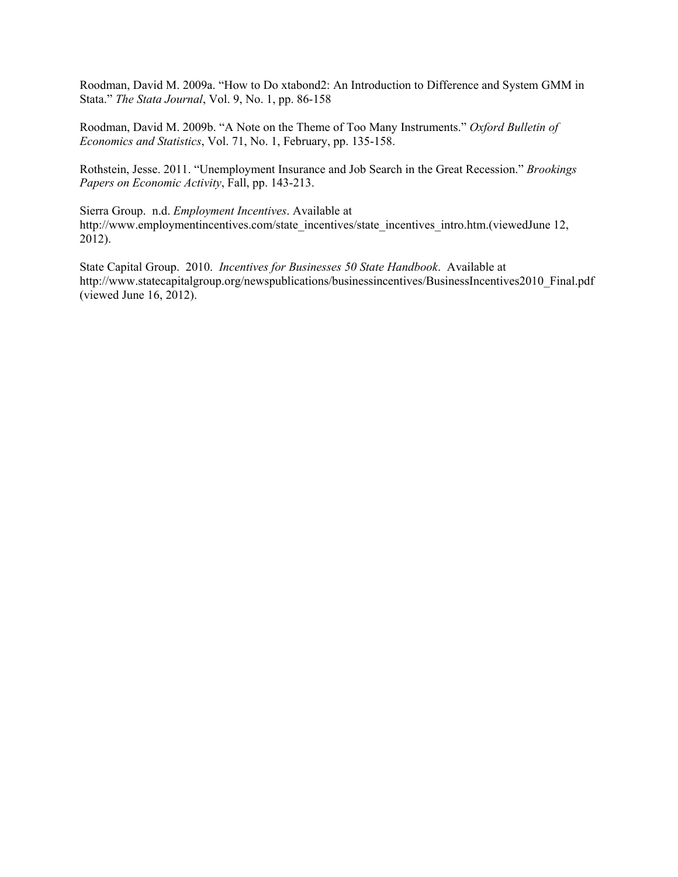Roodman, David M. 2009a. "How to Do xtabond2: An Introduction to Difference and System GMM in Stata." *The Stata Journal*, Vol. 9, No. 1, pp. 86-158

Roodman, David M. 2009b. "A Note on the Theme of Too Many Instruments." *Oxford Bulletin of Economics and Statistics*, Vol. 71, No. 1, February, pp. 135-158.

Rothstein, Jesse. 2011. "Unemployment Insurance and Job Search in the Great Recession." *Brookings Papers on Economic Activity*, Fall, pp. 143-213.

Sierra Group. n.d. *Employment Incentives*. Available at http://www.employmentincentives.com/state\_incentives/state\_incentives\_intro.htm.(viewedJune 12, 2012).

State Capital Group. 2010. *Incentives for Businesses 50 State Handbook*. Available at http://www.statecapitalgroup.org/newspublications/businessincentives/BusinessIncentives2010 Final.pdf (viewed June 16, 2012).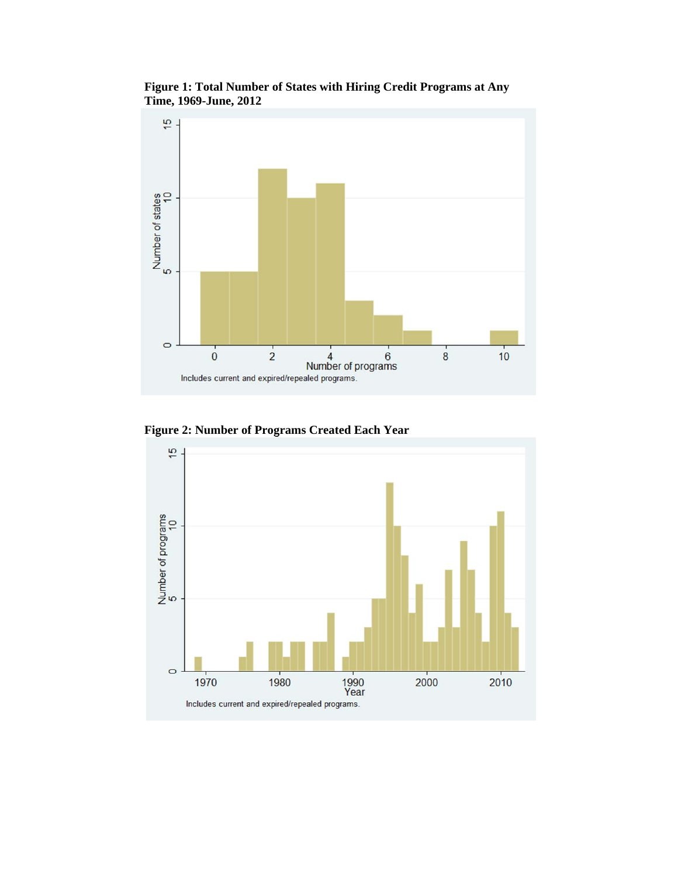

**Figure 1: Total Number of States with Hiring Credit Programs at Any Time, 1969-June, 2012** 

**Figure 2: Number of Programs Created Each Year** 

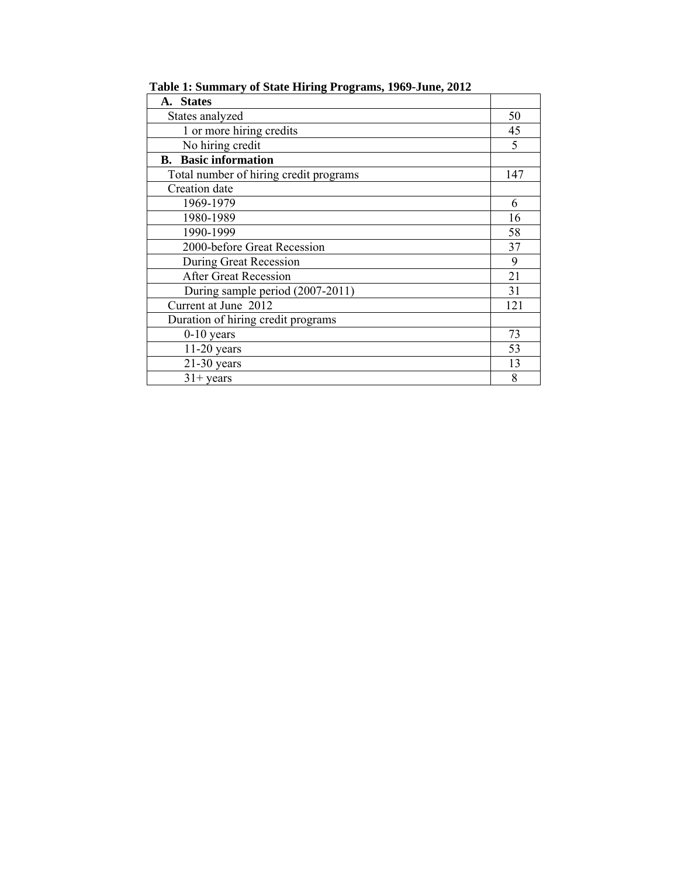| 50  |
|-----|
| 45  |
| 5   |
|     |
| 147 |
|     |
| 6   |
| 16  |
| 58  |
| 37  |
| 9   |
| 21  |
| 31  |
| 121 |
|     |
| 73  |
| 53  |
| 13  |
| 8   |
|     |

**Table 1: Summary of State Hiring Programs, 1969-June, 2012**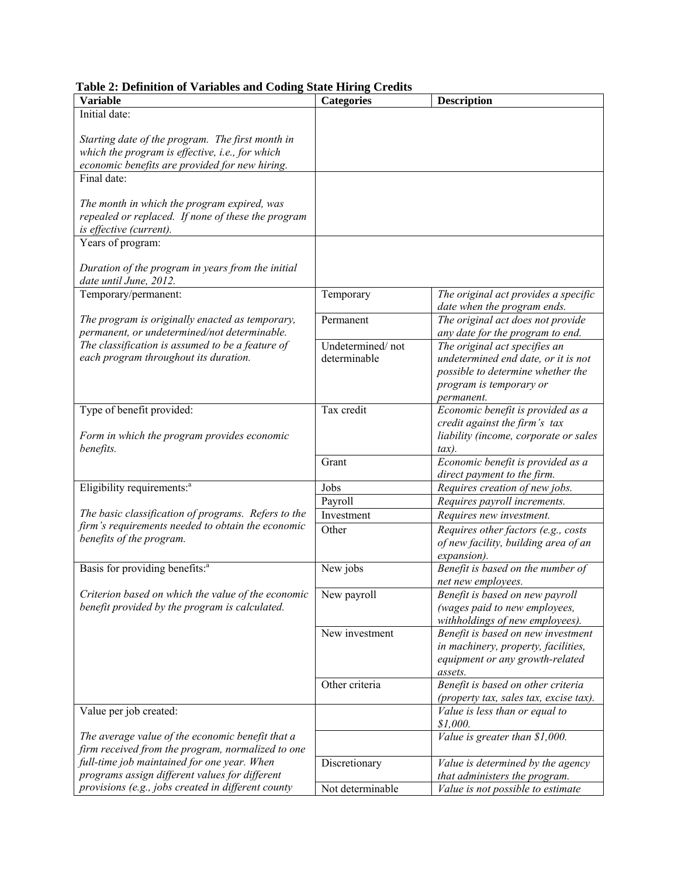| Table 2: Definition of Variables and Coding State Hiring Credits |  |  |
|------------------------------------------------------------------|--|--|
|                                                                  |  |  |

| Initial date:<br>Starting date of the program. The first month in<br>which the program is effective, i.e., for which<br>economic benefits are provided for new hiring.<br>Final date:<br>The month in which the program expired, was<br>repealed or replaced. If none of these the program |
|--------------------------------------------------------------------------------------------------------------------------------------------------------------------------------------------------------------------------------------------------------------------------------------------|
|                                                                                                                                                                                                                                                                                            |
|                                                                                                                                                                                                                                                                                            |
|                                                                                                                                                                                                                                                                                            |
|                                                                                                                                                                                                                                                                                            |
|                                                                                                                                                                                                                                                                                            |
|                                                                                                                                                                                                                                                                                            |
|                                                                                                                                                                                                                                                                                            |
|                                                                                                                                                                                                                                                                                            |
|                                                                                                                                                                                                                                                                                            |
| is effective (current).                                                                                                                                                                                                                                                                    |
| Years of program:                                                                                                                                                                                                                                                                          |
|                                                                                                                                                                                                                                                                                            |
| Duration of the program in years from the initial                                                                                                                                                                                                                                          |
| date until June, 2012.<br>Temporary/permanent:<br>The original act provides a specific                                                                                                                                                                                                     |
| Temporary<br>date when the program ends.                                                                                                                                                                                                                                                   |
| The program is originally enacted as temporary,<br>The original act does not provide<br>Permanent                                                                                                                                                                                          |
| permanent, or undetermined/not determinable.<br>any date for the program to end.                                                                                                                                                                                                           |
| The classification is assumed to be a feature of<br>Undetermined/not<br>The original act specifies an                                                                                                                                                                                      |
| each program throughout its duration.<br>determinable<br>undetermined end date, or it is not                                                                                                                                                                                               |
| possible to determine whether the                                                                                                                                                                                                                                                          |
| program is temporary or                                                                                                                                                                                                                                                                    |
| permanent.                                                                                                                                                                                                                                                                                 |
| Type of benefit provided:<br>Tax credit<br>Economic benefit is provided as a                                                                                                                                                                                                               |
| credit against the firm's tax                                                                                                                                                                                                                                                              |
| liability (income, corporate or sales<br>Form in which the program provides economic                                                                                                                                                                                                       |
| benefits.<br>$\tau$ tax).                                                                                                                                                                                                                                                                  |
| Economic benefit is provided as a<br>Grant                                                                                                                                                                                                                                                 |
| direct payment to the firm.                                                                                                                                                                                                                                                                |
| Eligibility requirements: <sup>a</sup><br>Jobs<br>Requires creation of new jobs.                                                                                                                                                                                                           |
| Payroll<br>Requires payroll increments.                                                                                                                                                                                                                                                    |
| The basic classification of programs. Refers to the<br>Investment<br>Requires new investment.                                                                                                                                                                                              |
| firm's requirements needed to obtain the economic<br>Other<br>Requires other factors (e.g., costs                                                                                                                                                                                          |
| benefits of the program.<br>of new facility, building area of an                                                                                                                                                                                                                           |
| expansion).                                                                                                                                                                                                                                                                                |
| Basis for providing benefits: <sup>a</sup><br>Benefit is based on the number of<br>New jobs                                                                                                                                                                                                |
| net new employees.                                                                                                                                                                                                                                                                         |
| Criterion based on which the value of the economic<br>New payroll<br>Benefit is based on new payroll                                                                                                                                                                                       |
| benefit provided by the program is calculated.<br>(wages paid to new employees,                                                                                                                                                                                                            |
| withholdings of new employees).                                                                                                                                                                                                                                                            |
| New investment<br>Benefit is based on new investment                                                                                                                                                                                                                                       |
| in machinery, property, facilities,                                                                                                                                                                                                                                                        |
| equipment or any growth-related                                                                                                                                                                                                                                                            |
| assets.                                                                                                                                                                                                                                                                                    |
| Benefit is based on other criteria<br>Other criteria                                                                                                                                                                                                                                       |
| (property tax, sales tax, excise tax).                                                                                                                                                                                                                                                     |
| Value per job created:<br>Value is less than or equal to                                                                                                                                                                                                                                   |
| \$1,000.<br>The average value of the economic benefit that a<br>Value is greater than \$1,000.                                                                                                                                                                                             |
| firm received from the program, normalized to one                                                                                                                                                                                                                                          |
| full-time job maintained for one year. When<br>Discretionary<br>Value is determined by the agency                                                                                                                                                                                          |
| programs assign different values for different<br>that administers the program.                                                                                                                                                                                                            |
| provisions (e.g., jobs created in different county<br>Not determinable<br>Value is not possible to estimate                                                                                                                                                                                |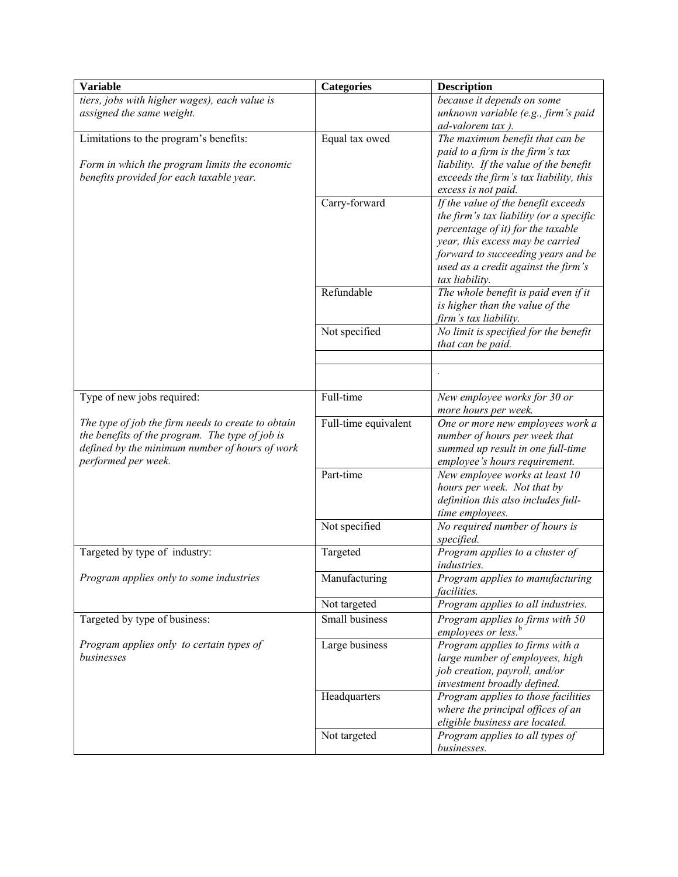| <b>Variable</b>                                                                                   | <b>Categories</b>    | <b>Description</b>                                                               |
|---------------------------------------------------------------------------------------------------|----------------------|----------------------------------------------------------------------------------|
| tiers, jobs with higher wages), each value is                                                     |                      | because it depends on some                                                       |
| assigned the same weight.                                                                         |                      | unknown variable (e.g., firm's paid                                              |
|                                                                                                   |                      | ad-valorem tax).                                                                 |
| Limitations to the program's benefits:                                                            | Equal tax owed       | The maximum benefit that can be                                                  |
|                                                                                                   |                      | paid to a firm is the firm's tax                                                 |
| Form in which the program limits the economic<br>benefits provided for each taxable year.         |                      | liability. If the value of the benefit<br>exceeds the firm's tax liability, this |
|                                                                                                   |                      | excess is not paid.                                                              |
|                                                                                                   | Carry-forward        | If the value of the benefit exceeds                                              |
|                                                                                                   |                      | the firm's tax liability (or a specific                                          |
|                                                                                                   |                      | percentage of it) for the taxable                                                |
|                                                                                                   |                      | year, this excess may be carried                                                 |
|                                                                                                   |                      | forward to succeeding years and be                                               |
|                                                                                                   |                      | used as a credit against the firm's                                              |
|                                                                                                   |                      | tax liability.                                                                   |
|                                                                                                   | Refundable           | The whole benefit is paid even if it                                             |
|                                                                                                   |                      | is higher than the value of the<br>firm's tax liability.                         |
|                                                                                                   | Not specified        | No limit is specified for the benefit                                            |
|                                                                                                   |                      | that can be paid.                                                                |
|                                                                                                   |                      |                                                                                  |
|                                                                                                   |                      |                                                                                  |
|                                                                                                   |                      |                                                                                  |
| Type of new jobs required:                                                                        | Full-time            | New employee works for 30 or                                                     |
|                                                                                                   |                      | more hours per week.                                                             |
| The type of job the firm needs to create to obtain                                                | Full-time equivalent | One or more new employees work a                                                 |
| the benefits of the program. The type of job is<br>defined by the minimum number of hours of work |                      | number of hours per week that<br>summed up result in one full-time               |
| performed per week.                                                                               |                      | employee's hours requirement.                                                    |
|                                                                                                   | Part-time            | New employee works at least 10                                                   |
|                                                                                                   |                      | hours per week. Not that by                                                      |
|                                                                                                   |                      | definition this also includes full-                                              |
|                                                                                                   |                      | time employees.                                                                  |
|                                                                                                   | Not specified        | No required number of hours is                                                   |
|                                                                                                   |                      | specified.                                                                       |
| Targeted by type of industry:                                                                     | Targeted             | Program applies to a cluster of                                                  |
|                                                                                                   |                      | industries.                                                                      |
| Program applies only to some industries                                                           | Manufacturing        | Program applies to manufacturing                                                 |
|                                                                                                   | Not targeted         | <i>facilities.</i><br>Program applies to all industries.                         |
| Targeted by type of business:                                                                     | Small business       | Program applies to firms with 50                                                 |
|                                                                                                   |                      | employees or less. <sup>b</sup>                                                  |
| Program applies only to certain types of                                                          | Large business       | Program applies to firms with a                                                  |
| businesses                                                                                        |                      | large number of employees, high                                                  |
|                                                                                                   |                      | job creation, payroll, and/or                                                    |
|                                                                                                   |                      | investment broadly defined.                                                      |
|                                                                                                   | Headquarters         | Program applies to those facilities                                              |
|                                                                                                   |                      | where the principal offices of an                                                |
|                                                                                                   |                      | eligible business are located.                                                   |
|                                                                                                   | Not targeted         | Program applies to all types of                                                  |
|                                                                                                   |                      | businesses.                                                                      |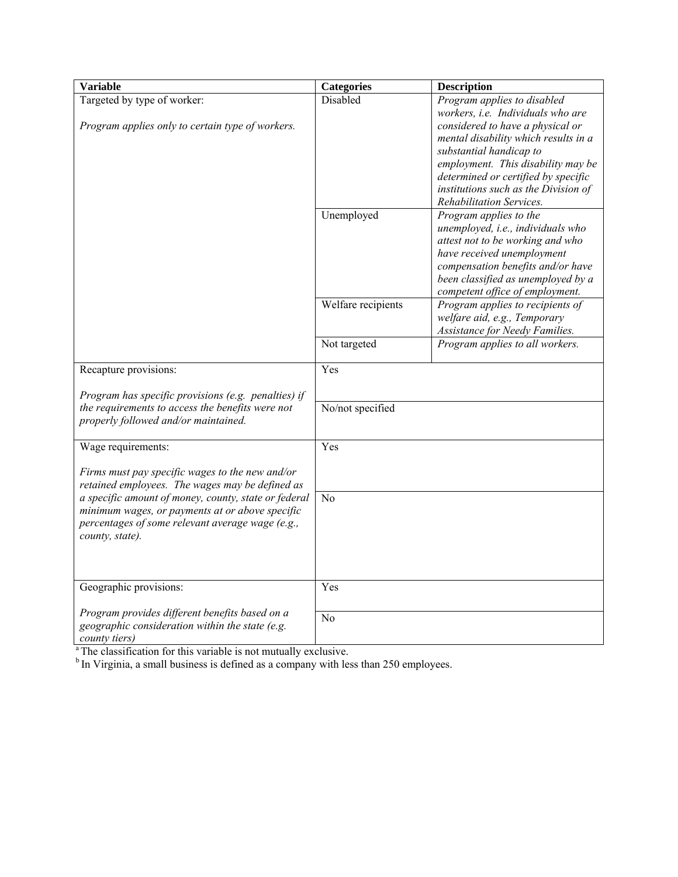| <b>Variable</b>                                                  | <b>Categories</b>  | <b>Description</b>                   |
|------------------------------------------------------------------|--------------------|--------------------------------------|
| Targeted by type of worker:                                      | Disabled           | Program applies to disabled          |
|                                                                  |                    | workers, i.e. Individuals who are    |
| Program applies only to certain type of workers.                 |                    | considered to have a physical or     |
|                                                                  |                    | mental disability which results in a |
|                                                                  |                    | substantial handicap to              |
|                                                                  |                    | employment. This disability may be   |
|                                                                  |                    | determined or certified by specific  |
|                                                                  |                    | institutions such as the Division of |
|                                                                  |                    | Rehabilitation Services.             |
|                                                                  | Unemployed         | Program applies to the               |
|                                                                  |                    | unemployed, i.e., individuals who    |
|                                                                  |                    | attest not to be working and who     |
|                                                                  |                    | have received unemployment           |
|                                                                  |                    | compensation benefits and/or have    |
|                                                                  |                    | been classified as unemployed by a   |
|                                                                  |                    | competent office of employment.      |
|                                                                  | Welfare recipients | Program applies to recipients of     |
|                                                                  |                    | welfare aid, e.g., Temporary         |
|                                                                  |                    | Assistance for Needy Families.       |
|                                                                  | Not targeted       | Program applies to all workers.      |
| Recapture provisions:                                            | Yes                |                                      |
| Program has specific provisions (e.g. penalties) if              |                    |                                      |
| the requirements to access the benefits were not                 | No/not specified   |                                      |
| properly followed and/or maintained.                             |                    |                                      |
|                                                                  |                    |                                      |
| Wage requirements:                                               | Yes                |                                      |
| Firms must pay specific wages to the new and/or                  |                    |                                      |
| retained employees. The wages may be defined as                  |                    |                                      |
| a specific amount of money, county, state or federal             | N <sub>o</sub>     |                                      |
| minimum wages, or payments at or above specific                  |                    |                                      |
| percentages of some relevant average wage (e.g.,                 |                    |                                      |
| county, state).                                                  |                    |                                      |
|                                                                  |                    |                                      |
|                                                                  |                    |                                      |
| Geographic provisions:                                           | Yes                |                                      |
| Program provides different benefits based on a                   | N <sub>o</sub>     |                                      |
| geographic consideration within the state (e.g.<br>county tiers) |                    |                                      |

<sup>a</sup> The classification for this variable is not mutually exclusive.

 $b$  In Virginia, a small business is defined as a company with less than 250 employees.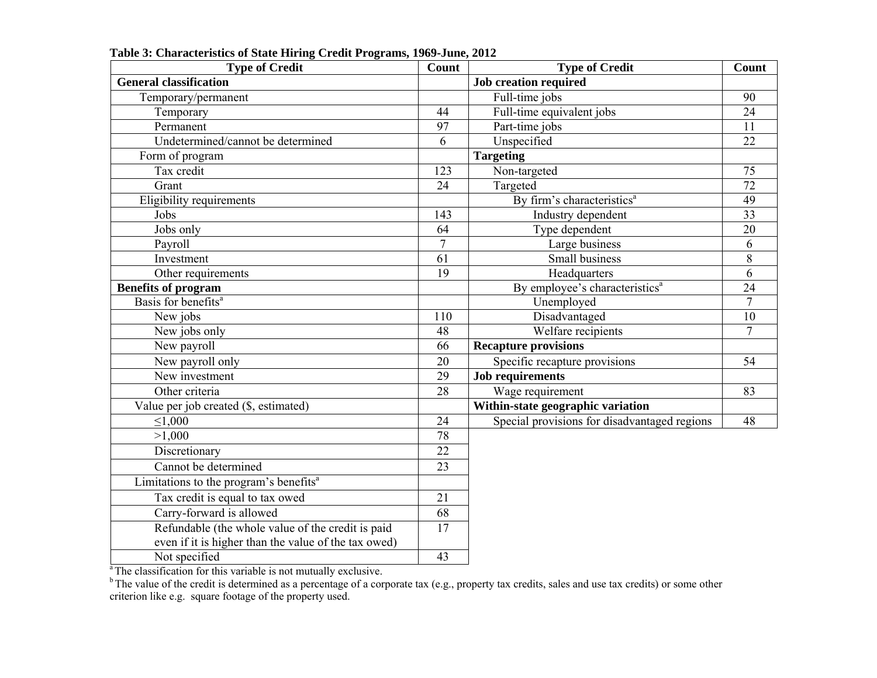| <b>Type of Credit</b>                                | Count           | <b>Type of Credit</b>                        | Count           |
|------------------------------------------------------|-----------------|----------------------------------------------|-----------------|
| <b>General classification</b>                        |                 | <b>Job creation required</b>                 |                 |
| Temporary/permanent                                  |                 | Full-time jobs                               | 90              |
| Temporary                                            | 44              | Full-time equivalent jobs                    | $\overline{24}$ |
| Permanent                                            | 97              | Part-time jobs                               | 11              |
| Undetermined/cannot be determined                    | 6               | Unspecified                                  | 22              |
| Form of program                                      |                 | <b>Targeting</b>                             |                 |
| Tax credit                                           | 123             | Non-targeted                                 | 75              |
| Grant                                                | 24              | Targeted                                     | $\overline{72}$ |
| Eligibility requirements                             |                 | By firm's characteristics <sup>a</sup>       | 49              |
| Jobs                                                 | 143             | Industry dependent                           | $\overline{33}$ |
| Jobs only                                            | 64              | Type dependent                               | 20              |
| Payroll                                              | $\overline{7}$  | Large business                               | 6               |
| Investment                                           | 61              | Small business                               | $8\,$           |
| Other requirements                                   | 19              | Headquarters                                 | 6               |
| <b>Benefits of program</b>                           |                 | By employee's characteristics <sup>a</sup>   | 24              |
| Basis for benefits <sup>a</sup>                      |                 | Unemployed                                   | $\overline{7}$  |
| New jobs                                             | 110             | Disadvantaged                                | 10              |
| New jobs only                                        | 48              | Welfare recipients                           | 7               |
| New payroll                                          | 66              | <b>Recapture provisions</b>                  |                 |
| New payroll only                                     | 20              | Specific recapture provisions                | 54              |
| New investment                                       | $\overline{29}$ | <b>Job requirements</b>                      |                 |
| Other criteria                                       | 28              | Wage requirement                             | 83              |
| Value per job created (\$, estimated)                |                 | Within-state geographic variation            |                 |
| $\leq 1,000$                                         | 24              | Special provisions for disadvantaged regions | 48              |
| >1,000                                               | 78              |                                              |                 |
| Discretionary                                        | $\overline{22}$ |                                              |                 |
| Cannot be determined                                 | 23              |                                              |                 |
| Limitations to the program's benefits <sup>a</sup>   |                 |                                              |                 |
| Tax credit is equal to tax owed                      | 21              |                                              |                 |
| Carry-forward is allowed                             | 68              |                                              |                 |
| Refundable (the whole value of the credit is paid    | $\overline{17}$ |                                              |                 |
| even if it is higher than the value of the tax owed) |                 |                                              |                 |
| Not specified                                        | 43              |                                              |                 |

**Table 3: Characteristics of State Hiring Credit Programs, 1969-June, 2012** 

<sup>a</sup> The classification for this variable is not mutually exclusive.

<sup>b</sup> The value of the credit is determined as a percentage of a corporate tax (e.g., property tax credits, sales and use tax credits) or some other criterion like e.g. square footage of the property used.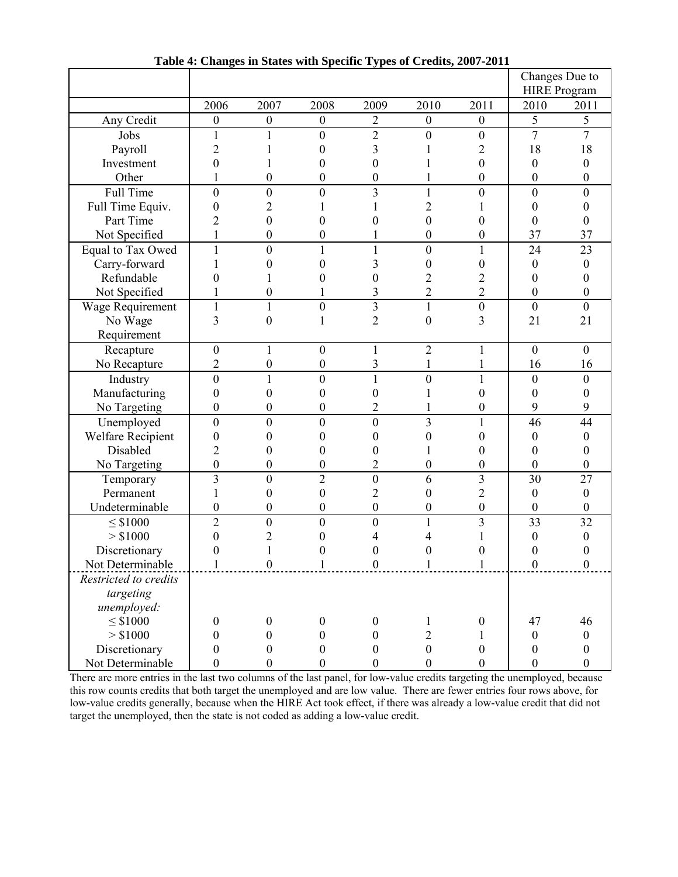|                          |                  | $\sim$ m $\sim$ $\sim$ $\sim$ $\sim$ |                  | $\ddotsc$        | $\sim$           |                  |                  | Changes Due to<br><b>HIRE</b> Program |
|--------------------------|------------------|--------------------------------------|------------------|------------------|------------------|------------------|------------------|---------------------------------------|
|                          | 2006             | 2007                                 | 2008             | 2009             | 2010             | 2011             | 2010             | 2011                                  |
| Any Credit               | $\boldsymbol{0}$ | $\boldsymbol{0}$                     | $\boldsymbol{0}$ | $\overline{2}$   | $\boldsymbol{0}$ | $\boldsymbol{0}$ | 5                | 5                                     |
| Jobs                     | $\mathbf{1}$     | 1                                    | $\overline{0}$   | $\overline{2}$   | $\overline{0}$   | $\mathbf{0}$     | $\overline{7}$   | $\overline{7}$                        |
| Payroll                  | $\overline{2}$   |                                      | 0                | 3                |                  | $\overline{c}$   | 18               | 18                                    |
| Investment               | $\overline{0}$   |                                      | 0                | $\boldsymbol{0}$ |                  | $\boldsymbol{0}$ | $\boldsymbol{0}$ | $\boldsymbol{0}$                      |
| Other                    |                  | $\boldsymbol{0}$                     | $\overline{0}$   | $\boldsymbol{0}$ |                  | $\boldsymbol{0}$ | $\boldsymbol{0}$ | $\boldsymbol{0}$                      |
| <b>Full Time</b>         | $\boldsymbol{0}$ | $\boldsymbol{0}$                     | 0                | 3                | 1                | $\boldsymbol{0}$ | $\boldsymbol{0}$ | $\mathbf{0}$                          |
| Full Time Equiv.         | $\boldsymbol{0}$ | $\overline{2}$                       |                  |                  | $\overline{2}$   |                  | $\boldsymbol{0}$ | 0                                     |
| Part Time                | $\overline{2}$   | $\boldsymbol{0}$                     | 0                | 0                | $\overline{0}$   | 0                | $\boldsymbol{0}$ | 0                                     |
| Not Specified            |                  | $\mathbf{0}$                         | 0                |                  | $\overline{0}$   | $\overline{0}$   | 37               | 37                                    |
| Equal to Tax Owed        | $\mathbf{1}$     | $\boldsymbol{0}$                     | 1                | $\mathbf{1}$     | $\overline{0}$   | 1                | 24               | 23                                    |
| Carry-forward            | 1                | $\boldsymbol{0}$                     | $\overline{0}$   | 3                | $\boldsymbol{0}$ | 0                | $\boldsymbol{0}$ | $\boldsymbol{0}$                      |
| Refundable               | 0                |                                      | 0                | 0                | $\overline{c}$   | $\overline{c}$   | $\boldsymbol{0}$ | $\boldsymbol{0}$                      |
| Not Specified            |                  | $\boldsymbol{0}$                     |                  | 3                | $\overline{2}$   | $\overline{2}$   | $\boldsymbol{0}$ | $\boldsymbol{0}$                      |
| Wage Requirement         | $\mathbf{1}$     | 1                                    | $\boldsymbol{0}$ | 3                | $\mathbf{1}$     | $\boldsymbol{0}$ | $\boldsymbol{0}$ | $\boldsymbol{0}$                      |
| No Wage                  | 3                | $\overline{0}$                       | 1                | $\overline{2}$   | $\overline{0}$   | 3                | 21               | 21                                    |
| Requirement              |                  |                                      |                  |                  |                  |                  |                  |                                       |
| Recapture                | $\boldsymbol{0}$ |                                      | $\boldsymbol{0}$ | 1                | $\overline{2}$   |                  | $\boldsymbol{0}$ | $\overline{0}$                        |
| No Recapture             | $\overline{2}$   | $\boldsymbol{0}$                     | $\boldsymbol{0}$ | 3                |                  |                  | 16               | 16                                    |
| Industry                 | $\boldsymbol{0}$ | 1                                    | $\mathbf{0}$     | $\mathbf{1}$     | $\boldsymbol{0}$ |                  | $\boldsymbol{0}$ | $\mathbf{0}$                          |
| Manufacturing            | $\boldsymbol{0}$ | $\theta$                             | 0                | 0                |                  | $\boldsymbol{0}$ | $\boldsymbol{0}$ | $\theta$                              |
| No Targeting             | $\boldsymbol{0}$ | $\boldsymbol{0}$                     | 0                | $\overline{c}$   |                  | $\boldsymbol{0}$ | 9                | 9                                     |
| Unemployed               | $\boldsymbol{0}$ | $\boldsymbol{0}$                     | $\mathbf{0}$     | $\boldsymbol{0}$ | 3                | $\mathbf{1}$     | 46               | 44                                    |
| <b>Welfare Recipient</b> | $\boldsymbol{0}$ | $\boldsymbol{0}$                     | $\overline{0}$   | $\boldsymbol{0}$ | $\overline{0}$   | $\boldsymbol{0}$ | $\boldsymbol{0}$ | $\boldsymbol{0}$                      |
| Disabled                 | $\overline{c}$   | 0                                    | 0                | $\boldsymbol{0}$ |                  | 0                | $\boldsymbol{0}$ | $\theta$                              |
| No Targeting             | $\boldsymbol{0}$ | $\boldsymbol{0}$                     | 0                | $\overline{2}$   | 0                | $\boldsymbol{0}$ | $\boldsymbol{0}$ | $\boldsymbol{0}$                      |
| Temporary                | $\overline{3}$   | $\boldsymbol{0}$                     | $\overline{2}$   | $\boldsymbol{0}$ | 6                | 3                | 30               | 27                                    |
| Permanent                |                  | $\boldsymbol{0}$                     | $\overline{0}$   | $\overline{c}$   | $\overline{0}$   | $\overline{c}$   | $\boldsymbol{0}$ | $\boldsymbol{0}$                      |
| Undeterminable           | $\boldsymbol{0}$ | $\boldsymbol{0}$                     | $\boldsymbol{0}$ | $\boldsymbol{0}$ | $\boldsymbol{0}$ | $\mathbf{0}$     | $\boldsymbol{0}$ | $\mathbf{0}$                          |
| $\leq$ \$1000            | $\overline{2}$   | $\mathbf{0}$                         | $\overline{0}$   | $\mathbf{0}$     | 1                | 3                | 33               | 32                                    |
| > \$1000                 | 0                | $\overline{c}$                       | 0                |                  | 4                |                  | $\boldsymbol{0}$ | $\boldsymbol{0}$                      |
| Discretionary            | 0                |                                      | 0                | 0                | 0                | 0                | $\boldsymbol{0}$ | $\boldsymbol{0}$                      |
| Not Determinable         | $\perp$          | $\theta$                             |                  | $\theta$         |                  |                  | $\boldsymbol{0}$ | $\boldsymbol{0}$                      |
| Restricted to credits    |                  |                                      |                  |                  |                  |                  |                  |                                       |
| targeting                |                  |                                      |                  |                  |                  |                  |                  |                                       |
| unemployed:              |                  |                                      |                  |                  |                  |                  |                  |                                       |
| $\leq$ \$1000            | $\boldsymbol{0}$ | $\boldsymbol{0}$                     | $\boldsymbol{0}$ | $\boldsymbol{0}$ | 1                | $\boldsymbol{0}$ | 47               | 46                                    |
| > \$1000                 | $\boldsymbol{0}$ | $\boldsymbol{0}$                     | $\boldsymbol{0}$ | $\boldsymbol{0}$ | $\sqrt{2}$       | 1                | $\boldsymbol{0}$ | $\boldsymbol{0}$                      |
| Discretionary            | $\boldsymbol{0}$ | $\boldsymbol{0}$                     | $\boldsymbol{0}$ | $\boldsymbol{0}$ | $\boldsymbol{0}$ | $\boldsymbol{0}$ | $\boldsymbol{0}$ | $\boldsymbol{0}$                      |
| Not Determinable         | $\mathbf{0}$     | $\boldsymbol{0}$                     | $\overline{0}$   | $\boldsymbol{0}$ | $\boldsymbol{0}$ | $\boldsymbol{0}$ | $\mathbf{0}$     | $\boldsymbol{0}$                      |

**Table 4: Changes in States with Specific Types of Credits, 2007-2011** 

There are more entries in the last two columns of the last panel, for low-value credits targeting the unemployed, because this row counts credits that both target the unemployed and are low value. There are fewer entries four rows above, for low-value credits generally, because when the HIRE Act took effect, if there was already a low-value credit that did not target the unemployed, then the state is not coded as adding a low-value credit.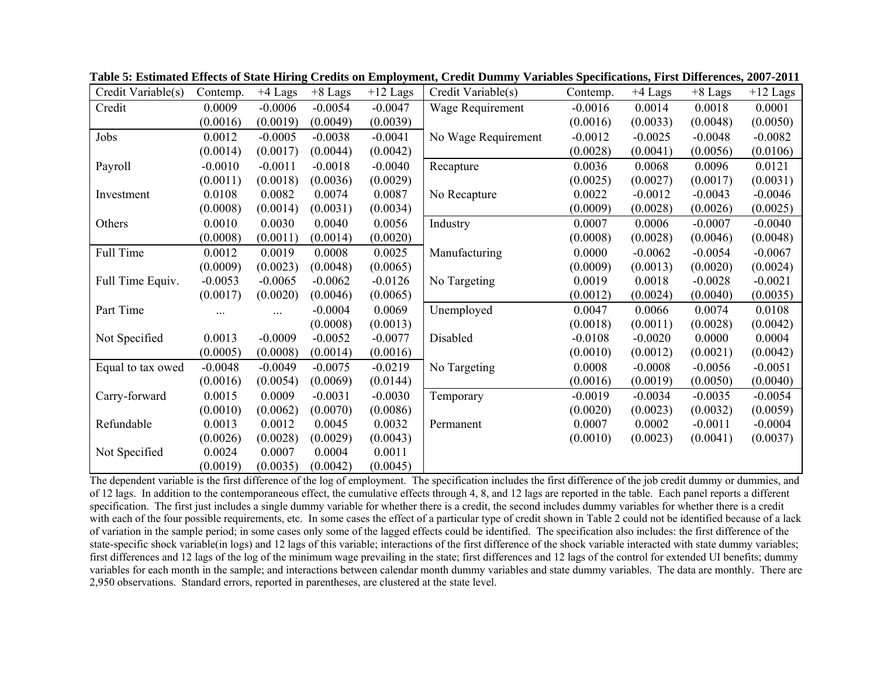| Credit Variable(s) | Contemp.  | $+4$ Lags | $+8$ Lags | $+12$ Lags | Credit Variable(s)  | Contemp.  | $+4$ Lags | $+8$ Lags | $+12$ Lags |
|--------------------|-----------|-----------|-----------|------------|---------------------|-----------|-----------|-----------|------------|
| Credit             | 0.0009    | $-0.0006$ | $-0.0054$ | $-0.0047$  | Wage Requirement    | $-0.0016$ | 0.0014    | 0.0018    | 0.0001     |
|                    | (0.0016)  | (0.0019)  | (0.0049)  | (0.0039)   |                     | (0.0016)  | (0.0033)  | (0.0048)  | (0.0050)   |
| Jobs               | 0.0012    | $-0.0005$ | $-0.0038$ | $-0.0041$  | No Wage Requirement | $-0.0012$ | $-0.0025$ | $-0.0048$ | $-0.0082$  |
|                    | (0.0014)  | (0.0017)  | (0.0044)  | (0.0042)   |                     | (0.0028)  | (0.0041)  | (0.0056)  | (0.0106)   |
| Payroll            | $-0.0010$ | $-0.0011$ | $-0.0018$ | $-0.0040$  | Recapture           | 0.0036    | 0.0068    | 0.0096    | 0.0121     |
|                    | (0.0011)  | (0.0018)  | (0.0036)  | (0.0029)   |                     | (0.0025)  | (0.0027)  | (0.0017)  | (0.0031)   |
| Investment         | 0.0108    | 0.0082    | 0.0074    | 0.0087     | No Recapture        | 0.0022    | $-0.0012$ | $-0.0043$ | $-0.0046$  |
|                    | (0.0008)  | (0.0014)  | (0.0031)  | (0.0034)   |                     | (0.0009)  | (0.0028)  | (0.0026)  | (0.0025)   |
| Others             | 0.0010    | 0.0030    | 0.0040    | 0.0056     | Industry            | 0.0007    | 0.0006    | $-0.0007$ | $-0.0040$  |
|                    | (0.0008)  | (0.0011)  | (0.0014)  | (0.0020)   |                     | (0.0008)  | (0.0028)  | (0.0046)  | (0.0048)   |
| Full Time          | 0.0012    | 0.0019    | 0.0008    | 0.0025     | Manufacturing       | 0.0000    | $-0.0062$ | $-0.0054$ | $-0.0067$  |
|                    | (0.0009)  | (0.0023)  | (0.0048)  | (0.0065)   |                     | (0.0009)  | (0.0013)  | (0.0020)  | (0.0024)   |
| Full Time Equiv.   | $-0.0053$ | $-0.0065$ | $-0.0062$ | $-0.0126$  | No Targeting        | 0.0019    | 0.0018    | $-0.0028$ | $-0.0021$  |
|                    | (0.0017)  | (0.0020)  | (0.0046)  | (0.0065)   |                     | (0.0012)  | (0.0024)  | (0.0040)  | (0.0035)   |
| Part Time          | .         |           | $-0.0004$ | 0.0069     | Unemployed          | 0.0047    | 0.0066    | 0.0074    | 0.0108     |
|                    |           |           | (0.0008)  | (0.0013)   |                     | (0.0018)  | (0.0011)  | (0.0028)  | (0.0042)   |
| Not Specified      | 0.0013    | $-0.0009$ | $-0.0052$ | $-0.0077$  | Disabled            | $-0.0108$ | $-0.0020$ | 0.0000    | 0.0004     |
|                    | (0.0005)  | (0.0008)  | (0.0014)  | (0.0016)   |                     | (0.0010)  | (0.0012)  | (0.0021)  | (0.0042)   |
| Equal to tax owed  | $-0.0048$ | $-0.0049$ | $-0.0075$ | $-0.0219$  | No Targeting        | 0.0008    | $-0.0008$ | $-0.0056$ | $-0.0051$  |
|                    | (0.0016)  | (0.0054)  | (0.0069)  | (0.0144)   |                     | (0.0016)  | (0.0019)  | (0.0050)  | (0.0040)   |
| Carry-forward      | 0.0015    | 0.0009    | $-0.0031$ | $-0.0030$  | Temporary           | $-0.0019$ | $-0.0034$ | $-0.0035$ | $-0.0054$  |
|                    | (0.0010)  | (0.0062)  | (0.0070)  | (0.0086)   |                     | (0.0020)  | (0.0023)  | (0.0032)  | (0.0059)   |
| Refundable         | 0.0013    | 0.0012    | 0.0045    | 0.0032     | Permanent           | 0.0007    | 0.0002    | $-0.0011$ | $-0.0004$  |
|                    | (0.0026)  | (0.0028)  | (0.0029)  | (0.0043)   |                     | (0.0010)  | (0.0023)  | (0.0041)  | (0.0037)   |
| Not Specified      | 0.0024    | 0.0007    | 0.0004    | 0.0011     |                     |           |           |           |            |
|                    | (0.0019)  | (0.0035)  | (0.0042)  | (0.0045)   |                     |           |           |           |            |

**Table 5: Estimated Effects of State Hiring Credits on Employment, Credit Dummy Variables Specifications, First Differences, 2007-2011** 

The dependent variable is the first difference of the log of employment. The specification includes the first difference of the job credit dummy or dummies, and of 12 lags. In addition to the contemporaneous effect, the cumulative effects through 4, 8, and 12 lags are reported in the table. Each panel reports a different specification. The first just includes a single dummy variable for whether there is a credit, the second includes dummy variables for whether there is a credit with each of the four possible requirements, etc. In some cases the effect of a particular type of credit shown in Table 2 could not be identified because of a lack of variation in the sample period; in some cases only some of the lagged effects could be identified. The specification also includes: the first difference of the state-specific shock variable(in logs) and 12 lags of this variable; interactions of the first difference of the shock variable interacted with state dummy variables; first differences and 12 lags of the log of the minimum wage prevailing in the state; first differences and 12 lags of the control for extended UI benefits; dummy variables for each month in the sample; and interactions between calendar month dummy variables and state dummy variables. The data are monthly. There are 2,950 observations. Standard errors, reported in parentheses, are clustered at the state level.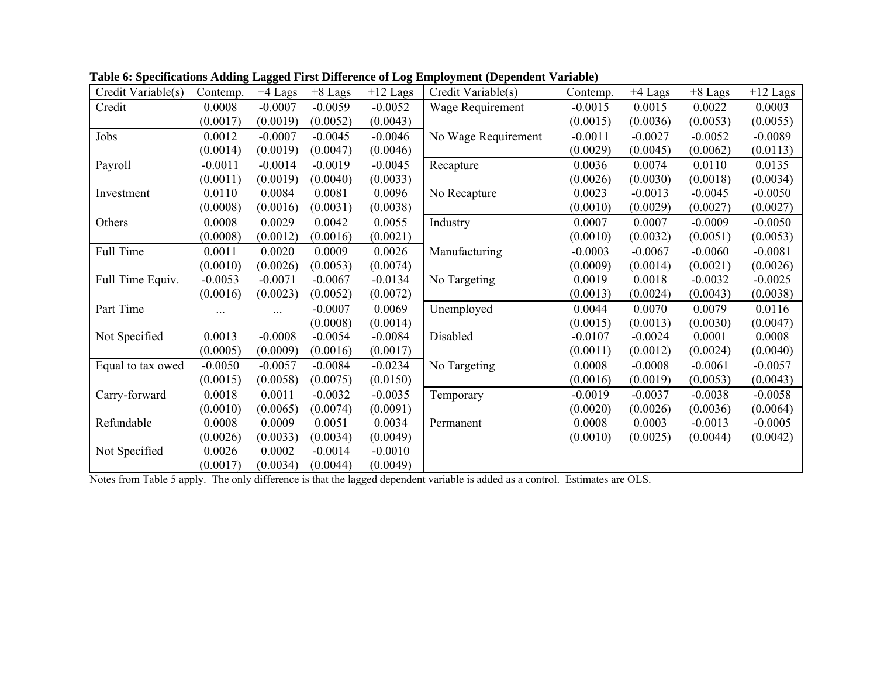| Credit Variable(s) | Contemp.  | $+4$ Lags | $+8$ Lags | $+12$ Lags | Credit Variable(s)  | Contemp.  | $+4$ Lags | $+8$ Lags | $+12$ Lags |
|--------------------|-----------|-----------|-----------|------------|---------------------|-----------|-----------|-----------|------------|
| Credit             | 0.0008    | $-0.0007$ | $-0.0059$ | $-0.0052$  | Wage Requirement    | $-0.0015$ | 0.0015    | 0.0022    | 0.0003     |
|                    | (0.0017)  | (0.0019)  | (0.0052)  | (0.0043)   |                     | (0.0015)  | (0.0036)  | (0.0053)  | (0.0055)   |
| Jobs               | 0.0012    | $-0.0007$ | $-0.0045$ | $-0.0046$  | No Wage Requirement | $-0.0011$ | $-0.0027$ | $-0.0052$ | $-0.0089$  |
|                    | (0.0014)  | (0.0019)  | (0.0047)  | (0.0046)   |                     | (0.0029)  | (0.0045)  | (0.0062)  | (0.0113)   |
| Payroll            | $-0.0011$ | $-0.0014$ | $-0.0019$ | $-0.0045$  | Recapture           | 0.0036    | 0.0074    | 0.0110    | 0.0135     |
|                    | (0.0011)  | (0.0019)  | (0.0040)  | (0.0033)   |                     | (0.0026)  | (0.0030)  | (0.0018)  | (0.0034)   |
| Investment         | 0.0110    | 0.0084    | 0.0081    | 0.0096     | No Recapture        | 0.0023    | $-0.0013$ | $-0.0045$ | $-0.0050$  |
|                    | (0.0008)  | (0.0016)  | (0.0031)  | (0.0038)   |                     | (0.0010)  | (0.0029)  | (0.0027)  | (0.0027)   |
| Others             | 0.0008    | 0.0029    | 0.0042    | 0.0055     | Industry            | 0.0007    | 0.0007    | $-0.0009$ | $-0.0050$  |
|                    | (0.0008)  | (0.0012)  | (0.0016)  | (0.0021)   |                     | (0.0010)  | (0.0032)  | (0.0051)  | (0.0053)   |
| Full Time          | 0.0011    | 0.0020    | 0.0009    | 0.0026     | Manufacturing       | $-0.0003$ | $-0.0067$ | $-0.0060$ | $-0.0081$  |
|                    | (0.0010)  | (0.0026)  | (0.0053)  | (0.0074)   |                     | (0.0009)  | (0.0014)  | (0.0021)  | (0.0026)   |
| Full Time Equiv.   | $-0.0053$ | $-0.0071$ | $-0.0067$ | $-0.0134$  | No Targeting        | 0.0019    | 0.0018    | $-0.0032$ | $-0.0025$  |
|                    | (0.0016)  | (0.0023)  | (0.0052)  | (0.0072)   |                     | (0.0013)  | (0.0024)  | (0.0043)  | (0.0038)   |
| Part Time          | .         | .         | $-0.0007$ | 0.0069     | Unemployed          | 0.0044    | 0.0070    | 0.0079    | 0.0116     |
|                    |           |           | (0.0008)  | (0.0014)   |                     | (0.0015)  | (0.0013)  | (0.0030)  | (0.0047)   |
| Not Specified      | 0.0013    | $-0.0008$ | $-0.0054$ | $-0.0084$  | Disabled            | $-0.0107$ | $-0.0024$ | 0.0001    | 0.0008     |
|                    | (0.0005)  | (0.0009)  | (0.0016)  | (0.0017)   |                     | (0.0011)  | (0.0012)  | (0.0024)  | (0.0040)   |
| Equal to tax owed  | $-0.0050$ | $-0.0057$ | $-0.0084$ | $-0.0234$  | No Targeting        | 0.0008    | $-0.0008$ | $-0.0061$ | $-0.0057$  |
|                    | (0.0015)  | (0.0058)  | (0.0075)  | (0.0150)   |                     | (0.0016)  | (0.0019)  | (0.0053)  | (0.0043)   |
| Carry-forward      | 0.0018    | 0.0011    | $-0.0032$ | $-0.0035$  | Temporary           | $-0.0019$ | $-0.0037$ | $-0.0038$ | $-0.0058$  |
|                    | (0.0010)  | (0.0065)  | (0.0074)  | (0.0091)   |                     | (0.0020)  | (0.0026)  | (0.0036)  | (0.0064)   |
| Refundable         | 0.0008    | 0.0009    | 0.0051    | 0.0034     | Permanent           | 0.0008    | 0.0003    | $-0.0013$ | $-0.0005$  |
|                    | (0.0026)  | (0.0033)  | (0.0034)  | (0.0049)   |                     | (0.0010)  | (0.0025)  | (0.0044)  | (0.0042)   |
| Not Specified      | 0.0026    | 0.0002    | $-0.0014$ | $-0.0010$  |                     |           |           |           |            |
|                    | (0.0017)  | (0.0034)  | (0.0044)  | (0.0049)   |                     |           |           |           |            |

**Table 6: Specifications Adding Lagged First Difference of Log Employment (Dependent Variable)** 

Notes from Table 5 apply. The only difference is that the lagged dependent variable is added as a control. Estimates are OLS.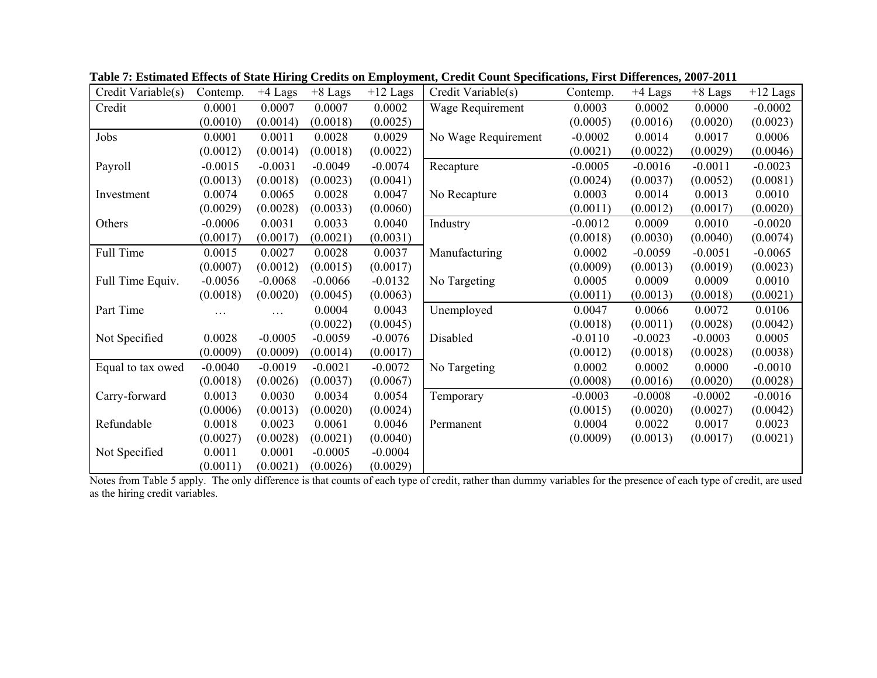| Credit Variable(s) | Contemp.  | $+4$ Lags | $+8$ Lags | $+12$ Lags | Credit Variable(s)  | Contemp.  | $+4$ Lags | $+8$ Lags | $+12$ Lags |
|--------------------|-----------|-----------|-----------|------------|---------------------|-----------|-----------|-----------|------------|
| Credit             | 0.0001    | 0.0007    | 0.0007    | 0.0002     | Wage Requirement    | 0.0003    | 0.0002    | 0.0000    | $-0.0002$  |
|                    | (0.0010)  | (0.0014)  | (0.0018)  | (0.0025)   |                     | (0.0005)  | (0.0016)  | (0.0020)  | (0.0023)   |
| Jobs               | 0.0001    | 0.0011    | 0.0028    | 0.0029     | No Wage Requirement | $-0.0002$ | 0.0014    | 0.0017    | 0.0006     |
|                    | (0.0012)  | (0.0014)  | (0.0018)  | (0.0022)   |                     | (0.0021)  | (0.0022)  | (0.0029)  | (0.0046)   |
| Payroll            | $-0.0015$ | $-0.0031$ | $-0.0049$ | $-0.0074$  | Recapture           | $-0.0005$ | $-0.0016$ | $-0.0011$ | $-0.0023$  |
|                    | (0.0013)  | (0.0018)  | (0.0023)  | (0.0041)   |                     | (0.0024)  | (0.0037)  | (0.0052)  | (0.0081)   |
| Investment         | 0.0074    | 0.0065    | 0.0028    | 0.0047     | No Recapture        | 0.0003    | 0.0014    | 0.0013    | 0.0010     |
|                    | (0.0029)  | (0.0028)  | (0.0033)  | (0.0060)   |                     | (0.0011)  | (0.0012)  | (0.0017)  | (0.0020)   |
| Others             | $-0.0006$ | 0.0031    | 0.0033    | 0.0040     | Industry            | $-0.0012$ | 0.0009    | 0.0010    | $-0.0020$  |
|                    | (0.0017)  | (0.0017)  | (0.0021)  | (0.0031)   |                     | (0.0018)  | (0.0030)  | (0.0040)  | (0.0074)   |
| Full Time          | 0.0015    | 0.0027    | 0.0028    | 0.0037     | Manufacturing       | 0.0002    | $-0.0059$ | $-0.0051$ | $-0.0065$  |
|                    | (0.0007)  | (0.0012)  | (0.0015)  | (0.0017)   |                     | (0.0009)  | (0.0013)  | (0.0019)  | (0.0023)   |
| Full Time Equiv.   | $-0.0056$ | $-0.0068$ | $-0.0066$ | $-0.0132$  | No Targeting        | 0.0005    | 0.0009    | 0.0009    | 0.0010     |
|                    | (0.0018)  | (0.0020)  | (0.0045)  | (0.0063)   |                     | (0.0011)  | (0.0013)  | (0.0018)  | (0.0021)   |
| Part Time          | $\cdots$  | $\cdots$  | 0.0004    | 0.0043     | Unemployed          | 0.0047    | 0.0066    | 0.0072    | 0.0106     |
|                    |           |           | (0.0022)  | (0.0045)   |                     | (0.0018)  | (0.0011)  | (0.0028)  | (0.0042)   |
| Not Specified      | 0.0028    | $-0.0005$ | $-0.0059$ | $-0.0076$  | Disabled            | $-0.0110$ | $-0.0023$ | $-0.0003$ | 0.0005     |
|                    | (0.0009)  | (0.0009)  | (0.0014)  | (0.0017)   |                     | (0.0012)  | (0.0018)  | (0.0028)  | (0.0038)   |
| Equal to tax owed  | $-0.0040$ | $-0.0019$ | $-0.0021$ | $-0.0072$  | No Targeting        | 0.0002    | 0.0002    | 0.0000    | $-0.0010$  |
|                    | (0.0018)  | (0.0026)  | (0.0037)  | (0.0067)   |                     | (0.0008)  | (0.0016)  | (0.0020)  | (0.0028)   |
| Carry-forward      | 0.0013    | 0.0030    | 0.0034    | 0.0054     | Temporary           | $-0.0003$ | $-0.0008$ | $-0.0002$ | $-0.0016$  |
|                    | (0.0006)  | (0.0013)  | (0.0020)  | (0.0024)   |                     | (0.0015)  | (0.0020)  | (0.0027)  | (0.0042)   |
| Refundable         | 0.0018    | 0.0023    | 0.0061    | 0.0046     | Permanent           | 0.0004    | 0.0022    | 0.0017    | 0.0023     |
|                    | (0.0027)  | (0.0028)  | (0.0021)  | (0.0040)   |                     | (0.0009)  | (0.0013)  | (0.0017)  | (0.0021)   |
| Not Specified      | 0.0011    | 0.0001    | $-0.0005$ | $-0.0004$  |                     |           |           |           |            |
|                    | (0.0011)  | (0.0021)  | (0.0026)  | (0.0029)   |                     |           |           |           |            |

**Table 7: Estimated Effects of State Hiring Credits on Employment, Credit Count Specifications, First Differences, 2007-2011** 

Notes from Table 5 apply. The only difference is that counts of each type of credit, rather than dummy variables for the presence of each type of credit, are used as the hiring credit variables.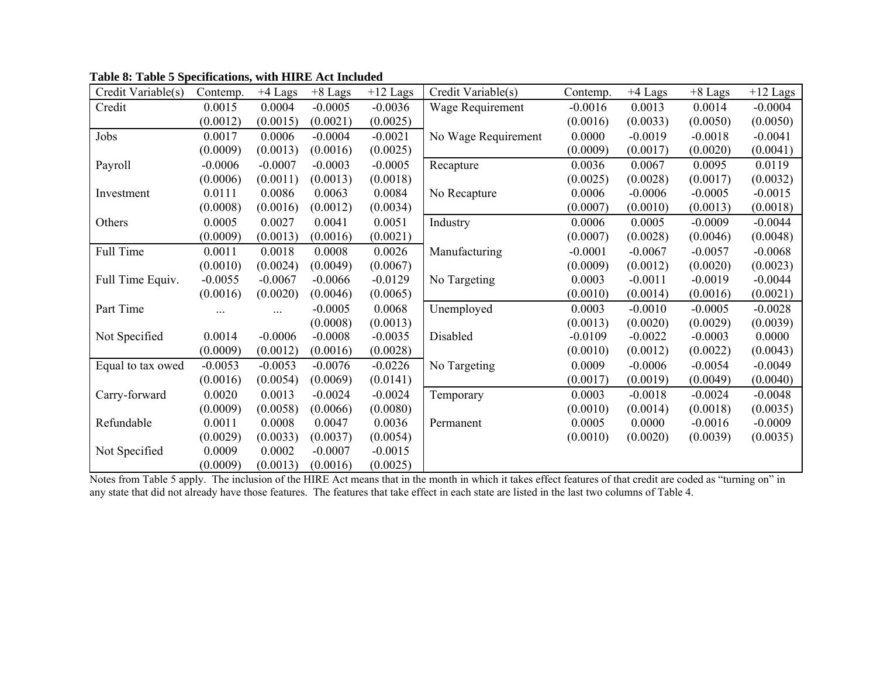| Credit Variable(s) | Contemp.  | $+4$ Lags | $+8$ Lags | $+12$ Lags | Credit Variable(s)  | Contemp.  | $+4$ Lags | $+8$ Lags | $+12$ Lags |
|--------------------|-----------|-----------|-----------|------------|---------------------|-----------|-----------|-----------|------------|
| Credit             | 0.0015    | 0.0004    | $-0.0005$ | $-0.0036$  | Wage Requirement    | $-0.0016$ | 0.0013    | 0.0014    | $-0.0004$  |
|                    | (0.0012)  | (0.0015)  | (0.0021)  | (0.0025)   |                     | (0.0016)  | (0.0033)  | (0.0050)  | (0.0050)   |
| Jobs               | 0.0017    | 0.0006    | $-0.0004$ | $-0.0021$  | No Wage Requirement | 0.0000    | $-0.0019$ | $-0.0018$ | $-0.0041$  |
|                    | (0.0009)  | (0.0013)  | (0.0016)  | (0.0025)   |                     | (0.0009)  | (0.0017)  | (0.0020)  | (0.0041)   |
| Payroll            | $-0.0006$ | $-0.0007$ | $-0.0003$ | $-0.0005$  | Recapture           | 0.0036    | 0.0067    | 0.0095    | 0.0119     |
|                    | (0.0006)  | (0.0011)  | (0.0013)  | (0.0018)   |                     | (0.0025)  | (0.0028)  | (0.0017)  | (0.0032)   |
| Investment         | 0.0111    | 0.0086    | 0.0063    | 0.0084     | No Recapture        | 0.0006    | $-0.0006$ | $-0.0005$ | $-0.0015$  |
|                    | (0.0008)  | (0.0016)  | (0.0012)  | (0.0034)   |                     | (0.0007)  | (0.0010)  | (0.0013)  | (0.0018)   |
| Others             | 0.0005    | 0.0027    | 0.0041    | 0.0051     | Industry            | 0.0006    | 0.0005    | $-0.0009$ | $-0.0044$  |
|                    | (0.0009)  | (0.0013)  | (0.0016)  | (0.0021)   |                     | (0.0007)  | (0.0028)  | (0.0046)  | (0.0048)   |
| Full Time          | 0.0011    | 0.0018    | 0.0008    | 0.0026     | Manufacturing       | $-0.0001$ | $-0.0067$ | $-0.0057$ | $-0.0068$  |
|                    | (0.0010)  | (0.0024)  | (0.0049)  | (0.0067)   |                     | (0.0009)  | (0.0012)  | (0.0020)  | (0.0023)   |
| Full Time Equiv.   | $-0.0055$ | $-0.0067$ | $-0.0066$ | $-0.0129$  | No Targeting        | 0.0003    | $-0.0011$ | $-0.0019$ | $-0.0044$  |
|                    | (0.0016)  | (0.0020)  | (0.0046)  | (0.0065)   |                     | (0.0010)  | (0.0014)  | (0.0016)  | (0.0021)   |
| Part Time          | $\cdots$  | .         | $-0.0005$ | 0.0068     | Unemployed          | 0.0003    | $-0.0010$ | $-0.0005$ | $-0.0028$  |
|                    |           |           | (0.0008)  | (0.0013)   |                     | (0.0013)  | (0.0020)  | (0.0029)  | (0.0039)   |
| Not Specified      | 0.0014    | $-0.0006$ | $-0.0008$ | $-0.0035$  | Disabled            | $-0.0109$ | $-0.0022$ | $-0.0003$ | 0.0000     |
|                    | (0.0009)  | (0.0012)  | (0.0016)  | (0.0028)   |                     | (0.0010)  | (0.0012)  | (0.0022)  | (0.0043)   |
| Equal to tax owed  | $-0.0053$ | $-0.0053$ | $-0.0076$ | $-0.0226$  | No Targeting        | 0.0009    | $-0.0006$ | $-0.0054$ | $-0.0049$  |
|                    | (0.0016)  | (0.0054)  | (0.0069)  | (0.0141)   |                     | (0.0017)  | (0.0019)  | (0.0049)  | (0.0040)   |
| Carry-forward      | 0.0020    | 0.0013    | $-0.0024$ | $-0.0024$  | Temporary           | 0.0003    | $-0.0018$ | $-0.0024$ | $-0.0048$  |
|                    | (0.0009)  | (0.0058)  | (0.0066)  | (0.0080)   |                     | (0.0010)  | (0.0014)  | (0.0018)  | (0.0035)   |
| Refundable         | 0.0011    | 0.0008    | 0.0047    | 0.0036     | Permanent           | 0.0005    | 0.0000    | $-0.0016$ | $-0.0009$  |
|                    | (0.0029)  | (0.0033)  | (0.0037)  | (0.0054)   |                     | (0.0010)  | (0.0020)  | (0.0039)  | (0.0035)   |
| Not Specified      | 0.0009    | 0.0002    | $-0.0007$ | $-0.0015$  |                     |           |           |           |            |
|                    | (0.0009)  | (0.0013)  | (0.0016)  | (0.0025)   |                     |           |           |           |            |

**Table 8: Table 5 Specifications, with HIRE Act Included** 

Notes from Table 5 apply. The inclusion of the HIRE Act means that in the month in which it takes effect features of that credit are coded as "turning on" in any state that did not already have those features. The features that take effect in each state are listed in the last two columns of Table 4.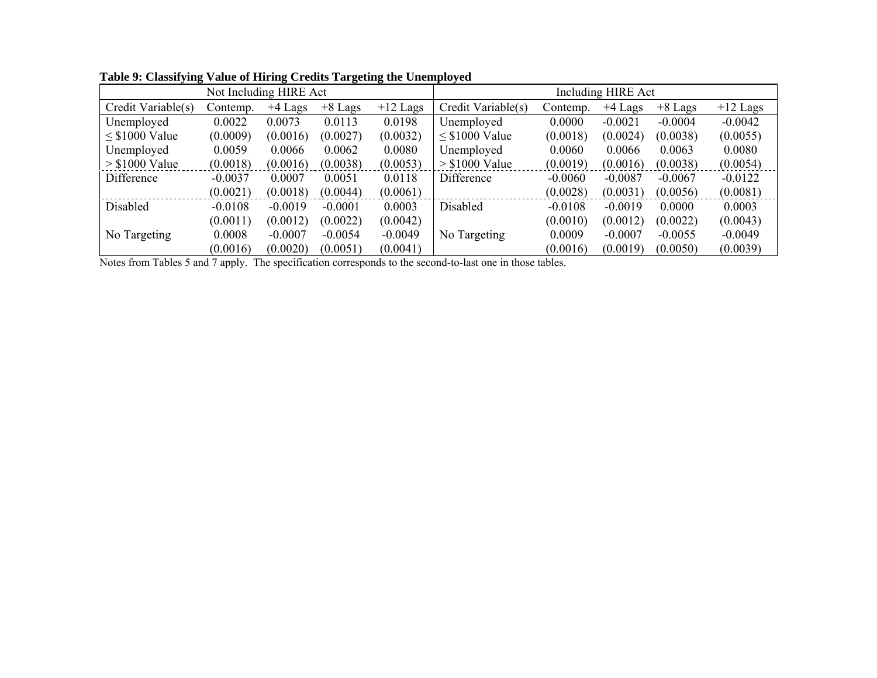|                     |           |           |           | Including HIRE Act |                     |           |           |           |            |
|---------------------|-----------|-----------|-----------|--------------------|---------------------|-----------|-----------|-----------|------------|
| Credit Variable(s)  | Contemp.  | $+4$ Lags | $+8$ Lags | $+12$ Lags         | Credit Variable(s)  | Contemp.  | $+4$ Lags | $+8$ Lags | $+12$ Lags |
| Unemployed          | 0.0022    | 0.0073    | 0.0113    | 0.0198             | Unemployed          | 0.0000    | $-0.0021$ | $-0.0004$ | $-0.0042$  |
| $\leq$ \$1000 Value | (0.0009)  | (0.0016)  | (0.0027)  | (0.0032)           | $\leq$ \$1000 Value | (0.0018)  | (0.0024)  | (0.0038)  | (0.0055)   |
| Unemployed          | 0.0059    | 0.0066    | 0.0062    | 0.0080             | Unemployed          | 0.0060    | 0.0066    | 0.0063    | 0.0080     |
| $>$ \$1000 Value    | (0.0018)  | (0.0016)  | (0.0038)  | (0.0053)           | $>$ \$1000 Value    | (0.0019)  | (0.0016)  | (0.0038)  | (0.0054)   |
| Difference          | $-0.0037$ | 0.0007    | 0.0051    | 0.0118             | Difference          | $-0.0060$ | $-0.0087$ | $-0.0067$ | $-0.0122$  |
|                     | (0.0021)  | (0.0018)  | (0.0044)  | (0.0061)           |                     | (0.0028)  | (0.0031)  | (0.0056)  | (0.0081)   |
| Disabled            | $-0.0108$ | $-0.0019$ | $-0.0001$ | 0.0003             | Disabled            | $-0.0108$ | $-0.0019$ | 0.0000    | 0.0003     |
|                     | (0.0011)  | (0.0012)  | (0.0022)  | (0.0042)           |                     | (0.0010)  | (0.0012)  | (0.0022)  | (0.0043)   |
| No Targeting        | 0.0008    | $-0.0007$ | $-0.0054$ | $-0.0049$          | No Targeting        | 0.0009    | $-0.0007$ | $-0.0055$ | $-0.0049$  |
|                     | (0.0016)  | (0.0020)  | (0.0051)  | (0.0041)           |                     | (0.0016)  | (0.0019)  | (0.0050)  | (0.0039)   |

**Table 9: Classifying Value of Hiring Credits Targeting the Unemployed**

Notes from Tables 5 and 7 apply. The specification corresponds to the second-to-last one in those tables.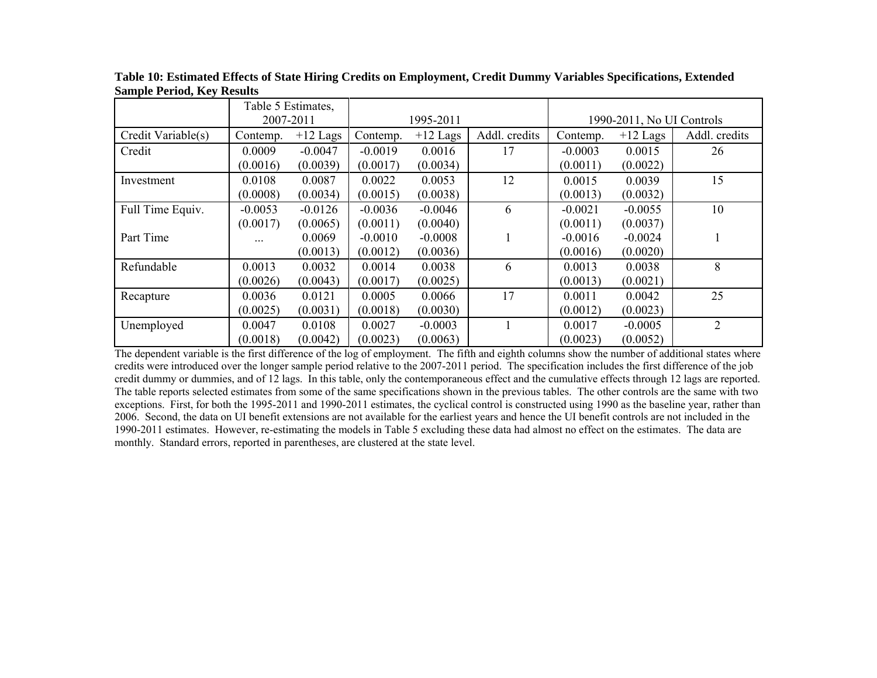|                    |           | Table 5 Estimates, |           |            |               |           |                           |               |
|--------------------|-----------|--------------------|-----------|------------|---------------|-----------|---------------------------|---------------|
|                    |           | 2007-2011          |           | 1995-2011  |               |           | 1990-2011, No UI Controls |               |
| Credit Variable(s) | Contemp.  | $+12$ Lags         | Contemp.  | $+12$ Lags | Addl. credits | Contemp.  | $+12$ Lags                | Addl. credits |
| Credit             | 0.0009    | $-0.0047$          | $-0.0019$ | 0.0016     | 17            | $-0.0003$ | 0.0015                    | 26            |
|                    | (0.0016)  | (0.0039)           | (0.0017)  | (0.0034)   |               | (0.0011)  | (0.0022)                  |               |
| Investment         | 0.0108    | 0.0087             | 0.0022    | 0.0053     | 12            | 0.0015    | 0.0039                    | 15            |
|                    | (0.0008)  | (0.0034)           | (0.0015)  | (0.0038)   |               | (0.0013)  | (0.0032)                  |               |
| Full Time Equiv.   | $-0.0053$ | $-0.0126$          | $-0.0036$ | $-0.0046$  | 6             | $-0.0021$ | $-0.0055$                 | 10            |
|                    | (0.0017)  | (0.0065)           | (0.0011)  | (0.0040)   |               | (0.0011)  | (0.0037)                  |               |
| Part Time          | $\cdots$  | 0.0069             | $-0.0010$ | $-0.0008$  |               | $-0.0016$ | $-0.0024$                 |               |
|                    |           | (0.0013)           | (0.0012)  | (0.0036)   |               | (0.0016)  | (0.0020)                  |               |
| Refundable         | 0.0013    | 0.0032             | 0.0014    | 0.0038     | 6             | 0.0013    | 0.0038                    | 8             |
|                    | (0.0026)  | (0.0043)           | (0.0017)  | (0.0025)   |               | (0.0013)  | (0.0021)                  |               |
| Recapture          | 0.0036    | 0.0121             | 0.0005    | 0.0066     | 17            | 0.0011    | 0.0042                    | 25            |
|                    | (0.0025)  | (0.0031)           | (0.0018)  | (0.0030)   |               | (0.0012)  | (0.0023)                  |               |
| Unemployed         | 0.0047    | 0.0108             | 0.0027    | $-0.0003$  |               | 0.0017    | $-0.0005$                 | 2             |
|                    | (0.0018)  | (0.0042)           | (0.0023)  | (0.0063)   |               | (0.0023)  | (0.0052)                  |               |

**Table 10: Estimated Effects of State Hiring Credits on Employment, Credit Dummy Variables Specifications, Extended Sample Period, Key Results** 

The dependent variable is the first difference of the log of employment. The fifth and eighth columns show the number of additional states where credits were introduced over the longer sample period relative to the 2007-2011 period. The specification includes the first difference of the job credit dummy or dummies, and of 12 lags. In this table, only the contemporaneous effect and the cumulative effects through 12 lags are reported. The table reports selected estimates from some of the same specifications shown in the previous tables. The other controls are the same with two exceptions. First, for both the 1995-2011 and 1990-2011 estimates, the cyclical control is constructed using 1990 as the baseline year, rather than 2006. Second, the data on UI benefit extensions are not available for the earliest years and hence the UI benefit controls are not included in the 1990-2011 estimates. However, re-estimating the models in Table 5 excluding these data had almost no effect on the estimates. The data are monthly. Standard errors, reported in parentheses, are clustered at the state level.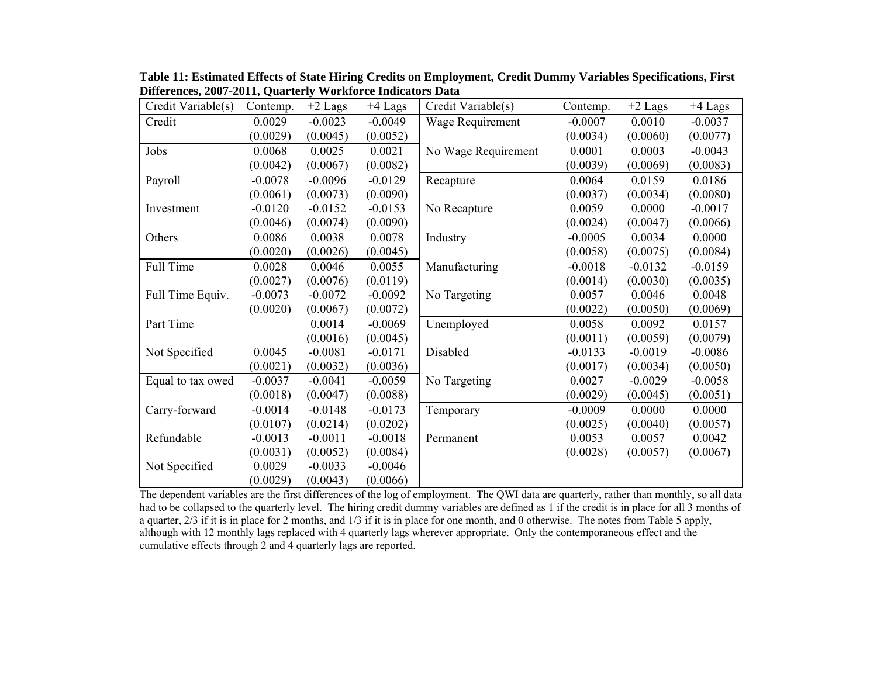| Credit Variable(s) | Contemp.  | $+2$ Lags | $+4$ Lags | Credit Variable(s)  | Contemp.  | $+2$ Lags | $+4$ Lags |
|--------------------|-----------|-----------|-----------|---------------------|-----------|-----------|-----------|
| Credit             | 0.0029    | $-0.0023$ | $-0.0049$ | Wage Requirement    | $-0.0007$ | 0.0010    | $-0.0037$ |
|                    | (0.0029)  | (0.0045)  | (0.0052)  |                     | (0.0034)  | (0.0060)  | (0.0077)  |
| Jobs               | 0.0068    | 0.0025    | 0.0021    | No Wage Requirement | 0.0001    | 0.0003    | $-0.0043$ |
|                    | (0.0042)  | (0.0067)  | (0.0082)  |                     | (0.0039)  | (0.0069)  | (0.0083)  |
| Payroll            | $-0.0078$ | $-0.0096$ | $-0.0129$ | Recapture           | 0.0064    | 0.0159    | 0.0186    |
|                    | (0.0061)  | (0.0073)  | (0.0090)  |                     | (0.0037)  | (0.0034)  | (0.0080)  |
| Investment         | $-0.0120$ | $-0.0152$ | $-0.0153$ | No Recapture        | 0.0059    | 0.0000    | $-0.0017$ |
|                    | (0.0046)  | (0.0074)  | (0.0090)  |                     | (0.0024)  | (0.0047)  | (0.0066)  |
| Others             | 0.0086    | 0.0038    | 0.0078    | Industry            | $-0.0005$ | 0.0034    | 0.0000    |
|                    | (0.0020)  | (0.0026)  | (0.0045)  |                     | (0.0058)  | (0.0075)  | (0.0084)  |
| Full Time          | 0.0028    | 0.0046    | 0.0055    | Manufacturing       | $-0.0018$ | $-0.0132$ | $-0.0159$ |
|                    | (0.0027)  | (0.0076)  | (0.0119)  |                     | (0.0014)  | (0.0030)  | (0.0035)  |
| Full Time Equiv.   | $-0.0073$ | $-0.0072$ | $-0.0092$ | No Targeting        | 0.0057    | 0.0046    | 0.0048    |
|                    | (0.0020)  | (0.0067)  | (0.0072)  |                     | (0.0022)  | (0.0050)  | (0.0069)  |
| Part Time          |           | 0.0014    | $-0.0069$ | Unemployed          | 0.0058    | 0.0092    | 0.0157    |
|                    |           | (0.0016)  | (0.0045)  |                     | (0.0011)  | (0.0059)  | (0.0079)  |
| Not Specified      | 0.0045    | $-0.0081$ | $-0.0171$ | Disabled            | $-0.0133$ | $-0.0019$ | $-0.0086$ |
|                    | (0.0021)  | (0.0032)  | (0.0036)  |                     | (0.0017)  | (0.0034)  | (0.0050)  |
| Equal to tax owed  | $-0.0037$ | $-0.0041$ | $-0.0059$ | No Targeting        | 0.0027    | $-0.0029$ | $-0.0058$ |
|                    | (0.0018)  | (0.0047)  | (0.0088)  |                     | (0.0029)  | (0.0045)  | (0.0051)  |
| Carry-forward      | $-0.0014$ | $-0.0148$ | $-0.0173$ | Temporary           | $-0.0009$ | 0.0000    | 0.0000    |
|                    | (0.0107)  | (0.0214)  | (0.0202)  |                     | (0.0025)  | (0.0040)  | (0.0057)  |
| Refundable         | $-0.0013$ | $-0.0011$ | $-0.0018$ | Permanent           | 0.0053    | 0.0057    | 0.0042    |
|                    | (0.0031)  | (0.0052)  | (0.0084)  |                     | (0.0028)  | (0.0057)  | (0.0067)  |
| Not Specified      | 0.0029    | $-0.0033$ | $-0.0046$ |                     |           |           |           |
|                    | (0.0029)  | (0.0043)  | (0.0066)  |                     |           |           |           |

**Table 11: Estimated Effects of State Hiring Credits on Employment, Credit Dummy Variables Specifications, First Differences, 2007-2011, Quarterly Workforce Indicators Data** 

The dependent variables are the first differences of the log of employment. The QWI data are quarterly, rather than monthly, so all data had to be collapsed to the quarterly level. The hiring credit dummy variables are defined as 1 if the credit is in place for all 3 months of a quarter, 2/3 if it is in place for 2 months, and 1/3 if it is in place for one month, and 0 otherwise. The notes from Table 5 apply, although with 12 monthly lags replaced with 4 quarterly lags wherever appropriate. Only the contemporaneous effect and the cumulative effects through 2 and 4 quarterly lags are reported.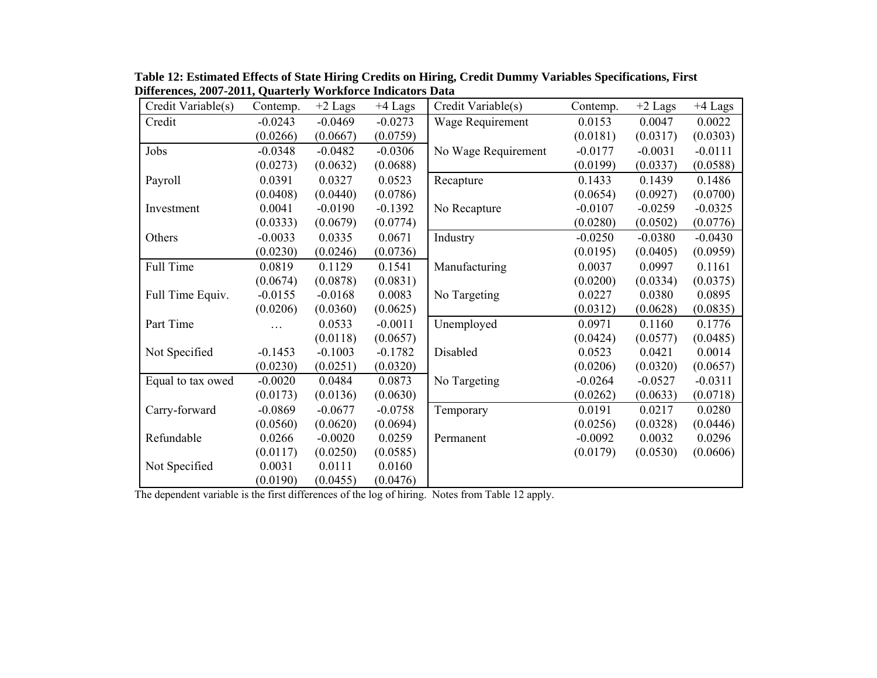| Credit Variable(s) | Contemp.  | $+2$ Lags | $+4$ Lags | Credit Variable(s)  | Contemp.  | $+2$ Lags | $+4$ Lags |
|--------------------|-----------|-----------|-----------|---------------------|-----------|-----------|-----------|
| Credit             | $-0.0243$ | $-0.0469$ | $-0.0273$ | Wage Requirement    | 0.0153    | 0.0047    | 0.0022    |
|                    | (0.0266)  | (0.0667)  | (0.0759)  |                     | (0.0181)  | (0.0317)  | (0.0303)  |
| Jobs               | $-0.0348$ | $-0.0482$ | $-0.0306$ | No Wage Requirement | $-0.0177$ | $-0.0031$ | $-0.0111$ |
|                    | (0.0273)  | (0.0632)  | (0.0688)  |                     | (0.0199)  | (0.0337)  | (0.0588)  |
| Payroll            | 0.0391    | 0.0327    | 0.0523    | Recapture           | 0.1433    | 0.1439    | 0.1486    |
|                    | (0.0408)  | (0.0440)  | (0.0786)  |                     | (0.0654)  | (0.0927)  | (0.0700)  |
| Investment         | 0.0041    | $-0.0190$ | $-0.1392$ | No Recapture        | $-0.0107$ | $-0.0259$ | $-0.0325$ |
|                    | (0.0333)  | (0.0679)  | (0.0774)  |                     | (0.0280)  | (0.0502)  | (0.0776)  |
| Others             | $-0.0033$ | 0.0335    | 0.0671    | Industry            | $-0.0250$ | $-0.0380$ | $-0.0430$ |
|                    | (0.0230)  | (0.0246)  | (0.0736)  |                     | (0.0195)  | (0.0405)  | (0.0959)  |
| Full Time          | 0.0819    | 0.1129    | 0.1541    | Manufacturing       | 0.0037    | 0.0997    | 0.1161    |
|                    | (0.0674)  | (0.0878)  | (0.0831)  |                     | (0.0200)  | (0.0334)  | (0.0375)  |
| Full Time Equiv.   | $-0.0155$ | $-0.0168$ | 0.0083    | No Targeting        | 0.0227    | 0.0380    | 0.0895    |
|                    | (0.0206)  | (0.0360)  | (0.0625)  |                     | (0.0312)  | (0.0628)  | (0.0835)  |
| Part Time          |           | 0.0533    | $-0.0011$ | Unemployed          | 0.0971    | 0.1160    | 0.1776    |
|                    |           | (0.0118)  | (0.0657)  |                     | (0.0424)  | (0.0577)  | (0.0485)  |
| Not Specified      | $-0.1453$ | $-0.1003$ | $-0.1782$ | Disabled            | 0.0523    | 0.0421    | 0.0014    |
|                    | (0.0230)  | (0.0251)  | (0.0320)  |                     | (0.0206)  | (0.0320)  | (0.0657)  |
| Equal to tax owed  | $-0.0020$ | 0.0484    | 0.0873    | No Targeting        | $-0.0264$ | $-0.0527$ | $-0.0311$ |
|                    | (0.0173)  | (0.0136)  | (0.0630)  |                     | (0.0262)  | (0.0633)  | (0.0718)  |
| Carry-forward      | $-0.0869$ | $-0.0677$ | $-0.0758$ | Temporary           | 0.0191    | 0.0217    | 0.0280    |
|                    | (0.0560)  | (0.0620)  | (0.0694)  |                     | (0.0256)  | (0.0328)  | (0.0446)  |
| Refundable         | 0.0266    | $-0.0020$ | 0.0259    | Permanent           | $-0.0092$ | 0.0032    | 0.0296    |
|                    | (0.0117)  | (0.0250)  | (0.0585)  |                     | (0.0179)  | (0.0530)  | (0.0606)  |
| Not Specified      | 0.0031    | 0.0111    | 0.0160    |                     |           |           |           |
|                    | (0.0190)  | (0.0455)  | (0.0476)  |                     |           |           |           |

**Table 12: Estimated Effects of State Hiring Credits on Hiring, Credit Dummy Variables Specifications, First Differences, 2007-2011, Quarterly Workforce Indicators Data** 

The dependent variable is the first differences of the log of hiring. Notes from Table 12 apply.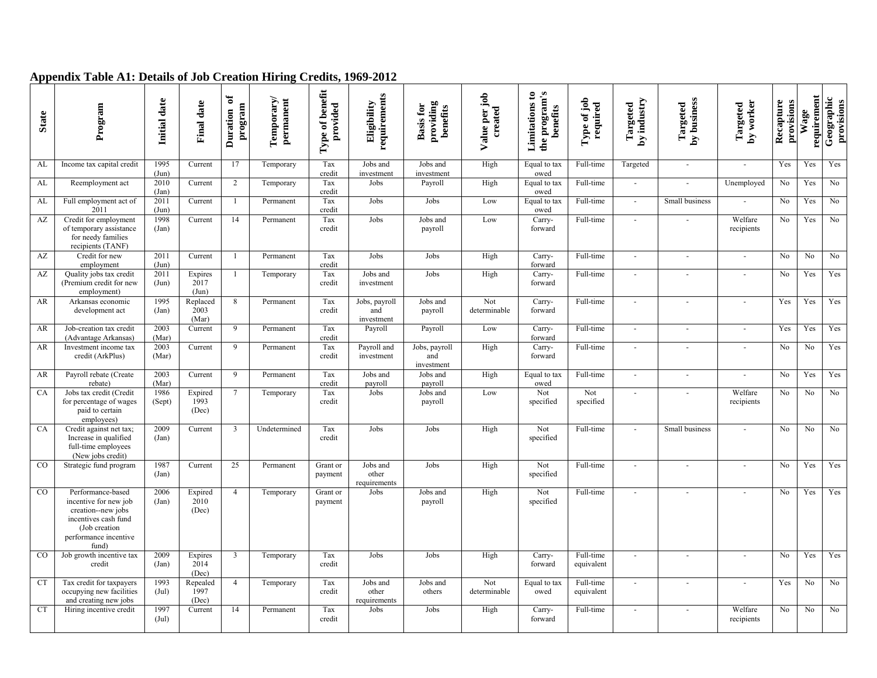|  |  |  |  | Appendix Table A1: Details of Job Creation Hiring Credits, 1969-2012 |
|--|--|--|--|----------------------------------------------------------------------|
|  |  |  |  |                                                                      |

| <b>State</b> | Program                                                                                                                                     | Initial date             | <b>Final date</b>         | ัธ<br>program<br>Duration | Temporary/<br>permanent | Type of benefit<br>provided | Eligibility<br>requirements        | providing<br><b>Basis for</b><br>benefits | Value per job<br>created | the program's<br>Limitations to<br>benefits | Type of job<br>required | by industry<br>Targeted | Targeted<br>by business | by worker<br>Targeted    | Recapture<br>provisions | requirement<br>Wage | Geographic<br>provisions |
|--------------|---------------------------------------------------------------------------------------------------------------------------------------------|--------------------------|---------------------------|---------------------------|-------------------------|-----------------------------|------------------------------------|-------------------------------------------|--------------------------|---------------------------------------------|-------------------------|-------------------------|-------------------------|--------------------------|-------------------------|---------------------|--------------------------|
|              |                                                                                                                                             |                          |                           |                           |                         |                             |                                    |                                           |                          |                                             |                         |                         |                         |                          |                         |                     |                          |
| AL           | Income tax capital credit                                                                                                                   | 1995<br>(Jun)            | Current                   | 17                        | Temporary               | Tax<br>credit               | Jobs and<br>investment             | Jobs and<br>investment                    | High                     | Equal to tax<br>owed                        | Full-time               | Targeted                | $\sim$                  | $\mathbf{r}$             | Yes                     | Yes                 | Yes                      |
| AL           | Reemployment act                                                                                                                            | 2010<br>(Jan)            | Current                   | $\overline{2}$            | Temporary               | Tax<br>credit               | Jobs                               | Payroll                                   | High                     | Equal to tax<br>owed                        | Full-time               | $\sim$                  | ÷.                      | Unemployed               | N <sub>o</sub>          | Yes                 | $\rm No$                 |
| AL           | Full employment act of<br>2011                                                                                                              | 2011<br>(Jun)            | Current                   | $\mathbf{1}$              | Permanent               | Tax<br>credit               | Jobs                               | Jobs                                      | Low                      | Equal to tax<br>owed                        | Full-time               | $\sim$                  | Small business          |                          | No.                     | Yes                 | $\rm No$                 |
| AZ           | Credit for employment<br>of temporary assistance<br>for needy families<br>recipients (TANF)                                                 | 1998<br>(Jan)            | Current                   | 14                        | Permanent               | Tax<br>credit               | Jobs                               | Jobs and<br>payroll                       | Low                      | Carry-<br>forward                           | Full-time               | $\overline{a}$          | ÷                       | Welfare<br>recipients    | No                      | Yes                 | No                       |
| AZ           | Credit for new<br>employment                                                                                                                | 2011<br>(Jun)            | Current                   | -1                        | Permanent               | Tax<br>credit               | Jobs                               | Jobs                                      | High                     | Carry-<br>forward                           | Full-time               | $\sim$                  | $\sim$                  | $\sim$                   | No.                     | No                  | No                       |
| AZ           | Quality jobs tax credit<br>(Premium credit for new<br>employment)                                                                           | 2011<br>(Jun)            | Expires<br>2017<br>(Jun)  | -1                        | Temporary               | Tax<br>credit               | Jobs and<br>investment             | Jobs                                      | High                     | Carry-<br>forward                           | Full-time               | $\sim$                  | $\overline{a}$          | $\overline{\phantom{a}}$ | No                      | Yes                 | Yes                      |
| AR           | Arkansas economic<br>development act                                                                                                        | 1995<br>(Jan)            | Replaced<br>2003<br>(Mar) | 8                         | Permanent               | Tax<br>credit               | Jobs, payroll<br>and<br>investment | Jobs and<br>payroll                       | Not<br>determinable      | Carry-<br>forward                           | Full-time               | $\sim$                  | $\sim$                  | $\sim$                   | Yes                     | Yes                 | Yes                      |
| AR           | Job-creation tax credit<br>(Advantage Arkansas)                                                                                             | 2003<br>(Mar)            | Current                   | 9                         | Permanent               | Tax<br>credit               | Payroll                            | Payroll                                   | Low                      | Carry-<br>forward                           | Full-time               | $\sim$                  | $\sim$                  | $\sim$                   | Yes                     | Yes                 | Yes                      |
| AR           | Investment income tax<br>credit (ArkPlus)                                                                                                   | 2003<br>(Mar)            | Current                   | 9                         | Permanent               | Tax<br>credit               | Payroll and<br>investment          | Jobs, payroll<br>and<br>investment        | High                     | Carry-<br>forward                           | Full-time               | $\sim$                  |                         | $\sim$                   | N <sub>0</sub>          | No                  | Yes                      |
| AR           | Payroll rebate (Create<br>rebate)                                                                                                           | 2003<br>(Mar)            | Current                   | 9                         | Permanent               | Tax<br>credit               | Jobs and<br>payroll                | Jobs and<br>payroll                       | High                     | Equal to tax<br>owed                        | Full-time               | $\sim$                  | $\sim$                  | $\sim$                   | N <sub>o</sub>          | Yes                 | Yes                      |
| CA           | Jobs tax credit (Credit<br>for percentage of wages<br>paid to certain<br>employees)                                                         | 1986<br>(Sept)           | Expired<br>1993<br>(Dec)  |                           | Temporary               | Tax<br>credit               | Jobs                               | Jobs and<br>payroll                       | Low                      | Not<br>specified                            | Not<br>specified        |                         |                         | Welfare<br>recipients    | N <sub>0</sub>          | No                  | N <sub>0</sub>           |
| CA           | Credit against net tax;<br>Increase in qualified<br>full-time employees<br>(New jobs credit)                                                | 2009<br>(Jan)            | Current                   | 3                         | Undetermined            | Tax<br>credit               | Jobs                               | Jobs                                      | High                     | Not<br>specified                            | Full-time               | $\sim$                  | Small business          | ä,                       | No.                     | No                  | No                       |
| $_{\rm CO}$  | Strategic fund program                                                                                                                      | 1987<br>(Jan)            | Current                   | 25                        | Permanent               | Grant or<br>payment         | Jobs and<br>other<br>requirements  | Jobs                                      | High                     | Not<br>specified                            | Full-time               |                         |                         |                          | No                      | Yes                 | Yes                      |
| $_{\rm CO}$  | Performance-based<br>incentive for new job<br>creation--new jobs<br>incentives cash fund<br>(Job creation<br>performance incentive<br>fund) | 2006<br>(Jan)            | Expired<br>2010<br>(Dec)  | $\overline{4}$            | Temporary               | Grant or<br>payment         | Jobs                               | Jobs and<br>payroll                       | High                     | Not<br>specified                            | Full-time               | $\sim$                  |                         |                          | No                      | Yes                 | Yes                      |
| CO           | Job growth incentive tax<br>credit                                                                                                          | 2009<br>(Jan)            | Expires<br>2014<br>(Dec)  | 3                         | Temporary               | Tax<br>credit               | Jobs                               | Jobs                                      | High                     | Carry-<br>forward                           | Full-time<br>equivalent |                         |                         |                          | No                      | Yes                 | Yes                      |
| <b>CT</b>    | Tax credit for taxpayers<br>occupying new facilities<br>and creating new jobs                                                               | 1993<br>$(\mathrm{Jul})$ | Repealed<br>1997<br>(Dec) | $\overline{4}$            | Temporary               | Tax<br>credit               | Jobs and<br>other<br>requirements  | Jobs and<br>others                        | Not<br>determinable      | Equal to tax<br>owed                        | Full-time<br>equivalent |                         |                         |                          | Yes                     | No                  | No                       |
| <b>CT</b>    | Hiring incentive credit                                                                                                                     | 1997<br>$(\mathrm{Jul})$ | Current                   | 14                        | Permanent               | Tax<br>credit               | Jobs                               | Jobs                                      | High                     | Carry-<br>forward                           | Full-time               | $\sim$                  |                         | Welfare<br>recipients    | No                      | N <sub>0</sub>      | No                       |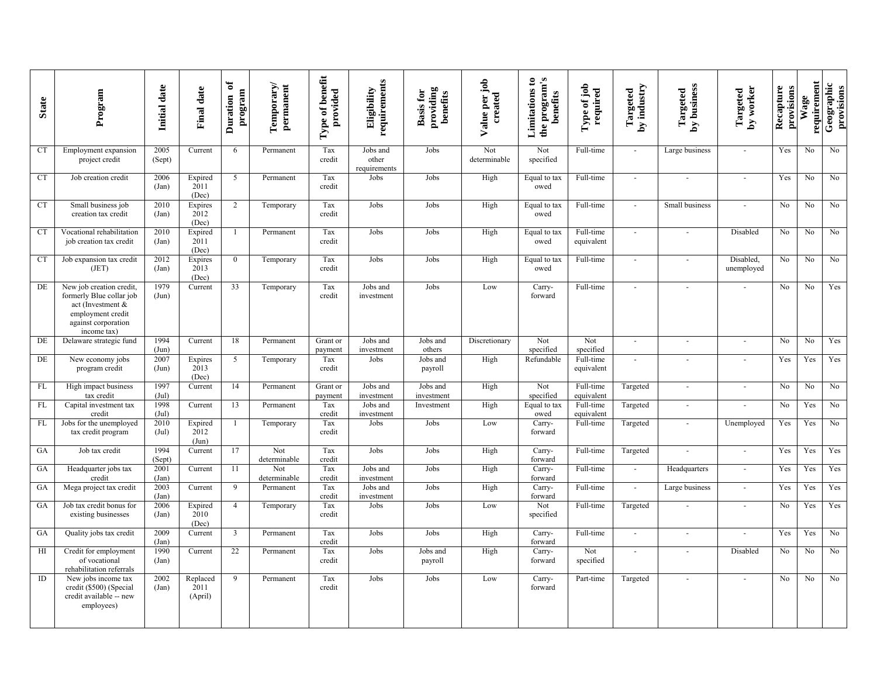| <b>State</b> | Program                                                                                                                              | Initial date   | <b>Final date</b>           | ð<br>program<br>Duration | Temporary/<br>permanent | Type of benefit<br>provided | requirements<br>Eligibility       | providing<br><b>Basis for</b><br>benefits | Value per job<br>created | the program's<br>Limitations to<br>benefits | Type of job<br>required | by industry<br>Targeted | by business<br>Targeted  | by worker<br>Targeted   | Recapture<br>provisions | requirement<br>Wage | Geographic<br>provisions |
|--------------|--------------------------------------------------------------------------------------------------------------------------------------|----------------|-----------------------------|--------------------------|-------------------------|-----------------------------|-----------------------------------|-------------------------------------------|--------------------------|---------------------------------------------|-------------------------|-------------------------|--------------------------|-------------------------|-------------------------|---------------------|--------------------------|
| <b>CT</b>    | Employment expansion<br>project credit                                                                                               | 2005<br>(Sept) | Current                     | 6                        | Permanent               | Tax<br>credit               | Jobs and<br>other<br>requirements | Jobs                                      | Not<br>determinable      | Not<br>specified                            | Full-time               | $\omega$                | Large business           | $\sim$                  | Yes                     | No                  | No                       |
| CT           | Job creation credit                                                                                                                  | 2006<br>(Jan)  | Expired<br>2011<br>(Dec)    | 5                        | Permanent               | Tax<br>credit               | Jobs                              | Jobs                                      | High                     | Equal to tax<br>owed                        | Full-time               | $\sim$                  | $\sim$                   | $\sim$                  | Yes                     | No                  | No                       |
| <b>CT</b>    | Small business job<br>creation tax credit                                                                                            | 2010<br>(Jan)  | Expires<br>2012<br>(Dec)    | $\overline{2}$           | Temporary               | Tax<br>credit               | Jobs                              | Jobs                                      | High                     | Equal to tax<br>owed                        | Full-time               | $\sim$                  | Small business           | $\sim$                  | No                      | No                  | No                       |
| <b>CT</b>    | Vocational rehabilitation<br>job creation tax credit                                                                                 | 2010<br>(Jan)  | Expired<br>2011<br>(Dec)    |                          | Permanent               | Tax<br>credit               | Jobs                              | Jobs                                      | High                     | Equal to tax<br>owed                        | Full-time<br>equivalent | $\sim$                  |                          | Disabled                | No                      | No                  | No                       |
| <b>CT</b>    | Job expansion tax credit<br>(JET)                                                                                                    | 2012<br>(Jan)  | Expires<br>2013<br>(Dec)    | $\mathbf{0}$             | Temporary               | Tax<br>credit               | Jobs                              | Jobs                                      | High                     | Equal to tax<br>owed                        | Full-time               | $\sim$                  |                          | Disabled,<br>unemployed | No                      | No                  | No                       |
| DE           | New job creation credit.<br>formerly Blue collar job<br>act (Investment &<br>employment credit<br>against corporation<br>income tax) | 1979<br>(Jun)  | Current                     | 33                       | Temporary               | Tax<br>credit               | Jobs and<br>investment            | Jobs                                      | Low                      | Carry-<br>forward                           | Full-time               |                         |                          |                         | No                      | No                  | Yes                      |
| DE           | Delaware strategic fund                                                                                                              | 1994<br>(Jun)  | Current                     | 18                       | Permanent               | Grant or<br>payment         | Jobs and<br>investment            | Jobs and<br>others                        | Discretionary            | Not<br>specified                            | Not<br>specified        | $\sim$                  | $\overline{\phantom{a}}$ | $\sim$                  | No                      | No                  | Yes                      |
| DE           | New economy jobs<br>program credit                                                                                                   | 2007<br>(Jun)  | Expires<br>2013<br>(Dec)    | 5                        | Temporary               | Tax<br>credit               | Jobs                              | Jobs and<br>payroll                       | High                     | Refundable                                  | Full-time<br>equivalent | $\sim$                  |                          | $\sim$                  | Yes                     | Yes                 | Yes                      |
| FL           | High impact business<br>tax credit                                                                                                   | 1997<br>(Jul)  | Current                     | 14                       | Permanent               | Grant or<br>payment         | Jobs and<br>investment            | Jobs and<br>investment                    | High                     | Not<br>specified                            | Full-time<br>equivalent | Targeted                | $\overline{\phantom{a}}$ | $\sim$                  | No                      | No                  | No                       |
| ${\rm FL}$   | Capital investment tax<br>credit                                                                                                     | 1998<br>(Jul)  | Current                     | 13                       | Permanent               | Tax<br>credit               | Jobs and<br>investment            | Investment                                | High                     | Equal to tax<br>owed                        | Full-time<br>equivalent | Targeted                | $\sim$                   |                         | $\rm No$                | Yes                 | No                       |
| FL           | Jobs for the unemployed<br>tax credit program                                                                                        | 2010<br>(Jul)  | Expired<br>2012<br>(Jun)    |                          | Temporary               | Tax<br>credit               | Jobs                              | Jobs                                      | Low                      | Carry-<br>forward                           | Full-time               | Targeted                |                          | Unemployed              | Yes                     | Yes                 | No                       |
| GA           | Job tax credit                                                                                                                       | 1994<br>(Sept) | Current                     | 17                       | Not<br>determinable     | Tax<br>credit               | Jobs                              | Jobs                                      | High                     | Carry-<br>forward                           | Full-time               | Targeted                |                          | $\sim$                  | Yes                     | Yes                 | Yes                      |
| GA           | Headquarter jobs tax<br>credit                                                                                                       | 2001<br>(Jan)  | Current                     | 11                       | Not<br>determinable     | Tax<br>credit               | Jobs and<br>investment            | Jobs                                      | High                     | Carry-<br>forward                           | Full-time               | $\sim$                  | Headquarters             | $\sim$                  | Yes                     | Yes                 | Yes                      |
| GA           | Mega project tax credit                                                                                                              | 2003<br>(Jan)  | Current                     | 9                        | Permanent               | Tax<br>credit               | Jobs and<br>investment            | Jobs                                      | High                     | Carry-<br>forward                           | Full-time               | $\sim$                  | Large business           | $\sim$                  | Yes                     | Yes                 | Yes                      |
| GA           | Job tax credit bonus for<br>existing businesses                                                                                      | 2006<br>(Jan)  | Expired<br>2010<br>(Dec)    | $\overline{4}$           | Temporary               | Tax<br>credit               | Jobs                              | Jobs                                      | Low                      | Not<br>specified                            | Full-time               | Targeted                |                          | $\sim$                  | No                      | Yes                 | Yes                      |
| GA           | Quality jobs tax credit                                                                                                              | 2009<br>(Jan)  | Current                     | $\overline{3}$           | Permanent               | Tax<br>credit               | Jobs                              | Jobs                                      | High                     | Carry-<br>forward                           | Full-time               | $\sim$                  | $\sim$                   | $\sim$                  | Yes                     | Yes                 | No                       |
| H            | Credit for employment<br>of vocational<br>rehabilitation referrals                                                                   | 1990<br>(Jan)  | Current                     | 22                       | Permanent               | Tax<br>credit               | Jobs                              | Jobs and<br>payroll                       | High                     | Carry-<br>forward                           | Not<br>specified        |                         | $\overline{\phantom{a}}$ | Disabled                | No                      | No                  | No                       |
| ID           | New jobs income tax<br>credit (\$500) (Special<br>credit available -- new<br>employees)                                              | 2002<br>(Jan)  | Replaced<br>2011<br>(April) | 9                        | Permanent               | Tax<br>credit               | Jobs                              | Jobs                                      | Low                      | Carry-<br>forward                           | Part-time               | Targeted                |                          |                         | No.                     | No                  | No                       |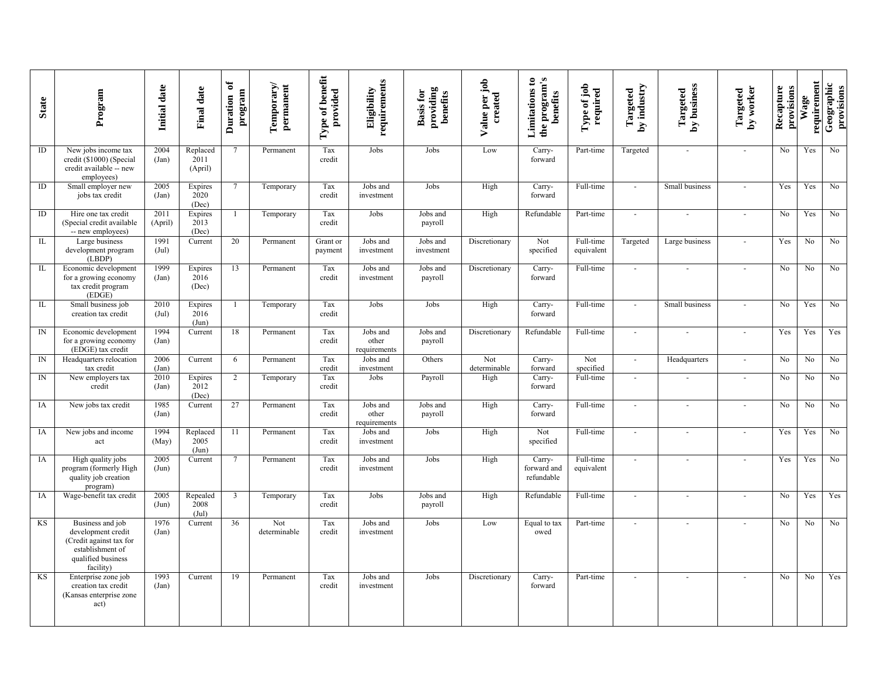| <b>State</b> | Program                                                                                                                  | Initial date             | <b>Final date</b>                 | ð<br>program<br>Duration | Temporary/<br>permanent | Type of benefit<br>provided | requirements<br>Eligibility       | providing<br>benefits<br><b>Basis for</b> | Value per job<br>created | the program's<br>Limitations to<br>benefits | Type of job<br>required | by industry<br>Targeted     | by business<br>Targeted | by worker<br>Targeted    | Recapture<br>provisions | requirement<br>Wage | Geographic<br>provisions |
|--------------|--------------------------------------------------------------------------------------------------------------------------|--------------------------|-----------------------------------|--------------------------|-------------------------|-----------------------------|-----------------------------------|-------------------------------------------|--------------------------|---------------------------------------------|-------------------------|-----------------------------|-------------------------|--------------------------|-------------------------|---------------------|--------------------------|
| $\rm ID$     | New jobs income tax<br>credit (\$1000) (Special<br>credit available -- new<br>employees)                                 | 2004<br>(Jan)            | Replaced<br>2011<br>(April)       | $\overline{7}$           | Permanent               | Tax<br>credit               | Jobs                              | Jobs                                      | Low                      | Carry-<br>forward                           | Part-time               | Targeted                    |                         | $\sim$                   | No                      | Yes                 | N <sub>o</sub>           |
| ID           | Small employer new<br>jobs tax credit                                                                                    | 2005<br>(Jan)            | Expires<br>2020<br>(Dec)          | $\tau$                   | Temporary               | Tax<br>credit               | Jobs and<br>investment            | Jobs                                      | High                     | Carry-<br>forward                           | Full-time               | $\sim$                      | Small business          |                          | Yes                     | Yes                 | No                       |
| $\rm ID$     | Hire one tax credit<br>(Special credit available<br>-- new employees)                                                    | 2011<br>(April)          | Expires<br>2013<br>(Dec)          | $\overline{1}$           | Temporary               | Tax<br>credit               | Jobs                              | Jobs and<br>payroll                       | High                     | Refundable                                  | Part-time               | $\sim$                      |                         | $\sim$                   | No                      | Yes                 | No                       |
| IL           | Large business<br>development program<br>(LBDP)                                                                          | 1991<br>$(\mathrm{Jul})$ | Current                           | 20                       | Permanent               | Grant or<br>payment         | Jobs and<br>investment            | Jobs and<br>investment                    | Discretionary            | Not<br>specified                            | Full-time<br>equivalent | Targeted                    | Large business          | $\sim$                   | Yes                     | No                  | No                       |
| IL           | Economic development<br>for a growing economy<br>tax credit program<br>(EDGE)                                            | 1999<br>(Jan)            | Expires<br>2016<br>(Dec)          | 13                       | Permanent               | Tax<br>credit               | Jobs and<br>investment            | Jobs and<br>payroll                       | Discretionary            | Carry-<br>forward                           | Full-time               | $\sim$                      |                         | $\sim$                   | No                      | No                  | N <sub>0</sub>           |
| IL           | Small business job<br>creation tax credit                                                                                | 2010<br>$(\mathrm{Jul})$ | Expires<br>2016<br>(Jun)          | 1                        | Temporary               | Tax<br>credit               | Jobs                              | Jobs                                      | High                     | Carry-<br>forward                           | Full-time               | $\sim$                      | Small business          | $\sim$                   | No                      | Yes                 | No                       |
| IN           | Economic development<br>for a growing economy<br>(EDGE) tax credit                                                       | 1994<br>(Jan)            | Current                           | 18                       | Permanent               | Tax<br>credit               | Jobs and<br>other<br>requirements | Jobs and<br>payroll                       | Discretionary            | Refundable                                  | Full-time               | $\omega$                    |                         |                          | Yes                     | Yes                 | Yes                      |
| IN           | Headquarters relocation<br>tax credit                                                                                    | 2006<br>(Jan)            | Current                           | 6                        | Permanent               | Tax<br>credit               | Jobs and<br>investment            | Others                                    | Not<br>determinable      | Carry-<br>forward                           | Not<br>specified        | $\mathcal{L}_{\mathcal{A}}$ | Headquarters            | $\sim$                   | No                      | No                  | No                       |
| IN           | New employers tax<br>credit                                                                                              | 2010<br>(Jan)            | Expires<br>2012<br>(Dec)          | 2                        | Temporary               | Tax<br>credit               | Jobs                              | Payroll                                   | High                     | Carry-<br>forward                           | Full-time               | $\omega$                    |                         | $\sim$                   | No                      | No                  | No                       |
| IA           | New jobs tax credit                                                                                                      | 1985<br>(Jan)            | Current                           | 27                       | Permanent               | Tax<br>credit               | Jobs and<br>other<br>requirements | Jobs and<br>payroll                       | High                     | Carry-<br>forward                           | Full-time               | $\sim$                      |                         |                          | No                      | No                  | No                       |
| IA           | New jobs and income<br>act                                                                                               | 1994<br>(May)            | Replaced<br>2005<br>$({\rm Jun})$ | 11                       | Permanent               | Tax<br>credit               | Jobs and<br>investment            | Jobs                                      | High                     | Not<br>specified                            | Full-time               | $\bar{\phantom{a}}$         |                         | $\sim$                   | Yes                     | Yes                 | N <sub>0</sub>           |
| IA           | High quality jobs<br>program (formerly High<br>quality job creation<br>program)                                          | 2005<br>(Jun)            | Current                           | $\overline{7}$           | Permanent               | Tax<br>credit               | Jobs and<br>investment            | Jobs                                      | High                     | Carry-<br>forward and<br>refundable         | Full-time<br>equivalent | $\sim$                      |                         | $\overline{\phantom{a}}$ | Yes                     | Yes                 | No                       |
| IA           | Wage-benefit tax credit                                                                                                  | 2005<br>(Jun)            | Repealed<br>2008<br>(Jul)         | 3                        | Temporary               | Tax<br>credit               | Jobs                              | Jobs and<br>payroll                       | High                     | Refundable                                  | Full-time               | $\sim$                      |                         | $\sim$                   | No                      | Yes                 | Yes                      |
| KS           | Business and job<br>development credit<br>(Credit against tax for<br>establishment of<br>qualified business<br>facility) | 1976<br>(Jan)            | Current                           | 36                       | Not<br>determinable     | Tax<br>credit               | Jobs and<br>investment            | Jobs                                      | Low                      | Equal to tax<br>owed                        | Part-time               | $\omega$                    |                         |                          | No                      | No                  | N <sub>o</sub>           |
| KS           | Enterprise zone job<br>creation tax credit<br>(Kansas enterprise zone<br>act)                                            | 1993<br>(Jan)            | Current                           | 19                       | Permanent               | Tax<br>credit               | Jobs and<br>investment            | Jobs                                      | Discretionary            | Carry-<br>forward                           | Part-time               | $\blacksquare$              |                         |                          | No                      | N <sub>0</sub>      | Yes                      |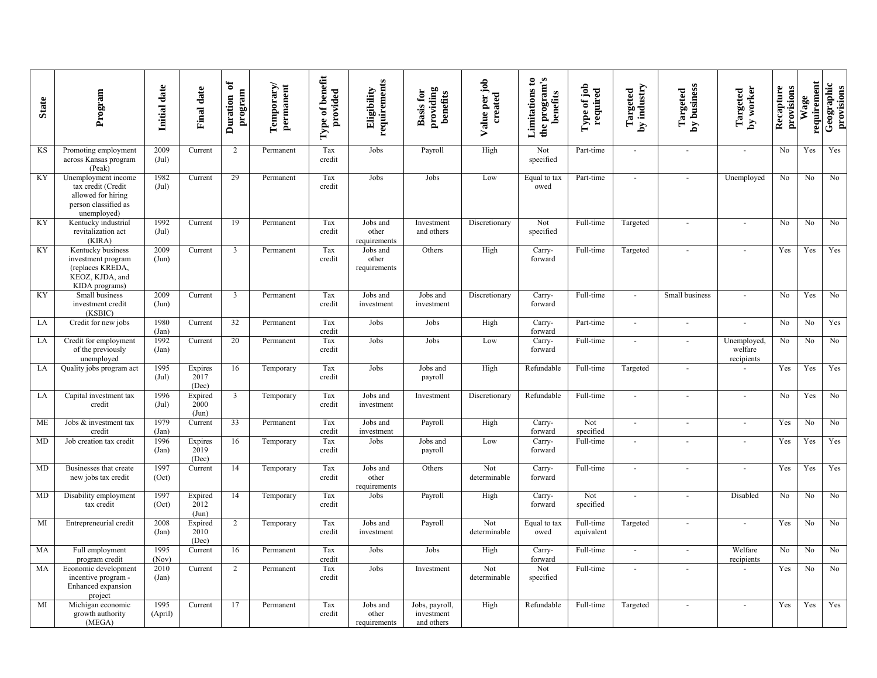| <b>State</b> | Program                                                                                                | Initial date             | <b>Final date</b>        | ð<br>program<br>Duration | Temporary/<br>permanent | Type of benefit<br>provided | requirements<br>Eligibility       | providing<br><b>Basis for</b><br>benefits  | Value per job<br>created | the program's<br>Limitations to<br>benefits | Type of job<br>required | by industry<br>Targeted | Targeted<br>by business | by worker<br>Targeted               | Recapture<br>provisions | requirement<br>Wage | Geographic<br>provisions |
|--------------|--------------------------------------------------------------------------------------------------------|--------------------------|--------------------------|--------------------------|-------------------------|-----------------------------|-----------------------------------|--------------------------------------------|--------------------------|---------------------------------------------|-------------------------|-------------------------|-------------------------|-------------------------------------|-------------------------|---------------------|--------------------------|
| KS           | Promoting employment<br>across Kansas program<br>(Peak)                                                | 2009<br>$(\mathrm{Jul})$ | Current                  | 2                        | Permanent               | Tax<br>credit               | Jobs                              | Payroll                                    | High                     | Not<br>specified                            | Part-time               | $\sim$                  | $\sim$                  | $\sim$                              | N <sub>o</sub>          | Yes                 | Yes                      |
| KY           | Unemployment income<br>tax credit (Credit<br>allowed for hiring<br>person classified as<br>unemployed) | 1982<br>$(\mathrm{Jul})$ | Current                  | 29                       | Permanent               | Tax<br>credit               | Jobs                              | Jobs                                       | Low                      | Equal to tax<br>owed                        | Part-time               | $\overline{a}$          | $\overline{a}$          | Unemployed                          | No                      | No                  | No                       |
| KY           | Kentucky industrial<br>revitalization act<br>(KIRA)                                                    | 1992<br>$(\mathrm{Jul})$ | Current                  | 19                       | Permanent               | Tax<br>credit               | Jobs and<br>other<br>requirements | Investment<br>and others                   | Discretionary            | Not<br>specified                            | Full-time               | Targeted                | $\frac{1}{2}$           | $\overline{\phantom{a}}$            | No                      | No                  | No                       |
| KY           | Kentucky business<br>investment program<br>(replaces KREDA,<br>KEOZ, KJDA, and<br>KIDA programs)       | 2009<br>(Jun)            | Current                  | 3                        | Permanent               | Tax<br>credit               | Jobs and<br>other<br>requirements | Others                                     | High                     | Carry-<br>forward                           | Full-time               | Targeted                |                         |                                     | Yes                     | Yes                 | Yes                      |
| KY           | Small business<br>investment credit<br>(KSBIC)                                                         | 2009<br>(Jun)            | Current                  | 3                        | Permanent               | Tax<br>credit               | Jobs and<br>investment            | Jobs and<br>investment                     | Discretionary            | Carry-<br>forward                           | Full-time               | $\overline{a}$          | Small business          | $\sim$                              | No                      | Yes                 | No                       |
| LA           | Credit for new jobs                                                                                    | 1980<br>(Jan)            | Current                  | 32                       | Permanent               | Tax<br>credit               | Jobs                              | Jobs                                       | High                     | Carry-<br>forward                           | Part-time               | $\sim$                  | $\sim$                  | $\overline{\phantom{a}}$            | $\overline{No}$         | N <sub>0</sub>      | Yes                      |
| LA           | Credit for employment<br>of the previously<br>unemployed                                               | 1992<br>(Jan)            | Current                  | 20                       | Permanent               | Tax<br>credit               | Jobs                              | Jobs                                       | Low                      | Carry-<br>forward                           | Full-time               | $\sim$                  | $\mathbf{r}$            | Unemployed<br>welfare<br>recipients | No                      | No                  | No                       |
| LA           | Quality jobs program act                                                                               | 1995<br>$(\mathrm{Jul})$ | Expires<br>2017<br>(Dec) | 16                       | Temporary               | Tax<br>credit               | Jobs                              | Jobs and<br>payroll                        | High                     | Refundable                                  | Full-time               | Targeted                | ä,                      | $\sim$                              | Yes                     | Yes                 | Yes                      |
| LA           | Capital investment tax<br>credit                                                                       | 1996<br>$(\mathrm{Jul})$ | Expired<br>2000<br>(Jun) | $\mathbf{3}$             | Temporary               | Tax<br>credit               | Jobs and<br>investment            | Investment                                 | Discretionary            | Refundable                                  | Full-time               | $\sim$                  | $\sim$                  | $\sim$                              | N <sub>o</sub>          | Yes                 | No                       |
| ME           | Jobs & investment tax<br>credit                                                                        | 1979<br>(Jan)            | Current                  | 33                       | Permanent               | Tax<br>credit               | Jobs and<br>investment            | Payroll                                    | High                     | Carry-<br>forward                           | Not<br>specified        | $\sim$                  | ÷,                      | $\overline{a}$                      | Yes                     | No                  | No                       |
| MD           | Job creation tax credit                                                                                | 1996<br>(Jan)            | Expires<br>2019<br>(Dec) | 16                       | Temporary               | Tax<br>credit               | Jobs                              | Jobs and<br>payroll                        | Low                      | Carry-<br>forward                           | Full-time               | $\overline{a}$          |                         | $\sim$                              | Yes                     | Yes                 | Yes                      |
| MD           | Businesses that create<br>new jobs tax credit                                                          | 1997<br>(Oct)            | Current                  | 14                       | Temporary               | Tax<br>credit               | Jobs and<br>other<br>requirements | Others                                     | Not<br>determinable      | Carry-<br>forward                           | Full-time               | $\sim$                  | $\sim$                  | $\sim$                              | Yes                     | Yes                 | Yes                      |
| MD           | Disability employment<br>tax credit                                                                    | 1997<br>(Oct)            | Expired<br>2012<br>(Jun) | 14                       | Temporary               | Tax<br>credit               | Jobs                              | Payroll                                    | High                     | Carry-<br>forward                           | Not<br>specified        |                         | ä,                      | Disabled                            | No                      | No                  | No                       |
| MI           | Entrepreneurial credit                                                                                 | 2008<br>(Jan)            | Expired<br>2010<br>(Dec) | $\overline{2}$           | Temporary               | Tax<br>credit               | Jobs and<br>investment            | Payroll                                    | Not<br>determinable      | Equal to tax<br>owed                        | Full-time<br>equivalent | Targeted                | $\overline{a}$          | $\sim$                              | Yes                     | No                  | No                       |
| MA           | Full employment<br>program credit                                                                      | 1995<br>(Nov)            | Current                  | 16                       | Permanent               | Tax<br>credit               | Jobs                              | Jobs                                       | High                     | Carry-<br>forward                           | Full-time               | $\sim$                  | $\omega$                | Welfare<br>recipients               | No                      | No                  | No                       |
| MA           | Economic development<br>incentive program -<br>Enhanced expansion<br>project                           | 2010<br>(Jan)            | Current                  | $\overline{2}$           | Permanent               | Tax<br>credit               | Jobs                              | Investment                                 | Not<br>determinable      | Not<br>specified                            | Full-time               | $\sim$                  |                         |                                     | Yes                     | No                  | No                       |
| MI           | Michigan economic<br>growth authority<br>(MEGA)                                                        | 1995<br>(April)          | Current                  | 17                       | Permanent               | Tax<br>credit               | Jobs and<br>other<br>requirements | Jobs, payroll,<br>investment<br>and others | High                     | Refundable                                  | Full-time               | Targeted                | $\sim$                  | $\sim$                              | Yes                     | Yes                 | Yes                      |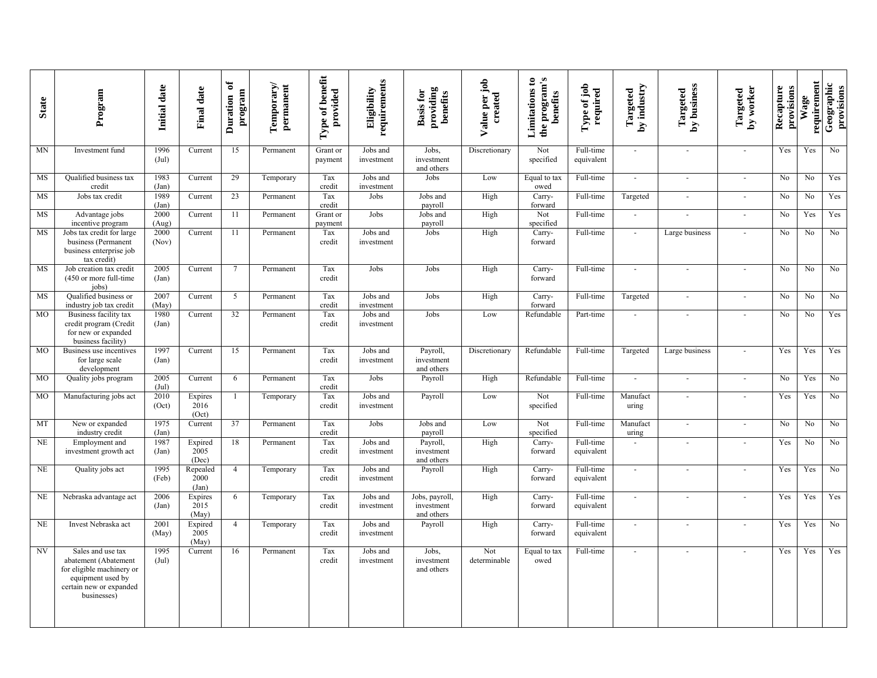| <b>State</b> | Program                                                                                                                               | Initial date             | <b>Final date</b>         | ð<br>program<br>Duration | Temporary/<br>permanent | Type of benefit<br>provided | requirements<br>Eligibility | providing<br>benefits<br><b>Basis for</b>  | Value per job<br>created | the program's<br>Limitations to<br>benefits | Type of job<br>required | by industry<br>Targeted     | Targeted<br>by business | by worker<br>Targeted       | Recapture<br>provisions | requirement<br>Wage | Geographic<br>provisions |
|--------------|---------------------------------------------------------------------------------------------------------------------------------------|--------------------------|---------------------------|--------------------------|-------------------------|-----------------------------|-----------------------------|--------------------------------------------|--------------------------|---------------------------------------------|-------------------------|-----------------------------|-------------------------|-----------------------------|-------------------------|---------------------|--------------------------|
| <b>MN</b>    | Investment fund                                                                                                                       | 1996<br>$(\mathrm{Jul})$ | Current                   | 15                       | Permanent               | Grant or<br>payment         | Jobs and<br>investment      | Jobs,<br>investment<br>and others          | Discretionary            | Not<br>specified                            | Full-time<br>equivalent | $\sim$                      | $\sim$                  | $\sim$                      | Yes                     | Yes                 | No                       |
| MS           | <b>Oualified business tax</b><br>credit                                                                                               | 1983<br>(Jan)            | Current                   | 29                       | Temporary               | Tax<br>credit               | Jobs and<br>investment      | Jobs                                       | Low                      | Equal to tax<br>owed                        | Full-time               | $\omega$                    | $\omega$                | $\sim$                      | No                      | No                  | Yes                      |
| MS           | Jobs tax credit                                                                                                                       | 1989<br>(Jan)            | Current                   | 23                       | Permanent               | Tax<br>credit               | Jobs                        | Jobs and<br>payroll                        | High                     | Carry-<br>forward                           | Full-time               | Targeted                    | $\bar{\phantom{a}}$     | $\sim$                      | No                      | No                  | Yes                      |
| MS           | Advantage jobs<br>incentive program                                                                                                   | 2000<br>(Aug)            | Current                   | 11                       | Permanent               | Grant or<br>payment         | Jobs                        | Jobs and<br>payroll                        | High                     | Not<br>specified                            | Full-time               | $\overline{\phantom{a}}$    | $\sim$                  | $\mathcal{L}_{\mathcal{A}}$ | No                      | Yes                 | Yes                      |
| MS           | Jobs tax credit for large<br>business (Permanent<br>business enterprise job<br>tax credit)                                            | 2000<br>(Nov)            | Current                   | 11                       | Permanent               | Tax<br>credit               | Jobs and<br>investment      | Jobs                                       | High                     | Carry-<br>forward                           | Full-time               |                             | Large business          |                             | No                      | No                  | No                       |
| <b>MS</b>    | Job creation tax credit<br>(450 or more full-time<br>jobs)                                                                            | 2005<br>(Jan)            | Current                   | $\overline{7}$           | Permanent               | Tax<br>credit               | Jobs                        | Jobs                                       | High                     | Carry-<br>forward                           | Full-time               | $\sim$                      | $\sim$                  | $\sim$                      | $\overline{No}$         | N <sub>0</sub>      | $\overline{No}$          |
| MS           | Qualified business or<br>industry job tax credit                                                                                      | 2007<br>(May)            | Current                   | 5                        | Permanent               | Tax<br>credit               | Jobs and<br>investment      | Jobs                                       | High                     | Carry-<br>forward                           | Full-time               | Targeted                    | $\blacksquare$          | $\sim$                      | No                      | No                  | No                       |
| <b>MO</b>    | Business facility tax<br>credit program (Credit<br>for new or expanded<br>business facility)                                          | 1980<br>(Jan)            | Current                   | 32                       | Permanent               | Tax<br>credit               | Jobs and<br>investment      | Jobs                                       | Low                      | Refundable                                  | Part-time               |                             |                         | $\overline{\phantom{a}}$    | N <sub>0</sub>          | N <sub>0</sub>      | Yes                      |
| <b>MO</b>    | Business use incentives<br>for large scale<br>development                                                                             | 1997<br>(Jan)            | Current                   | 15                       | Permanent               | Tax<br>credit               | Jobs and<br>investment      | Payroll,<br>investment<br>and others       | Discretionary            | Refundable                                  | Full-time               | Targeted                    | Large business          |                             | Yes                     | Yes                 | Yes                      |
| <b>MO</b>    | Quality jobs program                                                                                                                  | 2005<br>(Jul)            | Current                   | 6                        | Permanent               | Tax<br>credit               | Jobs                        | Payroll                                    | High                     | Refundable                                  | Full-time               | $\sim$                      | $\mathbf{r}$            | $\sim$                      | No                      | Yes                 | No                       |
| <b>MO</b>    | Manufacturing jobs act                                                                                                                | 2010<br>(Oct)            | Expires<br>2016<br>(Oct)  |                          | Temporary               | Tax<br>credit               | Jobs and<br>investment      | Payroll                                    | Low                      | Not<br>specified                            | Full-time               | Manufact<br>uring           | $\sim$                  | $\sim$                      | Yes                     | Yes                 | No                       |
| MT           | New or expanded<br>industry credit                                                                                                    | 1975<br>(Jan)            | Current                   | 37                       | Permanent               | Tax<br>credit               | Jobs                        | Jobs and<br>payroll                        | Low                      | Not<br>specified                            | Full-time               | Manufact<br>uring           | $\sim$                  | $\blacksquare$              | No                      | No                  | No                       |
| <b>NE</b>    | Employment and<br>investment growth act                                                                                               | 1987<br>(Jan)            | Expired<br>2005<br>(Dec)  | 18                       | Permanent               | Tax<br>credit               | Jobs and<br>investment      | Payroll,<br>investment<br>and others       | High                     | Carry-<br>forward                           | Full-time<br>equivalent |                             |                         |                             | Yes                     | No                  | No                       |
| NE           | Quality jobs act                                                                                                                      | 1995<br>(Feb)            | Repealed<br>2000<br>(Jan) | $\overline{4}$           | Temporary               | Tax<br>credit               | Jobs and<br>investment      | Payroll                                    | High                     | Carry-<br>forward                           | Full-time<br>equivalent | $\sim$                      | $\sim$                  | $\sim$                      | Yes                     | Yes                 | No                       |
| $\rm NE$     | Nebraska advantage act                                                                                                                | 2006<br>(Jan)            | Expires<br>2015<br>(May)  | 6                        | Temporary               | Tax<br>credit               | Jobs and<br>investment      | Jobs, payroll,<br>investment<br>and others | High                     | Carry-<br>forward                           | Full-time<br>equivalent | $\sim$                      |                         | ÷,                          | Yes                     | Yes                 | Yes                      |
| <b>NE</b>    | Invest Nebraska act                                                                                                                   | 2001<br>(May)            | Expired<br>2005<br>(May)  | $\overline{4}$           | Temporary               | Tax<br>credit               | Jobs and<br>investment      | Payroll                                    | High                     | Carry-<br>forward                           | Full-time<br>equivalent | $\sim$                      | $\sim$                  | $\overline{\phantom{a}}$    | Yes                     | Yes                 | No                       |
| <b>NV</b>    | Sales and use tax<br>abatement (Abatement<br>for eligible machinery or<br>equipment used by<br>certain new or expanded<br>businesses) | 1995<br>$(\mathrm{Jul})$ | Current                   | 16                       | Permanent               | Tax<br>credit               | Jobs and<br>investment      | Jobs.<br>investment<br>and others          | Not<br>determinable      | Equal to tax<br>owed                        | Full-time               | $\mathcal{L}_{\mathcal{A}}$ |                         | $\sim$                      | Yes                     | Yes                 | Yes                      |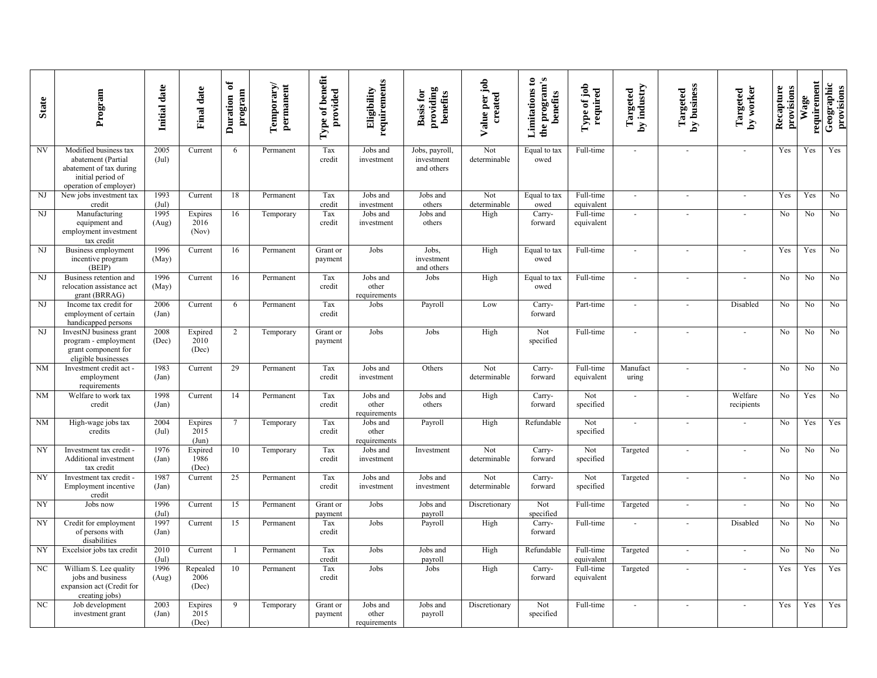| <b>State</b> | Program                                                                                                               | Initial date             | Final date                | ð<br>program<br>Duration | Temporary/<br>permanent | Type of benefit<br>provided | requirements<br>Eligibility       | providing<br>benefits<br><b>Basis for</b>  | Value per job<br>created | the program's<br>Limitations to<br>benefits | Type of job<br>required | by industry<br>Targeted | by business<br>Targeted  | by worker<br>Targeted | Recapture<br>provisions | requirement<br>Wage | Geographic<br>provisions |
|--------------|-----------------------------------------------------------------------------------------------------------------------|--------------------------|---------------------------|--------------------------|-------------------------|-----------------------------|-----------------------------------|--------------------------------------------|--------------------------|---------------------------------------------|-------------------------|-------------------------|--------------------------|-----------------------|-------------------------|---------------------|--------------------------|
| NV           | Modified business tax<br>abatement (Partial<br>abatement of tax during<br>initial period of<br>operation of employer) | 2005<br>$(\mathrm{Jul})$ | Current                   | 6                        | Permanent               | Tax<br>credit               | Jobs and<br>investment            | Jobs, payroll,<br>investment<br>and others | Not<br>determinable      | Equal to tax<br>owed                        | Full-time               | $\sim$                  | $\sim$                   | $\sim$                | Yes                     | Yes                 | Yes                      |
| NJ           | New jobs investment tax<br>credit                                                                                     | 1993<br>(Jul)            | Current                   | 18                       | Permanent               | Tax<br>credit               | Jobs and<br>investment            | Jobs and<br>others                         | Not<br>determinable      | Equal to tax<br>owed                        | Full-time<br>equivalent | $\sim$                  | $\blacksquare$           | $\sim$                | Yes                     | Yes                 | No                       |
| $\rm{NJ}$    | Manufacturing<br>equipment and<br>employment investment<br>tax credit                                                 | 1995<br>(Aug)            | Expires<br>2016<br>(Nov)  | 16                       | Temporary               | Tax<br>credit               | Jobs and<br>investment            | Jobs and<br>others                         | High                     | Carry-<br>forward                           | Full-time<br>equivalent | $\sim$                  |                          | $\sim$                | N <sub>o</sub>          | No                  | No                       |
| NJ           | Business employment<br>incentive program<br>(BEIP)                                                                    | 1996<br>(May)            | Current                   | 16                       | Permanent               | Grant or<br>payment         | Jobs                              | Jobs,<br>investment<br>and others          | High                     | Equal to tax<br>owed                        | Full-time               | $\sim$                  |                          |                       | Yes                     | Yes                 | No                       |
| NJ           | Business retention and<br>relocation assistance act<br>grant (BRRAG)                                                  | 1996<br>(May)            | Current                   | 16                       | Permanent               | Tax<br>credit               | Jobs and<br>other<br>requirements | Jobs                                       | High                     | Equal to tax<br>owed                        | Full-time               | $\sim$                  |                          | $\sim$                | N <sub>0</sub>          | No                  | No                       |
| NJ           | Income tax credit for<br>employment of certain<br>handicapped persons                                                 | 2006<br>(Jan)            | Current                   | 6                        | Permanent               | Tax<br>credit               | Jobs                              | Payroll                                    | Low                      | Carry-<br>forward                           | Part-time               | $\blacksquare$          |                          | Disabled              | No                      | No                  | No                       |
| NJ           | InvestNJ business grant<br>program - employment<br>grant component for<br>eligible businesses                         | 2008<br>(Dec)            | Expired<br>2010<br>(Dec)  | 2                        | Temporary               | Grant or<br>payment         | Jobs                              | Jobs                                       | High                     | Not<br>specified                            | Full-time               | $\sim$                  |                          |                       | No                      | No                  | No                       |
| NM           | Investment credit act -<br>employment<br>requirements                                                                 | 1983<br>(Jan)            | Current                   | 29                       | Permanent               | Tax<br>credit               | Jobs and<br>investment            | Others                                     | Not<br>determinable      | Carry-<br>forward                           | Full-time<br>equivalent | Manufact<br>uring       |                          |                       | No                      | No                  | No                       |
| <b>NM</b>    | Welfare to work tax<br>credit                                                                                         | 1998<br>(Jan)            | Current                   | 14                       | Permanent               | Tax<br>credit               | Jobs and<br>other<br>requirements | Jobs and<br>others                         | High                     | Carry-<br>forward                           | Not<br>specified        | $\sim$                  | $\overline{\phantom{a}}$ | Welfare<br>recipients | No                      | Yes                 | No                       |
| NM           | High-wage jobs tax<br>credits                                                                                         | 2004<br>$(\mathrm{Jul})$ | Expires<br>2015<br>(Jun)  | $\overline{7}$           | Temporary               | Tax<br>credit               | Jobs and<br>other<br>requirements | Payroll                                    | High                     | Refundable                                  | Not<br>specified        | $\sim$                  |                          | $\sim$                | No                      | Yes                 | Yes                      |
| NY           | Investment tax credit -<br>Additional investment<br>tax credit                                                        | 1976<br>(Jan)            | Expired<br>1986<br>(Dec)  | 10                       | Temporary               | Tax<br>credit               | Jobs and<br>investment            | Investment                                 | Not<br>determinable      | Carry-<br>forward                           | Not<br>specified        | Targeted                |                          |                       | No                      | No                  | No                       |
| NY           | Investment tax credit -<br>Employment incentive<br>credit                                                             | 1987<br>(Jan)            | Current                   | 25                       | Permanent               | Tax<br>credit               | Jobs and<br>investment            | Jobs and<br>investment                     | Not<br>determinable      | Carry-<br>forward                           | Not<br>specified        | Targeted                | $\sim$                   | $\sim$                | No                      | No                  | $\rm No$                 |
| NY           | Jobs now                                                                                                              | 1996<br>(Jul)            | Current                   | 15                       | Permanent               | Grant or<br>payment         | Jobs                              | Jobs and<br>payroll                        | Discretionary            | Not<br>specified                            | Full-time               | Targeted                | $\overline{\phantom{a}}$ |                       | No                      | No.                 | No                       |
| <b>NY</b>    | Credit for employment<br>of persons with<br>disabilities                                                              | 1997<br>(Jan)            | Current                   | 15                       | Permanent               | Tax<br>credit               | Jobs                              | Payroll                                    | High                     | Carry-<br>forward                           | Full-time               |                         |                          | Disabled              | No                      | No                  | No                       |
| NY           | Excelsior jobs tax credit                                                                                             | 2010<br>(Jul)            | Current                   |                          | Permanent               | Tax<br>credit               | Jobs                              | Jobs and<br>payroll                        | High                     | Refundable                                  | Full-time<br>equivalent | Targeted                | $\sim$                   | $\sim$                | N <sub>o</sub>          | No                  | No                       |
| NC           | William S. Lee quality<br>jobs and business<br>expansion act (Credit for<br>creating jobs)                            | 1996<br>(Aug)            | Repealed<br>2006<br>(Dec) | 10                       | Permanent               | Tax<br>credit               | Jobs                              | Jobs                                       | High                     | Carry-<br>forward                           | Full-time<br>equivalent | Targeted                |                          |                       | Yes                     | Yes                 | Yes                      |
| NC           | Job development<br>investment grant                                                                                   | 2003<br>(Jan)            | Expires<br>2015<br>(Dec)  | 9                        | Temporary               | Grant or<br>payment         | Jobs and<br>other<br>requirements | Jobs and<br>payroll                        | Discretionary            | Not<br>specified                            | Full-time               | $\sim$                  |                          | $\sim$                | Yes                     | Yes                 | Yes                      |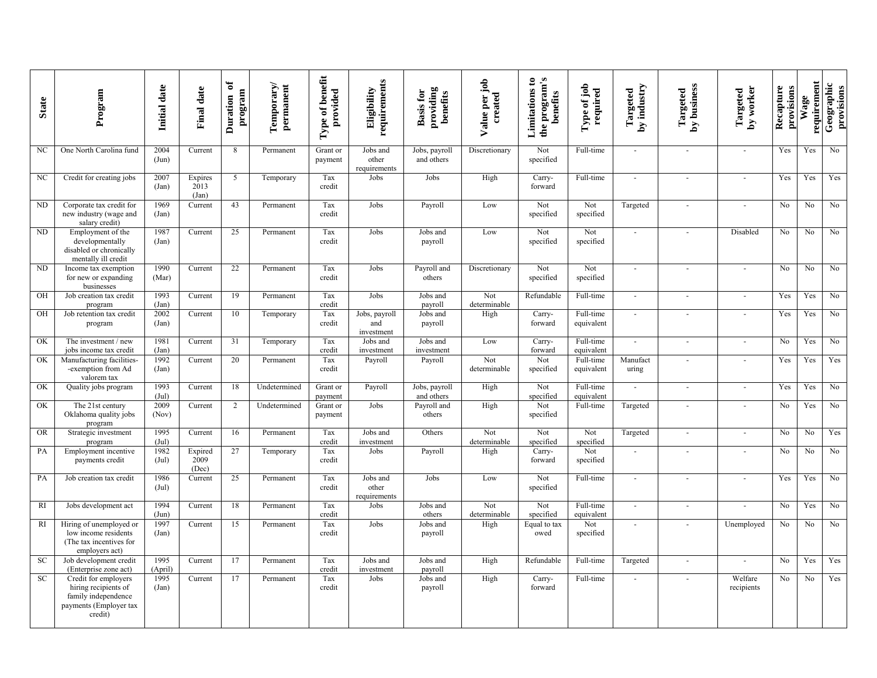| <b>State</b> | Program                                                                                                  | Initial date             | <b>Final date</b>           | ð<br>program<br>Duration | Temporary/<br>permanent | Type of benefit<br>provided | requirements<br>Eligibility        | providing<br><b>Basis for</b><br>benefits | Value per job<br>created | the program's<br>Limitations to<br>benefits | Type of job<br>required | by industry<br>Targeted  | by business<br>Targeted | by worker<br>Targeted       | Recapture<br>provisions | requirement<br>Wage | Geographic<br>provisions |
|--------------|----------------------------------------------------------------------------------------------------------|--------------------------|-----------------------------|--------------------------|-------------------------|-----------------------------|------------------------------------|-------------------------------------------|--------------------------|---------------------------------------------|-------------------------|--------------------------|-------------------------|-----------------------------|-------------------------|---------------------|--------------------------|
| NC           | One North Carolina fund                                                                                  | 2004<br>(Jun)            | Current                     | 8                        | Permanent               | Grant or<br>payment         | Jobs and<br>other<br>requirements  | Jobs, payroll<br>and others               | Discretionary            | Not<br>specified                            | Full-time               | $\sim$                   |                         | $\sim$                      | Yes                     | Yes                 | No                       |
| NC           | Credit for creating jobs                                                                                 | 2007<br>(Jan)            | Expires<br>2013<br>(Jan)    | 5                        | Temporary               | Tax<br>credit               | Jobs                               | Jobs                                      | High                     | Carry-<br>forward                           | Full-time               | $\sim$                   | $\sim$                  | $\sim$                      | Yes                     | Yes                 | Yes                      |
| <b>ND</b>    | Corporate tax credit for<br>new industry (wage and<br>salary credit)                                     | 1969<br>(Jan)            | $\overline{\text{Current}}$ | 43                       | Permanent               | Tax<br>credit               | Jobs                               | Payroll                                   | Low                      | Not<br>specified                            | Not<br>specified        | Targeted                 |                         |                             | No                      | No                  | No                       |
| ND           | Employment of the<br>developmentally<br>disabled or chronically<br>mentally ill credit                   | 1987<br>(Jan)            | Current                     | 25                       | Permanent               | Tax<br>credit               | Jobs                               | Jobs and<br>payroll                       | Low                      | Not<br>specified                            | Not<br>specified        | $\sim$                   |                         | Disabled                    | No                      | No                  | No                       |
| <b>ND</b>    | Income tax exemption<br>for new or expanding<br>businesses                                               | 1990<br>(Mar)            | Current                     | 22                       | Permanent               | Tax<br>credit               | Jobs                               | Payroll and<br>others                     | Discretionary            | Not<br>specified                            | Not<br>specified        | $\overline{\phantom{a}}$ |                         | $\sim$                      | No                      | No                  | No                       |
| OH           | Job creation tax credit<br>program                                                                       | 1993<br>(Jan)            | Current                     | 19                       | Permanent               | Tax<br>credit               | Jobs                               | Jobs and<br>payroll                       | Not<br>determinable      | Refundable                                  | Full-time               | $\overline{a}$           |                         | $\sim$                      | Yes                     | Yes                 | No                       |
| OH           | Job retention tax credit<br>program                                                                      | 2002<br>(Jan)            | Current                     | 10                       | Temporary               | Tax<br>credit               | Jobs, payroll<br>and<br>investment | Jobs and<br>payroll                       | High                     | Carry-<br>forward                           | Full-time<br>equivalent | $\sim$                   | $\sim$                  | $\mathcal{L}_{\mathcal{A}}$ | Yes                     | Yes                 | No                       |
| OK           | The investment / new<br>jobs income tax credit                                                           | 1981<br>(Jan)            | Current                     | 31                       | Temporary               | Tax<br>credit               | Jobs and<br>investment             | Jobs and<br>investment                    | Low                      | Carry-<br>forward                           | Full-time<br>equivalent |                          |                         | $\blacksquare$              | No                      | Yes                 | No                       |
| OK           | Manufacturing facilities-<br>-exemption from Ad<br>valorem tax                                           | 1992<br>(Jan)            | Current                     | 20                       | Permanent               | Tax<br>credit               | Payroll                            | Payroll                                   | Not<br>determinable      | Not<br>specified                            | Full-time<br>equivalent | Manufact<br>uring        |                         | $\overline{a}$              | Yes                     | Yes                 | Yes                      |
| OK           | Quality jobs program                                                                                     | 1993<br>(Jul)            | Current                     | 18                       | Undetermined            | Grant or<br>payment         | Payroll                            | Jobs, payroll<br>and others               | High                     | Not<br>specified                            | Full-time<br>equivalent | $\omega$                 | $\omega$                | $\mathcal{L}_{\mathcal{A}}$ | Yes                     | Yes                 | $\rm No$                 |
| OK           | The 21st century<br>Oklahoma quality jobs<br>program                                                     | 2009<br>(Nov)            | Current                     | 2                        | Undetermined            | Grant or<br>payment         | Jobs                               | Payroll and<br>others                     | High                     | Not<br>specified                            | Full-time               | Targeted                 |                         | $\sim$                      | No                      | Yes                 | No                       |
| <b>OR</b>    | Strategic investment<br>program                                                                          | 1995<br>$(\mathrm{Jul})$ | Current                     | 16                       | Permanent               | Tax<br>credit               | Jobs and<br>investment             | Others                                    | Not<br>determinable      | Not<br>specified                            | Not<br>specified        | Targeted                 |                         | $\sim$                      | No                      | No                  | Yes                      |
| PA           | Employment incentive<br>payments credit                                                                  | 1982<br>$(\mathrm{Jul})$ | Expired<br>2009<br>(Dec)    | 27                       | Temporary               | Tax<br>credit               | Jobs                               | Payroll                                   | High                     | Carry-<br>forward                           | Not<br>specified        | $\sim$                   |                         | $\overline{a}$              | N <sub>o</sub>          | No                  | No                       |
| PA           | Job creation tax credit                                                                                  | 1986<br>$(\mathrm{Jul})$ | Current                     | 25                       | Permanent               | Tax<br>credit               | Jobs and<br>other<br>requirements  | Jobs                                      | Low                      | Not<br>specified                            | Full-time               | $\sim$                   | $\sim$                  | $\omega$                    | Yes                     | Yes                 | $\rm No$                 |
| <b>RI</b>    | Jobs development act                                                                                     | 1994<br>(Jun)            | Current                     | 18                       | Permanent               | Tax<br>credit               | Jobs                               | Jobs and<br>others                        | Not<br>determinable      | Not<br>specified                            | Full-time<br>equivalent | $\sim$                   | $\sim$                  | $\overline{a}$              | No                      | Yes                 | No                       |
| RI           | Hiring of unemployed or<br>low income residents<br>(The tax incentives for<br>employers act)             | 1997<br>(Jan)            | Current                     | 15                       | Permanent               | Tax<br>credit               | Jobs                               | Jobs and<br>payroll                       | High                     | Equal to tax<br>owed                        | Not<br>specified        | $\sim$                   |                         | Unemployed                  | No                      | No                  | No                       |
| SC           | Job development credit<br>(Enterprise zone act)                                                          | 1995<br>(April)          | Current                     | 17                       | Permanent               | Tax<br>credit               | Jobs and<br>investment             | Jobs and<br>payroll                       | High                     | Refundable                                  | Full-time               | Targeted                 | $\sim$                  |                             | No                      | Yes                 | Yes                      |
| SC           | Credit for employers<br>hiring recipients of<br>family independence<br>payments (Employer tax<br>credit) | 1995<br>(Jan)            | Current                     | 17                       | Permanent               | Tax<br>credit               | Jobs                               | Jobs and<br>payroll                       | High                     | Carry-<br>forward                           | Full-time               |                          |                         | Welfare<br>recipients       | No                      | No                  | Yes                      |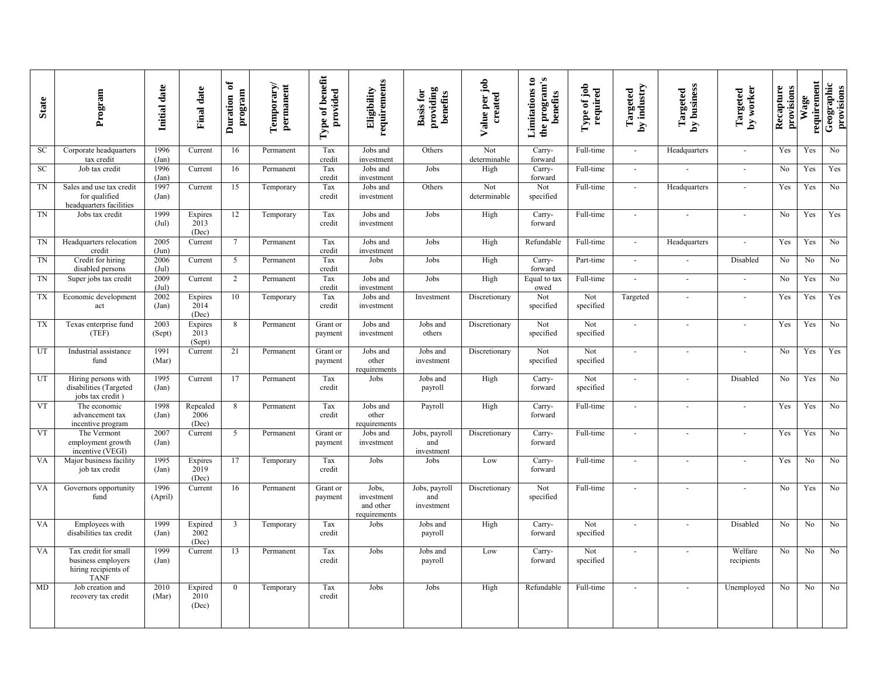| <b>State</b> | Program                                                                           | Initial date             | <b>Final date</b>         | ð<br>program<br>Duration | Temporary/<br>permanent | benefit<br>provided<br>Type of l | requirements<br>Eligibility                      | providing<br>benefits<br><b>Basis for</b> | Value per job<br>created | the program's<br>Limitations to<br>benefits | Type of job<br>required | by industry<br>Targeted     | by business<br>Targeted | by worker<br>Targeted | Recapture<br>provisions | requirement<br>Wage | Geographic<br>provisions |
|--------------|-----------------------------------------------------------------------------------|--------------------------|---------------------------|--------------------------|-------------------------|----------------------------------|--------------------------------------------------|-------------------------------------------|--------------------------|---------------------------------------------|-------------------------|-----------------------------|-------------------------|-----------------------|-------------------------|---------------------|--------------------------|
| SC           | Corporate headquarters<br>tax credit                                              | 1996<br>(Jan)            | Current                   | 16                       | Permanent               | Tax<br>credit                    | Jobs and<br>investment                           | Others                                    | Not<br>determinable      | Carry-<br>forward                           | Full-time               | $\mathcal{L}_{\mathcal{A}}$ | Headquarters            | $\sim$                | Yes                     | Yes                 | N <sub>o</sub>           |
| SC           | Job tax credit                                                                    | 1996<br>(Jan)            | Current                   | 16                       | Permanent               | Tax<br>credit                    | Jobs and<br>investment                           | Jobs                                      | High                     | Carry-<br>forward                           | Full-time               | $\sim$                      | ÷,                      | $\sim$                | No                      | Yes                 | Yes                      |
| TN           | Sales and use tax credit<br>for qualified<br>headquarters facilities              | 1997<br>(Jan)            | Current                   | 15                       | Temporary               | Tax<br>credit                    | Jobs and<br>investment                           | Others                                    | Not<br>determinable      | Not<br>specified                            | Full-time               | $\sim$                      | Headquarters            | $\sim$                | Yes                     | Yes                 | No                       |
| <b>TN</b>    | Jobs tax credit                                                                   | 1999<br>$(\mathrm{Jul})$ | Expires<br>2013<br>(Dec)  | 12                       | Temporary               | Tax<br>credit                    | Jobs and<br>investment                           | Jobs                                      | High                     | Carry-<br>forward                           | Full-time               | $\sim$                      | $\sim$                  | $\sim$                | N <sub>o</sub>          | Yes                 | Yes                      |
| TN           | Headquarters relocation<br>credit                                                 | 2005<br>(Jun)            | Current                   | $7\phantom{.0}$          | Permanent               | Tax<br>credit                    | Jobs and<br>investment                           | Jobs                                      | High                     | Refundable                                  | Full-time               | $\blacksquare$              | Headquarters            | $\sim$                | Yes                     | Yes                 | No                       |
| TN           | Credit for hiring<br>disabled persons                                             | 2006<br>$(\mathrm{Jul})$ | Current                   | 5                        | Permanent               | Tax<br>credit                    | Jobs                                             | Jobs                                      | High                     | Carry-<br>forward                           | Part-time               | $\sim$                      | $\blacksquare$          | Disabled              | N <sub>0</sub>          | No                  | No                       |
| TN           | Super jobs tax credit                                                             | 2009<br>(Jul)            | Current                   | 2                        | Permanent               | Tax<br>credit                    | Jobs and<br>investment                           | Jobs                                      | High                     | Equal to tax<br>owed                        | Full-time               |                             | $\sim$                  | $\sim$                | No                      | Yes                 | No                       |
| TX           | Economic development<br>act                                                       | 2002<br>(Jan)            | Expires<br>2014<br>(Dec)  | 10                       | Temporary               | Tax<br>credit                    | Jobs and<br>investment                           | Investment                                | Discretionary            | Not<br>specified                            | Not<br>specified        | Targeted                    | ä,                      | $\sim$                | Yes                     | Yes                 | Yes                      |
| TX           | Texas enterprise fund<br>(TEF)                                                    | 2003<br>(Sept)           | Expires<br>2013<br>(Sept) | 8                        | Permanent               | Grant or<br>payment              | Jobs and<br>investment                           | Jobs and<br>others                        | Discretionary            | Not<br>specified                            | Not<br>specified        | $\sim$                      | $\blacksquare$          | $\sim$                | Yes                     | Yes                 | No                       |
| UT           | Industrial assistance<br>fund                                                     | 1991<br>(Mar)            | Current                   | 21                       | Permanent               | Grant or<br>payment              | Jobs and<br>other<br>requirements                | Jobs and<br>investment                    | Discretionary            | Not<br>specified                            | Not<br>specified        | $\overline{a}$              | $\overline{a}$          | $\overline{a}$        | No                      | Yes                 | Yes                      |
| UT           | Hiring persons with<br>disabilities (Targeted<br>jobs tax credit)                 | 1995<br>(Jan)            | Current                   | 17                       | Permanent               | Tax<br>credit                    | Jobs                                             | Jobs and<br>payroll                       | High                     | Carry-<br>forward                           | Not<br>specified        | $\sim$                      | $\omega$                | Disabled              | N <sub>o</sub>          | Yes                 | No                       |
| <b>VT</b>    | The economic<br>advancement tax<br>incentive program                              | 1998<br>(Jan)            | Repealed<br>2006<br>(Dec) | 8                        | Permanent               | Tax<br>credit                    | Jobs and<br>other<br>requirements                | Payroll                                   | High                     | Carry-<br>forward                           | Full-time               |                             | $\sim$                  | ÷.                    | Yes                     | Yes                 | No                       |
| <b>VT</b>    | The Vermont<br>employment growth<br>incentive (VEGI)                              | 2007<br>(Jan)            | Current                   | 5                        | Permanent               | Grant or<br>payment              | Jobs and<br>investment                           | Jobs, payroll<br>and<br>investment        | Discretionary            | Carry-<br>forward                           | Full-time               | $\overline{a}$              | $\sim$                  | $\sim$                | Yes                     | Yes                 | No                       |
| VA           | Major business facility<br>job tax credit                                         | 1995<br>(Jan)            | Expires<br>2019<br>(Dec)  | 17                       | Temporary               | Tax<br>credit                    | Jobs                                             | Jobs                                      | Low                      | Carry-<br>forward                           | Full-time               | $\sim$                      | ä,                      | ÷,                    | Yes                     | No                  | N <sub>o</sub>           |
| VA           | Governors opportunity<br>fund                                                     | 1996<br>(April)          | Current                   | 16                       | Permanent               | Grant or<br>payment              | Jobs,<br>investment<br>and other<br>requirements | Jobs, payroll<br>and<br>investment        | Discretionary            | Not<br>specified                            | Full-time               |                             | ÷.                      | $\overline{a}$        | No                      | Yes                 | No                       |
| VA           | Employees with<br>disabilities tax credit                                         | 1999<br>(Jan)            | Expired<br>2002<br>(Dec)  | 3                        | Temporary               | Tax<br>credit                    | Jobs                                             | Jobs and<br>payroll                       | High                     | Carry-<br>forward                           | Not<br>specified        | $\sim$                      | $\blacksquare$          | Disabled              | N <sub>0</sub>          | No                  | No                       |
| VA           | Tax credit for small<br>business employers<br>hiring recipients of<br><b>TANF</b> | 1999<br>(Jan)            | Current                   | 13                       | Permanent               | Tax<br>credit                    | Jobs                                             | Jobs and<br>payroll                       | Low                      | Carry-<br>forward                           | Not<br>specified        | $\sim$                      | ä,                      | Welfare<br>recipients | $\overline{No}$         | No                  | No                       |
| MD           | Job creation and<br>recovery tax credit                                           | 2010<br>(Mar)            | Expired<br>2010<br>(Dec)  | $\Omega$                 | Temporary               | Tax<br>credit                    | Jobs                                             | Jobs                                      | High                     | Refundable                                  | Full-time               | $\overline{\phantom{a}}$    |                         | Unemployed            | No                      | No                  | No                       |